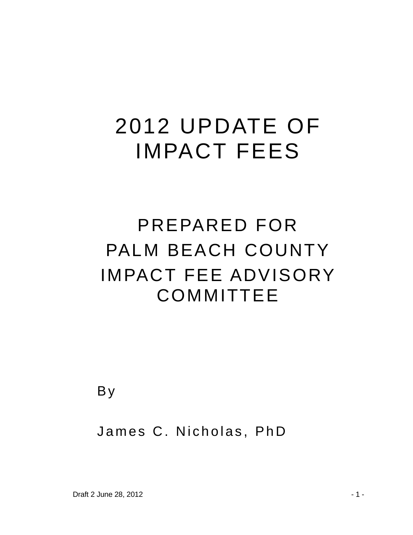# 2012 UPDATE OF IMPACT FEES

# PREPARED FOR PALM BEACH COUNTY IMPACT FEE ADVISORY **COMMITTEE**

B y

### James C. Nicholas, PhD

Draft 2 June 28, 2012 - 1 -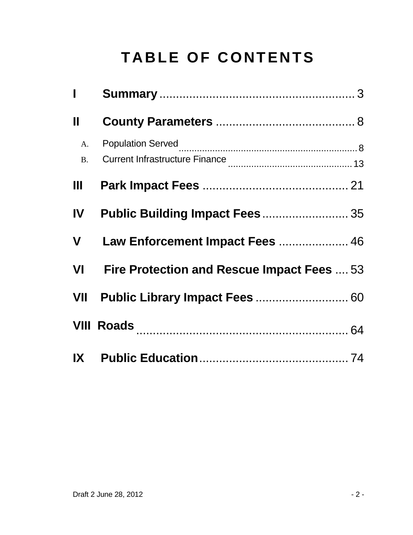## **TABLE OF CONTENTS**

| Ī                           |                                                  |  |
|-----------------------------|--------------------------------------------------|--|
| Ш                           |                                                  |  |
| A <sub>1</sub><br><b>B.</b> |                                                  |  |
| Ш                           |                                                  |  |
| <b>IV</b>                   | Public Building Impact Fees 35                   |  |
| V                           | Law Enforcement Impact Fees  46                  |  |
| VI VI                       | <b>Fire Protection and Rescue Impact Fees</b> 53 |  |
| VII                         | Public Library Impact Fees  60                   |  |
|                             | <b>VIII Roads</b> 2008 2009 2010 2020 2030 204   |  |
| IX                          |                                                  |  |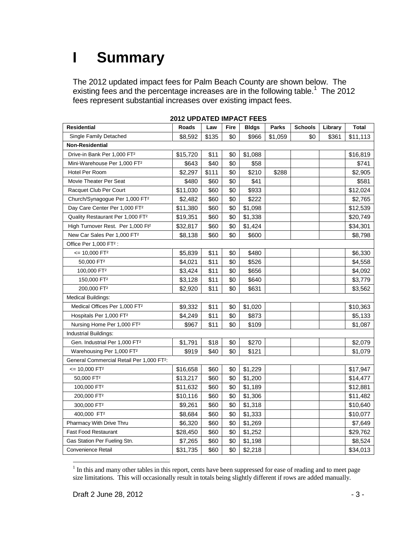## **I Summary**

The 2012 updated impact fees for Palm Beach County are shown below. The existing fees and the percentage increases are in the following table.<sup>1</sup> The 2012 fees represent substantial increases over existing impact fees.

| <b>Residential</b>                                    | <b>Roads</b> | Law   | <b>Fire</b> | <b>Bldgs</b> | Parks   | <b>Schools</b> | Library | <b>Total</b> |
|-------------------------------------------------------|--------------|-------|-------------|--------------|---------|----------------|---------|--------------|
| Single Family Detached                                | \$8,592      | \$135 | \$0         | \$966        | \$1,059 | \$0            | \$361   | \$11,113     |
| Non-Residential                                       |              |       |             |              |         |                |         |              |
| Drive-in Bank Per 1,000 FT <sup>2</sup>               | \$15,720     | \$11  | \$0         | \$1,088      |         |                |         | \$16,819     |
| Mini-Warehouse Per 1,000 FT <sup>2</sup>              | \$643        | \$40  | \$0         | \$58         |         |                |         | \$741        |
| Hotel Per Room                                        | \$2,297      | \$111 | \$0         | \$210        | \$288   |                |         | \$2,905      |
| Movie Theater Per Seat                                | \$480        | \$60  | \$0         | \$41         |         |                |         | \$581        |
| Racquet Club Per Court                                | \$11,030     | \$60  | \$0         | \$933        |         |                |         | \$12,024     |
| Church/Synagogue Per 1,000 FT <sup>2</sup>            | \$2,482      | \$60  | \$0         | \$222        |         |                |         | \$2,765      |
| Day Care Center Per 1,000 FT <sup>2</sup>             | \$11,380     | \$60  | \$0         | \$1,098      |         |                |         | \$12,539     |
| Quality Restaurant Per 1,000 FT <sup>2</sup>          | \$19,351     | \$60  | \$0         | \$1,338      |         |                |         | \$20,749     |
| High Turnover Rest. Per 1,000 Ft <sup>2</sup>         | \$32,817     | \$60  | \$0         | \$1,424      |         |                |         | \$34,301     |
| New Car Sales Per 1,000 FT <sup>2</sup>               | \$8,138      | \$60  | \$0         | \$600        |         |                |         | \$8,798      |
| Office Per 1,000 FT <sup>2</sup> :                    |              |       |             |              |         |                |         |              |
| $\leq$ 10,000 FT <sup>2</sup>                         | \$5,839      | \$11  | \$0         | \$480        |         |                |         | \$6,330      |
| 50,000 FT <sup>2</sup>                                | \$4,021      | \$11  | \$0         | \$526        |         |                |         | \$4,558      |
| 100,000 FT <sup>2</sup>                               | \$3,424      | \$11  | \$0         | \$656        |         |                |         | \$4,092      |
| 150,000 FT <sup>2</sup>                               | \$3,128      | \$11  | \$0         | \$640        |         |                |         | \$3,779      |
| 200,000 FT <sup>2</sup>                               | \$2,920      | \$11  | \$0         | \$631        |         |                |         | \$3,562      |
| <b>Medical Buildings:</b>                             |              |       |             |              |         |                |         |              |
| Medical Offices Per 1,000 FT <sup>2</sup>             | \$9,332      | \$11  | \$0         | \$1,020      |         |                |         | \$10,363     |
| Hospitals Per 1,000 FT <sup>2</sup>                   | \$4,249      | \$11  | \$0         | \$873        |         |                |         | \$5,133      |
| Nursing Home Per 1,000 FT <sup>2</sup>                | \$967        | \$11  | \$0         | \$109        |         |                |         | \$1,087      |
| Industrial Buildings:                                 |              |       |             |              |         |                |         |              |
| Gen. Industrial Per 1,000 FT <sup>2</sup>             | \$1,791      | \$18  | \$0         | \$270        |         |                |         | \$2,079      |
| Warehousing Per 1,000 FT <sup>2</sup>                 | \$919        | \$40  | \$0         | \$121        |         |                |         | \$1,079      |
| General Commercial Retail Per 1,000 FT <sup>2</sup> : |              |       |             |              |         |                |         |              |
| $= 10,000$ FT <sup>2</sup>                            | \$16,658     | \$60  | \$0         | \$1,229      |         |                |         | \$17,947     |
| 50,000 FT <sup>2</sup>                                | \$13,217     | \$60  | \$0         | \$1,200      |         |                |         | \$14,477     |
| 100,000 FT <sup>2</sup>                               | \$11,632     | \$60  | \$0         | \$1,189      |         |                |         | \$12,881     |
| 200.000 FT <sup>2</sup>                               | \$10,116     | \$60  | \$0         | \$1,306      |         |                |         | \$11,482     |
| 300,000 FT <sup>2</sup>                               | \$9,261      | \$60  | \$0         | \$1,318      |         |                |         | \$10,640     |
| 400,000 FT <sup>2</sup>                               | \$8,684      | \$60  | \$0         | \$1,333      |         |                |         | \$10,077     |
| Pharmacy With Drive Thru                              | \$6,320      | \$60  | \$0         | \$1,269      |         |                |         | \$7,649      |
| <b>Fast Food Restaurant</b>                           | \$28,450     | \$60  | \$0         | \$1,252      |         |                |         | \$29,762     |
| Gas Station Per Fueling Stn.                          | \$7,265      | \$60  | \$0         | \$1,198      |         |                |         | \$8,524      |
| <b>Convenience Retail</b>                             | \$31,735     | \$60  | \$0         | \$2,218      |         |                |         | \$34,013     |

#### **2012 UPDATED IMPACT FEES**

 $\overline{a}$ 

 $1$  In this and many other tables in this report, cents have been suppressed for ease of reading and to meet page size limitations. This will occasionally result in totals being slightly different if rows are added manually.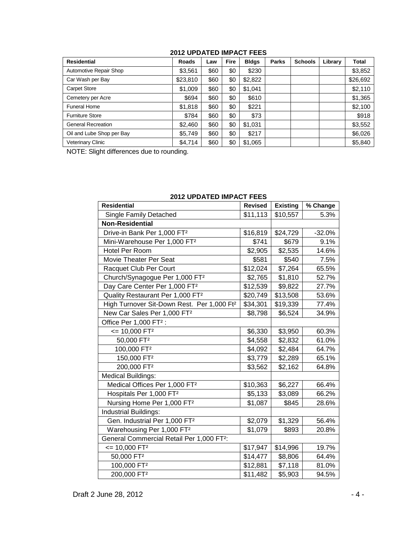#### **2012 UPDATED IMPACT FEES**

| <b>Residential</b>        | <b>Roads</b> | Law  | <b>Fire</b> | <b>Bldgs</b> | <b>Parks</b> | <b>Schools</b> | Library | <b>Total</b> |
|---------------------------|--------------|------|-------------|--------------|--------------|----------------|---------|--------------|
| Automotive Repair Shop    | \$3,561      | \$60 | \$0         | \$230        |              |                |         | \$3,852      |
| Car Wash per Bay          | \$23,810     | \$60 | \$0         | \$2,822      |              |                |         | \$26,692     |
| <b>Carpet Store</b>       | \$1,009      | \$60 | \$0         | \$1,041      |              |                |         | \$2,110      |
| Cemetery per Acre         | \$694        | \$60 | \$0         | \$610        |              |                |         | \$1,365      |
| <b>Funeral Home</b>       | \$1,818      | \$60 | \$0         | \$221        |              |                |         | \$2,100      |
| <b>Furniture Store</b>    | \$784        | \$60 | \$0         | \$73         |              |                |         | \$918        |
| <b>General Recreation</b> | \$2.460      | \$60 | \$0         | \$1,031      |              |                |         | \$3,552      |
| Oil and Lube Shop per Bay | \$5,749      | \$60 | \$0         | \$217        |              |                |         | \$6,026      |
| Veterinary Clinic         | \$4,714      | \$60 | \$0         | \$1,065      |              |                |         | \$5,840      |

NOTE: Slight differences due to rounding.

| <b>Residential</b>                                     | <b>Revised</b> | <b>Existing</b> | % Change |
|--------------------------------------------------------|----------------|-----------------|----------|
| Single Family Detached                                 | \$11,113       | \$10,557        | 5.3%     |
| <b>Non-Residential</b>                                 |                |                 |          |
| Drive-in Bank Per 1,000 FT <sup>2</sup>                | \$16,819       | \$24,729        | $-32.0%$ |
| Mini-Warehouse Per 1,000 FT <sup>2</sup>               | \$741          | \$679           | 9.1%     |
| <b>Hotel Per Room</b>                                  | \$2,905        | \$2,535         | 14.6%    |
| Movie Theater Per Seat                                 | \$581          | \$540           | 7.5%     |
| Racquet Club Per Court                                 | \$12,024       | \$7,264         | 65.5%    |
| Church/Synagogue Per 1,000 FT <sup>2</sup>             | \$2,765        | \$1,810         | 52.7%    |
| Day Care Center Per 1,000 FT <sup>2</sup>              | \$12,539       | \$9,822         | 27.7%    |
| Quality Restaurant Per 1,000 FT <sup>2</sup>           | \$20,749       | \$13,508        | 53.6%    |
| High Turnover Sit-Down Rest. Per 1,000 Ft <sup>2</sup> | \$34,301       | \$19,339        | 77.4%    |
| New Car Sales Per 1,000 FT <sup>2</sup>                | \$8,798        | \$6,524         | 34.9%    |
| Office Per 1,000 FT <sup>2</sup> :                     |                |                 |          |
| $= 10,000$ FT <sup>2</sup>                             | \$6,330        | \$3,950         | 60.3%    |
| 50,000 FT <sup>2</sup>                                 | \$4,558        | \$2,832         | 61.0%    |
| 100,000 FT <sup>2</sup>                                | \$4,092        | \$2,484         | 64.7%    |
| 150,000 FT <sup>2</sup>                                | \$3,779        | \$2,289         | 65.1%    |
| 200,000 FT <sup>2</sup>                                | \$3,562        | \$2,162         | 64.8%    |
| <b>Medical Buildings:</b>                              |                |                 |          |
| Medical Offices Per 1,000 FT <sup>2</sup>              | \$10,363       | \$6,227         | 66.4%    |
| Hospitals Per 1,000 FT <sup>2</sup>                    | \$5,133        | \$3,089         | 66.2%    |
| Nursing Home Per 1,000 FT <sup>2</sup>                 | \$1,087        | \$845           | 28.6%    |
| <b>Industrial Buildings:</b>                           |                |                 |          |
| Gen. Industrial Per 1,000 FT <sup>2</sup>              | \$2,079        | \$1,329         | 56.4%    |
| Warehousing Per 1,000 FT <sup>2</sup>                  | \$1,079        | \$893           | 20.8%    |
| General Commercial Retail Per 1,000 FT <sup>2</sup> :  |                |                 |          |
| $= 10,000$ FT <sup>2</sup>                             | \$17,947       | \$14,996        | 19.7%    |
| 50,000 FT <sup>2</sup>                                 | \$14,477       | \$8,806         | 64.4%    |
| 100,000 FT <sup>2</sup>                                | \$12,881       | \$7,118         | 81.0%    |
| 200,000 FT <sup>2</sup>                                | \$11,482       | \$5,903         | 94.5%    |

#### **2012 UPDATED IMPACT FEES**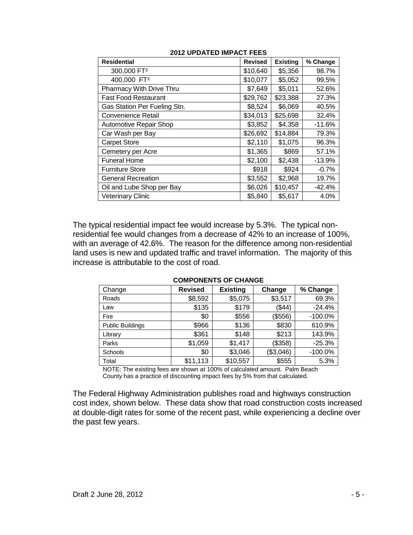| <b>Residential</b>            | <b>Revised</b> | <b>Existing</b> | % Change |
|-------------------------------|----------------|-----------------|----------|
| 300,000 FT <sup>2</sup>       | \$10,640       | \$5,356         | 98.7%    |
| 400,000 FT <sup>2</sup>       | \$10,077       | \$5,052         | 99.5%    |
| Pharmacy With Drive Thru      | \$7,649        | \$5,011         | 52.6%    |
| <b>Fast Food Restaurant</b>   | \$29,762       | \$23,388        | 27.3%    |
| Gas Station Per Fueling Stn.  | \$8,524        | \$6,069         | 40.5%    |
| <b>Convenience Retail</b>     | \$34,013       | \$25,698        | 32.4%    |
| <b>Automotive Repair Shop</b> | \$3,852        | \$4,358         | $-11.6%$ |
| Car Wash per Bay              | \$26,692       | \$14,884        | 79.3%    |
| <b>Carpet Store</b>           | \$2,110        | \$1,075         | 96.3%    |
| Cemetery per Acre             | \$1,365        | \$869           | 57.1%    |
| <b>Funeral Home</b>           | \$2,100        | \$2,438         | $-13.9%$ |
| <b>Furniture Store</b>        | \$918          | \$924           | $-0.7%$  |
| <b>General Recreation</b>     | \$3,552        | \$2,968         | 19.7%    |
| Oil and Lube Shop per Bay     | \$6,026        | \$10,457        | $-42.4%$ |
| <b>Veterinary Clinic</b>      | \$5,840        | \$5,617         | 4.0%     |

#### **2012 UPDATED IMPACT FEES**

The typical residential impact fee would increase by 5.3%. The typical nonresidential fee would changes from a decrease of 42% to an increase of 100%, with an average of 42.6%. The reason for the difference among non-residential land uses is new and updated traffic and travel information. The majority of this increase is attributable to the cost of road.

| Change                  | <b>Revised</b> | <b>Existing</b> | Change    | % Change   |
|-------------------------|----------------|-----------------|-----------|------------|
| Roads                   | \$8,592        | \$5,075         | \$3,517   | 69.3%      |
| Law                     | \$135          | \$179           | ( \$44)   | $-24.4%$   |
| Fire                    | \$0            | \$556           | (\$556)   | $-100.0\%$ |
| <b>Public Buildings</b> | \$966          | \$136           | \$830     | 610.9%     |
| Library                 | \$361          | \$148           | \$213     | 143.9%     |
| Parks                   | \$1,059        | \$1,417         | (\$358)   | $-25.3%$   |
| Schools                 | \$0            | \$3,046         | (\$3,046) | $-100.0%$  |
| Total                   | \$11,113       | \$10,557        | \$555     | 5.3%       |

#### **COMPONENTS OF CHANGE**

NOTE: The existing fees are shown at 100% of calculated amount. Palm Beach County has a practice of discounting impact fees by 5% from that calculated.

The Federal Highway Administration publishes road and highways construction cost index, shown below. These data show that road construction costs increased at double-digit rates for some of the recent past, while experiencing a decline over the past few years.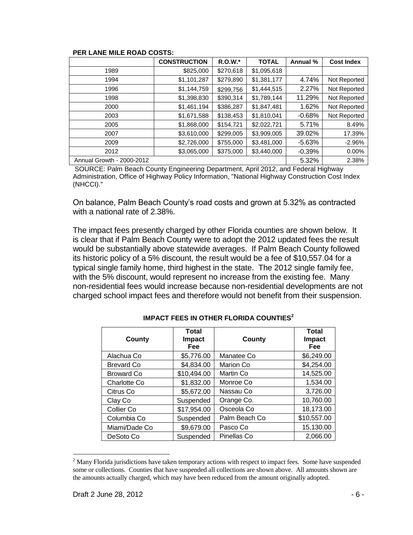|                           | <b>CONSTRUCTION</b> | $R.O.W.*$ | <b>TOTAL</b> | Annual %  | <b>Cost Index</b> |
|---------------------------|---------------------|-----------|--------------|-----------|-------------------|
| 1989                      | \$825,000           | \$270,618 | \$1,095,618  |           |                   |
| 1994                      | \$1,101,287         | \$279,890 | \$1,381,177  | 4.74%     | Not Reported      |
| 1996                      | \$1,144,759         | \$299,756 | \$1,444,515  | 2.27%     | Not Reported      |
| 1998                      | \$1,398,830         | \$390,314 | \$1,789,144  | 11.29%    | Not Reported      |
| 2000                      | \$1,461,194         | \$386,287 | \$1,847,481  | 1.62%     | Not Reported      |
| 2003                      | \$1,671,588         | \$138,453 | \$1,810,041  | $-0.68%$  | Not Reported      |
| 2005                      | \$1,868,000         | \$154,721 | \$2,022,721  | 5.71%     | 8.49%             |
| 2007                      | \$3,610,000         | \$299,005 | \$3,909,005  | 39.02%    | 17.39%            |
| 2009                      | \$2,726,000         | \$755,000 | \$3,481,000  | -5.63%    | $-2.96%$          |
| 2012                      | \$3,065,000         | \$375,000 | \$3,440,000  | $-0.39\%$ | 0.00%             |
| Annual Growth - 2000-2012 |                     |           |              | 5.32%     | 2.38%             |

#### **PER LANE MILE ROAD COSTS:**

SOURCE: Palm Beach County Engineering Department, April 2012, and Federal Highway Administration, Office of Highway Policy Information, "National Highway Construction Cost Index (NHCCI)."

On balance, Palm Beach County's road costs and grown at 5.32% as contracted with a national rate of 2.38%.

The impact fees presently charged by other Florida counties are shown below. It is clear that if Palm Beach County were to adopt the 2012 updated fees the result would be substantially above statewide averages. If Palm Beach County followed its historic policy of a 5% discount, the result would be a fee of \$10,557.04 for a typical single family home, third highest in the state. The 2012 single family fee, with the 5% discount, would represent no increase from the existing fee. Many non-residential fees would increase because non-residential developments are not charged school impact fees and therefore would not benefit from their suspension.

| County              | <b>Total</b><br>Impact<br>Fee | County        | Total<br>Impact<br>Fee |
|---------------------|-------------------------------|---------------|------------------------|
| Alachua Co          | \$5,776.00                    | Manatee Co    | \$6,249.00             |
| <b>Brevard Co</b>   | \$4,834.00                    | Marion Co     | \$4,254.00             |
| <b>Broward Co</b>   | \$10,494.00                   | Martin Co     | 14,525.00              |
| <b>Charlotte Co</b> | \$1,832.00                    | Monroe Co     | 1,534.00               |
| Citrus Co           | \$5,672.00                    | Nassau Co     | 3,726.00               |
| Clay Co             | Suspended                     | Orange Co.    | 10,760.00              |
| Collier Co          | \$17,954.00                   | Osceola Co    | 18,173.00              |
| Columbia Co         | Suspended                     | Palm Beach Co | \$10,557.00            |
| Miami/Dade Co       | \$9,679.00                    | Pasco Co      | 15,130.00              |
| DeSoto Co           | Suspended                     | Pinellas Co   | 2,066.00               |

#### **IMPACT FEES IN OTHER FLORIDA COUNTIES<sup>2</sup>**

 $\overline{a}$ 

<sup>&</sup>lt;sup>2</sup> Many Florida jurisdictions have taken temporary actions with respect to impact fees. Some have suspended some or collections. Counties that have suspended all collections are shown above. All amounts shown are the amounts actually charged, which may have been reduced from the amount originally adopted.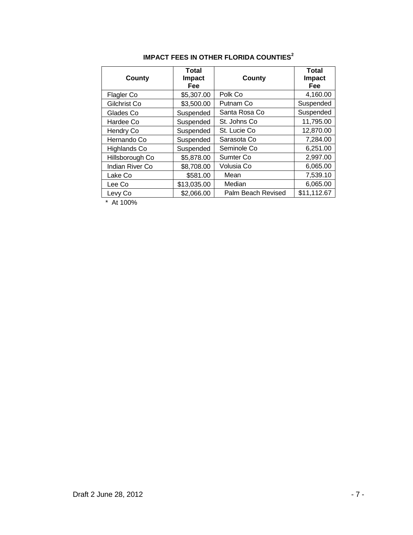| <b>County</b>   | Total<br><b>Impact</b><br><b>Fee</b> | County             | Total<br><b>Impact</b><br>Fee |
|-----------------|--------------------------------------|--------------------|-------------------------------|
| Flagler Co      | \$5,307.00                           | Polk Co            | 4,160.00                      |
| Gilchrist Co    | \$3,500.00                           | Putnam Co          | Suspended                     |
| Glades Co       | Suspended                            | Santa Rosa Co      | Suspended                     |
| Hardee Co       | Suspended                            | St. Johns Co       | 11,795.00                     |
| Hendry Co       | Suspended                            | St. Lucie Co       | 12,870.00                     |
| Hernando Co     | Suspended                            | Sarasota Co        | 7,284.00                      |
| Highlands Co    | Suspended                            | Seminole Co        | 6,251.00                      |
| Hillsborough Co | \$5,878.00                           | Sumter Co.         | 2,997.00                      |
| Indian River Co | \$8,708.00                           | Volusia Co         | 6,065.00                      |
| Lake Co         | \$581.00                             | Mean               | 7,539.10                      |
| Lee Co          | \$13,035.00                          | Median             | 6,065.00                      |
| Levy Co         | \$2,066.00                           | Palm Beach Revised | \$11,112.67                   |

#### **IMPACT FEES IN OTHER FLORIDA COUNTIES<sup>2</sup>**

\* At 100%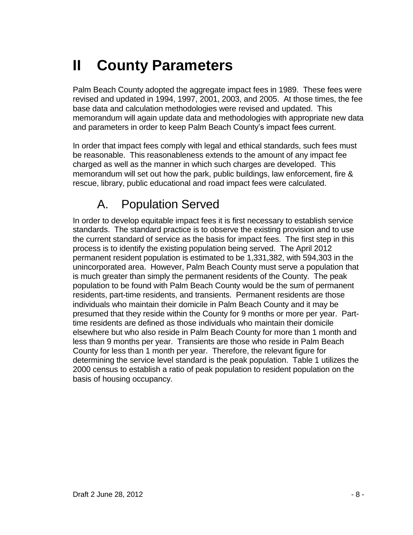## **II County Parameters**

Palm Beach County adopted the aggregate impact fees in 1989. These fees were revised and updated in 1994, 1997, 2001, 2003, and 2005. At those times, the fee base data and calculation methodologies were revised and updated. This memorandum will again update data and methodologies with appropriate new data and parameters in order to keep Palm Beach County's impact fees current.

In order that impact fees comply with legal and ethical standards, such fees must be reasonable. This reasonableness extends to the amount of any impact fee charged as well as the manner in which such charges are developed. This memorandum will set out how the park, public buildings, law enforcement, fire & rescue, library, public educational and road impact fees were calculated.

### A. Population Served

In order to develop equitable impact fees it is first necessary to establish service standards. The standard practice is to observe the existing provision and to use the current standard of service as the basis for impact fees. The first step in this process is to identify the existing population being served. The April 2012 permanent resident population is estimated to be 1,331,382, with 594,303 in the unincorporated area. However, Palm Beach County must serve a population that is much greater than simply the permanent residents of the County. The peak population to be found with Palm Beach County would be the sum of permanent residents, part-time residents, and transients. Permanent residents are those individuals who maintain their domicile in Palm Beach County and it may be presumed that they reside within the County for 9 months or more per year. Parttime residents are defined as those individuals who maintain their domicile elsewhere but who also reside in Palm Beach County for more than 1 month and less than 9 months per year. Transients are those who reside in Palm Beach County for less than 1 month per year. Therefore, the relevant figure for determining the service level standard is the peak population. Table 1 utilizes the 2000 census to establish a ratio of peak population to resident population on the basis of housing occupancy.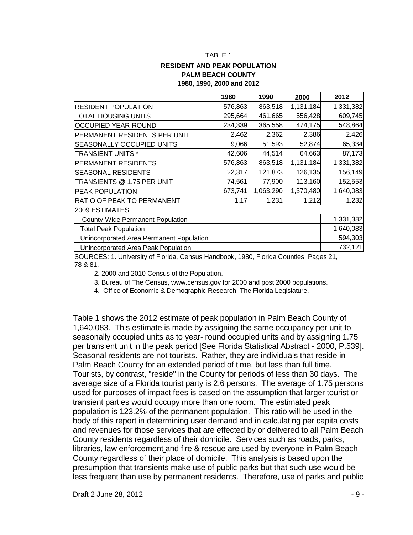#### **RESIDENT AND PEAK POPULATION PALM BEACH COUNTY 1980, 1990, 2000 and 2012**

|                                          | 1980    | 1990      | 2000      | 2012      |
|------------------------------------------|---------|-----------|-----------|-----------|
| <b>RESIDENT POPULATION</b>               | 576,863 | 863,518   | 1,131,184 | 1,331,382 |
| <b>TOTAL HOUSING UNITS</b>               | 295,664 | 461,665   | 556,428   | 609,745   |
| <b>OCCUPIED YEAR-ROUND</b>               | 234,339 | 365,558   | 474,175   | 548,864   |
| PERMANENT RESIDENTS PER UNIT             | 2.462   | 2.362     | 2.386     | 2.426     |
| <b>SEASONALLY OCCUPIED UNITS</b>         | 9,066   | 51,593    | 52,874    | 65,334    |
| <b>TRANSIENT UNITS *</b>                 | 42,606  | 44,514    | 64,663    | 87,173    |
| <b>PERMANENT RESIDENTS</b>               | 576,863 | 863,518   | 1,131,184 | 1,331,382 |
| <b>SEASONAL RESIDENTS</b>                | 22,317  | 121,873   | 126,135   | 156,149   |
| TRANSIENTS @ 1.75 PER UNIT               | 74,561  | 77,900    | 113,160   | 152,553   |
| <b>PEAK POPULATION</b>                   | 673,741 | 1,063,290 | 1,370,480 | 1,640,083 |
| RATIO OF PEAK TO PERMANENT               | 1.17    | 1.231     | 1.212     | 1.232     |
| 2009 ESTIMATES;                          |         |           |           |           |
| County-Wide Permanent Population         |         |           |           | 1,331,382 |
| <b>Total Peak Population</b>             |         |           |           | 1,640,083 |
| Unincorporated Area Permanent Population |         |           |           | 594,303   |
| Unincorporated Area Peak Population      |         |           |           | 732,121   |

SOURCES: 1. University of Florida, Census Handbook, 1980, Florida Counties, Pages 21, 78 & 81.

2. 2000 and 2010 Census of the Population.

3. Bureau of The Census, www.census.gov for 2000 and post 2000 populations.

4. Office of Economic & Demographic Research, The Florida Legislature.

Table 1 shows the 2012 estimate of peak population in Palm Beach County of 1,640,083. This estimate is made by assigning the same occupancy per unit to seasonally occupied units as to year- round occupied units and by assigning 1.75 per transient unit in the peak period [See Florida Statistical Abstract - 2000, P.539]. Seasonal residents are not tourists. Rather, they are individuals that reside in Palm Beach County for an extended period of time, but less than full time. Tourists, by contrast, "reside" in the County for periods of less than 30 days. The average size of a Florida tourist party is 2.6 persons. The average of 1.75 persons used for purposes of impact fees is based on the assumption that larger tourist or transient parties would occupy more than one room. The estimated peak population is 123.2% of the permanent population. This ratio will be used in the body of this report in determining user demand and in calculating per capita costs and revenues for those services that are effected by or delivered to all Palm Beach County residents regardless of their domicile. Services such as roads, parks, libraries, law enforcement and fire & rescue are used by everyone in Palm Beach County regardless of their place of domicile. This analysis is based upon the presumption that transients make use of public parks but that such use would be less frequent than use by permanent residents. Therefore, use of parks and public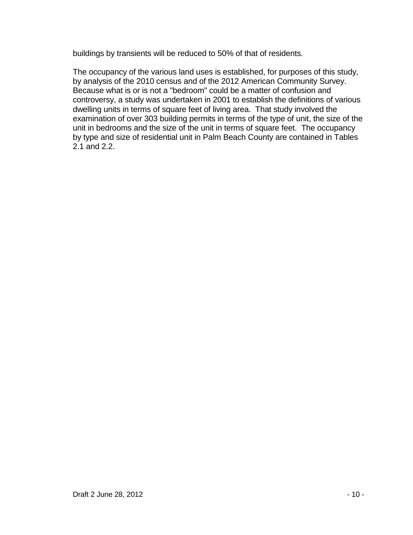buildings by transients will be reduced to 50% of that of residents.

The occupancy of the various land uses is established, for purposes of this study, by analysis of the 2010 census and of the 2012 American Community Survey. Because what is or is not a "bedroom" could be a matter of confusion and controversy, a study was undertaken in 2001 to establish the definitions of various dwelling units in terms of square feet of living area. That study involved the examination of over 303 building permits in terms of the type of unit, the size of the unit in bedrooms and the size of the unit in terms of square feet. The occupancy by type and size of residential unit in Palm Beach County are contained in Tables 2.1 and 2.2.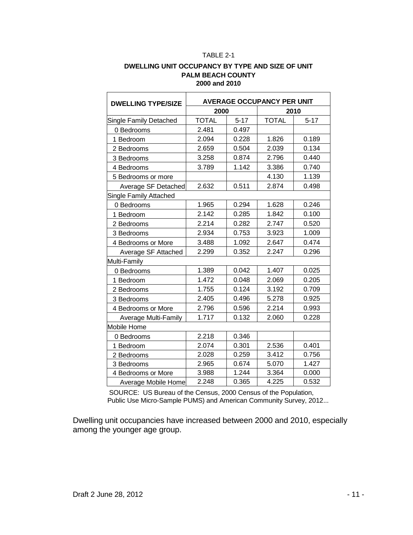#### TABLE 2-1

#### **DWELLING UNIT OCCUPANCY BY TYPE AND SIZE OF UNIT PALM BEACH COUNTY 2000 and 2010**

| <b>DWELLING TYPE/SIZE</b> | <b>AVERAGE OCCUPANCY PER UNIT</b> |          |              |          |
|---------------------------|-----------------------------------|----------|--------------|----------|
|                           | 2000                              |          |              | 2010     |
| Single Family Detached    | <b>TOTAL</b>                      | $5 - 17$ | <b>TOTAL</b> | $5 - 17$ |
| 0 Bedrooms                | 2.481                             | 0.497    |              |          |
| 1 Bedroom                 | 2.094                             | 0.228    | 1.826        | 0.189    |
| 2 Bedrooms                | 2.659                             | 0.504    | 2.039        | 0.134    |
| 3 Bedrooms                | 3.258                             | 0.874    | 2.796        | 0.440    |
| 4 Bedrooms                | 3.789                             | 1.142    | 3.386        | 0.740    |
| 5 Bedrooms or more        |                                   |          | 4.130        | 1.139    |
| Average SF Detached       | 2.632                             | 0.511    | 2.874        | 0.498    |
| Single Family Attached    |                                   |          |              |          |
| 0 Bedrooms                | 1.965                             | 0.294    | 1.628        | 0.246    |
| 1 Bedroom                 | 2.142                             | 0.285    | 1.842        | 0.100    |
| 2 Bedrooms                | 2.214                             | 0.282    | 2.747        | 0.520    |
| 3 Bedrooms                | 2.934                             | 0.753    | 3.923        | 1.009    |
| 4 Bedrooms or More        | 3.488                             | 1.092    | 2.647        | 0.474    |
| Average SF Attached       | 2.299                             | 0.352    | 2.247        | 0.296    |
| Multi-Family              |                                   |          |              |          |
| 0 Bedrooms                | 1.389                             | 0.042    | 1.407        | 0.025    |
| 1 Bedroom                 | 1.472                             | 0.048    | 2.069        | 0.205    |
| 2 Bedrooms                | 1.755                             | 0.124    | 3.192        | 0.709    |
| 3 Bedrooms                | 2.405                             | 0.496    | 5.278        | 0.925    |
| 4 Bedrooms or More        | 2.796                             | 0.596    | 2.214        | 0.993    |
| Average Multi-Family      | 1.717                             | 0.132    | 2.060        | 0.228    |
| Mobile Home               |                                   |          |              |          |
| 0 Bedrooms                | 2.218                             | 0.346    |              |          |
| 1 Bedroom                 | 2.074                             | 0.301    | 2.536        | 0.401    |
| 2 Bedrooms                | 2.028                             | 0.259    | 3.412        | 0.756    |
| 3 Bedrooms                | 2.965                             | 0.674    | 5.070        | 1.427    |
| 4 Bedrooms or More        | 3.988                             | 1.244    | 3.364        | 0.000    |
| Average Mobile Home       | 2.248                             | 0.365    | 4.225        | 0.532    |

SOURCE: US Bureau of the Census, 2000 Census of the Population, Public Use Micro-Sample PUMS) and American Community Survey, 2012...

Dwelling unit occupancies have increased between 2000 and 2010, especially among the younger age group.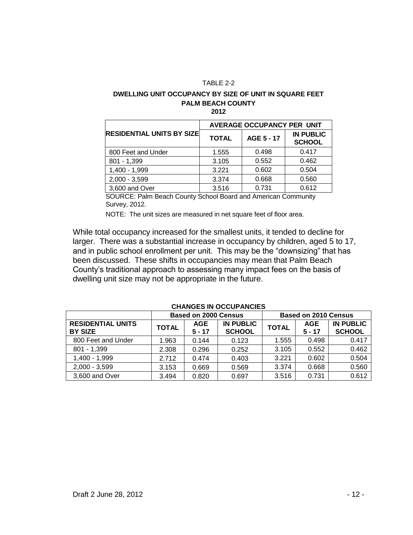#### TABLE 2-2

#### **DWELLING UNIT OCCUPANCY BY SIZE OF UNIT IN SQUARE FEET PALM BEACH COUNTY**

| ۰<br>۰. |  |
|---------|--|
|---------|--|

|                                  | <b>AVERAGE OCCUPANCY PER UNIT</b> |            |                                   |  |
|----------------------------------|-----------------------------------|------------|-----------------------------------|--|
| <b>RESIDENTIAL UNITS BY SIZE</b> | <b>TOTAL</b>                      | AGE 5 - 17 | <b>IN PUBLIC</b><br><b>SCHOOL</b> |  |
| 800 Feet and Under               | 1.555                             | 0.498      | 0.417                             |  |
| $801 - 1,399$                    | 3.105                             | 0.552      | 0.462                             |  |
| 1,400 - 1,999                    | 3.221                             | 0.602      | 0.504                             |  |
| $2,000 - 3,599$                  | 3.374                             | 0.668      | 0.560                             |  |
| 3,600 and Over                   | 3.516                             | 0.731      | 0.612                             |  |

SOURCE: Palm Beach County School Board and American Community Survey, 2012.

NOTE: The unit sizes are measured in net square feet of floor area.

While total occupancy increased for the smallest units, it tended to decline for larger. There was a substantial increase in occupancy by children, aged 5 to 17, and in public school enrollment per unit. This may be the "downsizing" that has been discussed. These shifts in occupancies may mean that Palm Beach County's traditional approach to assessing many impact fees on the basis of dwelling unit size may not be appropriate in the future.

|                                            | <b>Based on 2000 Census</b> |                        |                                   |              | <b>Based on 2010 Census</b> |                                   |
|--------------------------------------------|-----------------------------|------------------------|-----------------------------------|--------------|-----------------------------|-----------------------------------|
| <b>RESIDENTIAL UNITS</b><br><b>BY SIZE</b> | <b>TOTAL</b>                | <b>AGE</b><br>$5 - 17$ | <b>IN PUBLIC</b><br><b>SCHOOL</b> | <b>TOTAL</b> | <b>AGE</b><br>$5 - 17$      | <b>IN PUBLIC</b><br><b>SCHOOL</b> |
| 800 Feet and Under                         | 1.963                       | 0.144                  | 0.123                             | 1.555        | 0.498                       | 0.417                             |
| $801 - 1,399$                              | 2.308                       | 0.296                  | 0.252                             | 3.105        | 0.552                       | 0.462                             |
| 1,400 - 1,999                              | 2.712                       | 0.474                  | 0.403                             | 3.221        | 0.602                       | 0.504                             |
| $2,000 - 3,599$                            | 3.153                       | 0.669                  | 0.569                             | 3.374        | 0.668                       | 0.560                             |
| 3,600 and Over                             | 3.494                       | 0.820                  | 0.697                             | 3.516        | 0.731                       | 0.612                             |

#### **CHANGES IN OCCUPANCIES**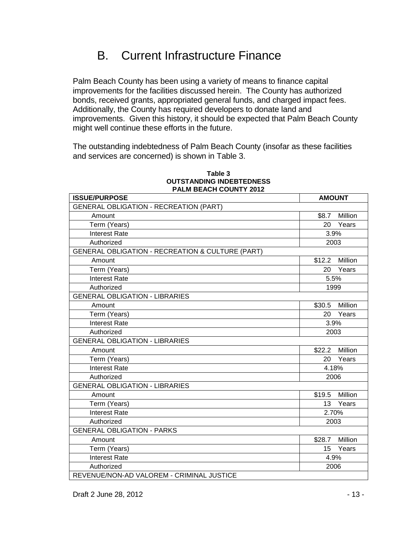### B. Current Infrastructure Finance

Palm Beach County has been using a variety of means to finance capital improvements for the facilities discussed herein. The County has authorized bonds, received grants, appropriated general funds, and charged impact fees. Additionally, the County has required developers to donate land and improvements. Given this history, it should be expected that Palm Beach County might well continue these efforts in the future.

The outstanding indebtedness of Palm Beach County (insofar as these facilities and services are concerned) is shown in Table 3.

| <b>ISSUE/PURPOSE</b>                             | <b>AMOUNT</b>             |  |
|--------------------------------------------------|---------------------------|--|
| <b>GENERAL OBLIGATION - RECREATION (PART)</b>    |                           |  |
| Amount                                           | \$8.7 Million             |  |
| Term (Years)                                     | Years<br>20               |  |
| <b>Interest Rate</b>                             | 3.9%                      |  |
| Authorized                                       | 2003                      |  |
| GENERAL OBLIGATION - RECREATION & CULTURE (PART) |                           |  |
| Amount                                           | \$12.2 Million            |  |
| Term (Years)                                     | Years<br>20               |  |
| <b>Interest Rate</b>                             | 5.5%                      |  |
| Authorized                                       | 1999                      |  |
| <b>GENERAL OBLIGATION - LIBRARIES</b>            |                           |  |
| Amount                                           | \$30.5 Million            |  |
| Term (Years)                                     | Years<br>20               |  |
| <b>Interest Rate</b>                             | 3.9%                      |  |
| Authorized                                       | 2003                      |  |
| <b>GENERAL OBLIGATION - LIBRARIES</b>            |                           |  |
| Amount                                           | \$22.2 Million            |  |
| Term (Years)                                     | Years<br>20               |  |
| <b>Interest Rate</b>                             | 4.18%                     |  |
| Authorized                                       | 2006                      |  |
| <b>GENERAL OBLIGATION - LIBRARIES</b>            |                           |  |
| Amount                                           | \$19.5 Million            |  |
| Term (Years)                                     | 13 Years                  |  |
| <b>Interest Rate</b>                             | 2.70%                     |  |
| Authorized                                       | 2003                      |  |
| <b>GENERAL OBLIGATION - PARKS</b>                |                           |  |
| Amount                                           | Million<br>\$28.7         |  |
| Term (Years)                                     | Years<br>15 <sup>15</sup> |  |
| <b>Interest Rate</b>                             | 4.9%                      |  |
| Authorized                                       | 2006                      |  |
| REVENUE/NON-AD VALOREM - CRIMINAL JUSTICE        |                           |  |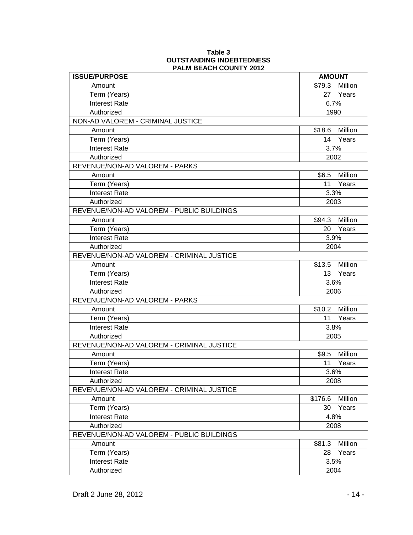| <b>ISSUE/PURPOSE</b>                      | <b>AMOUNT</b> |                |
|-------------------------------------------|---------------|----------------|
| Amount                                    | \$79.3        | Million        |
| Term (Years)                              |               | 27 Years       |
| <b>Interest Rate</b>                      | 6.7%          |                |
| Authorized                                | 1990          |                |
| NON-AD VALOREM - CRIMINAL JUSTICE         |               |                |
| Amount                                    | \$18.6        | Million        |
| Term (Years)                              |               | 14 Years       |
| <b>Interest Rate</b>                      | 3.7%          |                |
| Authorized                                | 2002          |                |
| REVENUE/NON-AD VALOREM - PARKS            |               |                |
| Amount                                    |               | \$6.5 Million  |
| Term (Years)                              |               | 11 Years       |
| <b>Interest Rate</b>                      | 3.3%          |                |
| Authorized                                | 2003          |                |
| REVENUE/NON-AD VALOREM - PUBLIC BUILDINGS |               |                |
| Amount                                    |               | \$94.3 Million |
| Term (Years)                              |               | 20 Years       |
| <b>Interest Rate</b>                      | 3.9%          |                |
| Authorized                                | 2004          |                |
| REVENUE/NON-AD VALOREM - CRIMINAL JUSTICE |               |                |
| Amount                                    |               | \$13.5 Million |
| Term (Years)                              |               | 13 Years       |
| <b>Interest Rate</b>                      | 3.6%          |                |
| Authorized                                | 2006          |                |
| REVENUE/NON-AD VALOREM - PARKS            |               |                |
| Amount                                    |               | \$10.2 Million |
| Term (Years)                              |               | 11 Years       |
| <b>Interest Rate</b>                      | 3.8%          |                |
| Authorized                                | 2005          |                |
| REVENUE/NON-AD VALOREM - CRIMINAL JUSTICE |               |                |
| Amount                                    |               | \$9.5 Million  |
| Term (Years)                              |               | 11 Years       |
| <b>Interest Rate</b>                      | 3.6%          |                |
| Authorized                                | 2008          |                |
| REVENUE/NON-AD VALOREM - CRIMINAL JUSTICE |               |                |
| Amount                                    | \$176.6       | Million        |
| Term (Years)                              | 30            | Years          |
| <b>Interest Rate</b>                      | 4.8%          |                |
| Authorized                                | 2008          |                |
| REVENUE/NON-AD VALOREM - PUBLIC BUILDINGS |               |                |
| Amount                                    | \$81.3        | Million        |
| Term (Years)                              | 28            | Years          |
| <b>Interest Rate</b>                      | 3.5%          |                |
| Authorized                                | 2004          |                |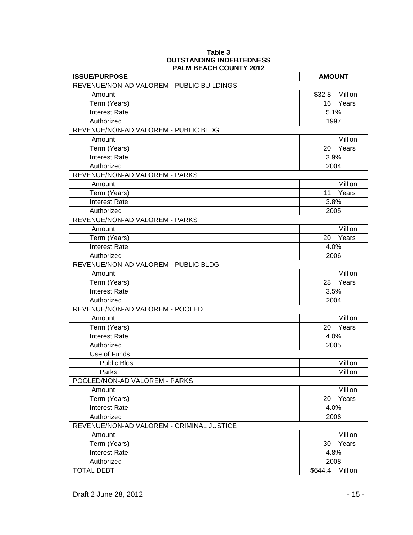| <b>ISSUE/PURPOSE</b>                      | <b>AMOUNT</b>      |
|-------------------------------------------|--------------------|
| REVENUE/NON-AD VALOREM - PUBLIC BUILDINGS |                    |
| Amount                                    | \$32.8<br>Million  |
| Term (Years)                              | Years<br>16        |
| <b>Interest Rate</b>                      | 5.1%               |
| Authorized                                | 1997               |
| REVENUE/NON-AD VALOREM - PUBLIC BLDG      |                    |
| Amount                                    | Million            |
| Term (Years)                              | 20 Years           |
| <b>Interest Rate</b>                      | 3.9%               |
| Authorized                                | 2004               |
| REVENUE/NON-AD VALOREM - PARKS            |                    |
| Amount                                    | Million            |
| Term (Years)                              | Years<br>11        |
| <b>Interest Rate</b>                      | 3.8%               |
| Authorized                                | 2005               |
| REVENUE/NON-AD VALOREM - PARKS            |                    |
| Amount                                    | Million            |
| Term (Years)                              | 20<br>Years        |
| <b>Interest Rate</b>                      | 4.0%               |
| Authorized                                | 2006               |
| REVENUE/NON-AD VALOREM - PUBLIC BLDG      |                    |
| Amount                                    | Million            |
| Term (Years)                              | Years<br>28        |
| <b>Interest Rate</b>                      | 3.5%               |
| Authorized                                | 2004               |
| REVENUE/NON-AD VALOREM - POOLED           |                    |
| Amount                                    | Million            |
| Term (Years)                              | 20<br>Years        |
| <b>Interest Rate</b>                      | 4.0%               |
| Authorized                                | 2005               |
| Use of Funds                              |                    |
| <b>Public Blds</b>                        | Million            |
| Parks                                     | Million            |
| POOLED/NON-AD VALOREM - PARKS             |                    |
| Amount                                    | Million            |
| Term (Years)                              | 20<br>Years        |
| <b>Interest Rate</b>                      | 4.0%               |
| Authorized                                | 2006               |
| REVENUE/NON-AD VALOREM - CRIMINAL JUSTICE |                    |
| Amount                                    | Million            |
| Term (Years)                              | Years<br>30        |
| <b>Interest Rate</b>                      | 4.8%               |
| Authorized                                | 2008               |
| <b>TOTAL DEBT</b>                         | Million<br>\$644.4 |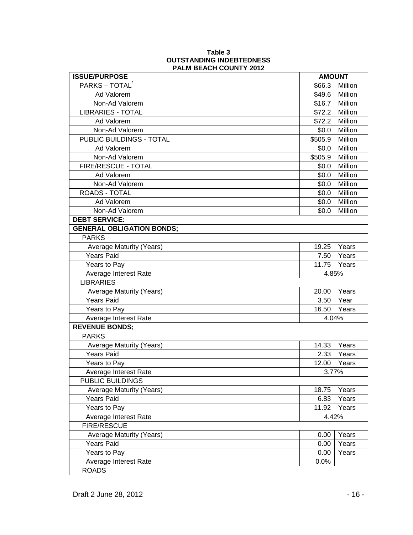| <b>ISSUE/PURPOSE</b>             | <b>AMOUNT</b> |         |
|----------------------------------|---------------|---------|
| PARKS - TOTAL <sup>1</sup>       | \$66.3        | Million |
| Ad Valorem                       | \$49.6        | Million |
| Non-Ad Valorem                   | \$16.7        | Million |
| <b>LIBRARIES - TOTAL</b>         | \$72.2        | Million |
| Ad Valorem                       | \$72.2        | Million |
| Non-Ad Valorem                   | \$0.0         | Million |
| PUBLIC BUILDINGS - TOTAL         | \$505.9       | Million |
| Ad Valorem                       | \$0.0         | Million |
| Non-Ad Valorem                   | \$505.9       | Million |
| FIRE/RESCUE - TOTAL              | \$0.0         | Million |
| Ad Valorem                       | \$0.0         | Million |
| Non-Ad Valorem                   | \$0.0         | Million |
| <b>ROADS - TOTAL</b>             | \$0.0         | Million |
| Ad Valorem                       | \$0.0         | Million |
| Non-Ad Valorem                   | \$0.0         | Million |
| <b>DEBT SERVICE:</b>             |               |         |
| <b>GENERAL OBLIGATION BONDS;</b> |               |         |
| <b>PARKS</b>                     |               |         |
| Average Maturity (Years)         | 19.25         | Years   |
| <b>Years Paid</b>                | 7.50          | Years   |
| Years to Pay                     | 11.75         | Years   |
| Average Interest Rate            | 4.85%         |         |
| <b>LIBRARIES</b>                 |               |         |
| Average Maturity (Years)         | 20.00         | Years   |
| <b>Years Paid</b>                | 3.50          | Year    |
| Years to Pay                     | 16.50         | Years   |
| Average Interest Rate            | 4.04%         |         |
| <b>REVENUE BONDS;</b>            |               |         |
| <b>PARKS</b>                     |               |         |
| Average Maturity (Years)         | 14.33         | Years   |
| <b>Years Paid</b>                | 2.33          | Years   |
| Years to Pay                     | 12.00         | Years   |
| Average Interest Rate            | 3.77%         |         |
| PUBLIC BUILDINGS                 |               |         |
| <b>Average Maturity (Years)</b>  | 18.75         | Years   |
| Years Paid                       | 6.83          | Years   |
| Years to Pay                     | 11.92         | Years   |
| Average Interest Rate            | 4.42%         |         |
| <b>FIRE/RESCUE</b>               |               |         |
| <b>Average Maturity (Years)</b>  | 0.00          | Years   |
| <b>Years Paid</b>                | 0.00          | Years   |
| Years to Pay                     | 0.00          | Years   |
| Average Interest Rate            | 0.0%          |         |
| <b>ROADS</b>                     |               |         |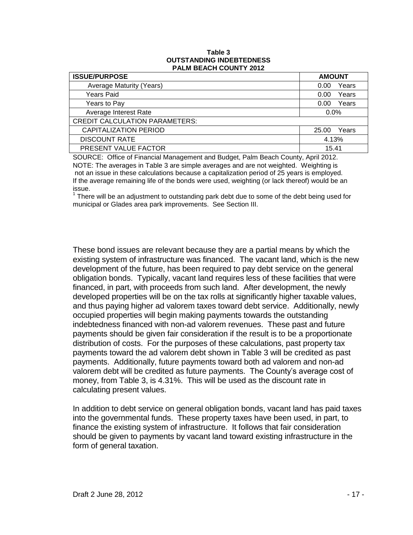| <b>ISSUE/PURPOSE</b>                  | <b>AMOUNT</b>  |  |
|---------------------------------------|----------------|--|
| Average Maturity (Years)              | Years<br>0.00  |  |
| Years Paid                            | Years<br>0.00  |  |
| Years to Pay                          | Years<br>0.00  |  |
| Average Interest Rate                 | 0.0%           |  |
| <b>CREDIT CALCULATION PARAMETERS:</b> |                |  |
| <b>CAPITALIZATION PERIOD</b>          | Years<br>25.00 |  |
| <b>DISCOUNT RATE</b>                  | 4.13%          |  |
| PRESENT VALUE FACTOR                  | 15.41          |  |

SOURCE: Office of Financial Management and Budget, Palm Beach County, April 2012. NOTE: The averages in Table 3 are simple averages and are not weighted. Weighting is not an issue in these calculations because a capitalization period of 25 years is employed. If the average remaining life of the bonds were used, weighting (or lack thereof) would be an issue.

 $1$  There will be an adjustment to outstanding park debt due to some of the debt being used for municipal or Glades area park improvements. See Section III.

These bond issues are relevant because they are a partial means by which the existing system of infrastructure was financed. The vacant land, which is the new development of the future, has been required to pay debt service on the general obligation bonds. Typically, vacant land requires less of these facilities that were financed, in part, with proceeds from such land. After development, the newly developed properties will be on the tax rolls at significantly higher taxable values, and thus paying higher ad valorem taxes toward debt service. Additionally, newly occupied properties will begin making payments towards the outstanding indebtedness financed with non-ad valorem revenues. These past and future payments should be given fair consideration if the result is to be a proportionate distribution of costs. For the purposes of these calculations, past property tax payments toward the ad valorem debt shown in Table 3 will be credited as past payments. Additionally, future payments toward both ad valorem and non-ad valorem debt will be credited as future payments. The County's average cost of money, from Table 3, is 4.31%. This will be used as the discount rate in calculating present values.

In addition to debt service on general obligation bonds, vacant land has paid taxes into the governmental funds. These property taxes have been used, in part, to finance the existing system of infrastructure. It follows that fair consideration should be given to payments by vacant land toward existing infrastructure in the form of general taxation.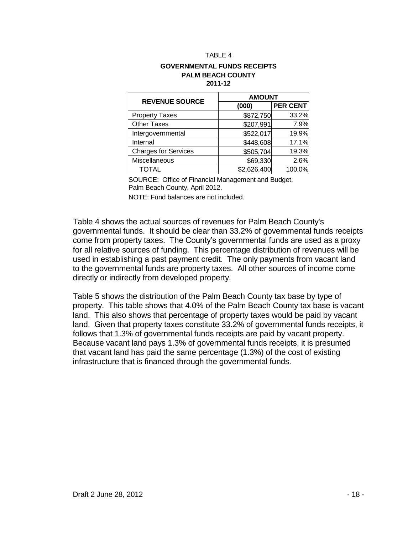#### **GOVERNMENTAL FUNDS RECEIPTS PALM BEACH COUNTY 2011-12**

| <b>REVENUE SOURCE</b>       | <b>AMOUNT</b> |                 |  |
|-----------------------------|---------------|-----------------|--|
|                             | (000)         | <b>PER CENT</b> |  |
| <b>Property Taxes</b>       | \$872,750     | 33.2%           |  |
| <b>Other Taxes</b>          | \$207,991     | 7.9%            |  |
| Intergovernmental           | \$522,017     | 19.9%           |  |
| Internal                    | \$448,608     | 17.1%           |  |
| <b>Charges for Services</b> | \$505,704     | 19.3%           |  |
| Miscellaneous               | \$69,330      | 2.6%            |  |
| <b>TOTAL</b>                | \$2,626,400   | 100.0%          |  |

SOURCE: Office of Financial Management and Budget, Palm Beach County, April 2012.

NOTE: Fund balances are not included.

Table 4 shows the actual sources of revenues for Palm Beach County's governmental funds. It should be clear than 33.2% of governmental funds receipts come from property taxes. The County's governmental funds are used as a proxy for all relative sources of funding. This percentage distribution of revenues will be used in establishing a past payment credit. The only payments from vacant land to the governmental funds are property taxes. All other sources of income come directly or indirectly from developed property.

Table 5 shows the distribution of the Palm Beach County tax base by type of property. This table shows that 4.0% of the Palm Beach County tax base is vacant land. This also shows that percentage of property taxes would be paid by vacant land. Given that property taxes constitute 33.2% of governmental funds receipts, it follows that 1.3% of governmental funds receipts are paid by vacant property. Because vacant land pays 1.3% of governmental funds receipts, it is presumed that vacant land has paid the same percentage (1.3%) of the cost of existing infrastructure that is financed through the governmental funds.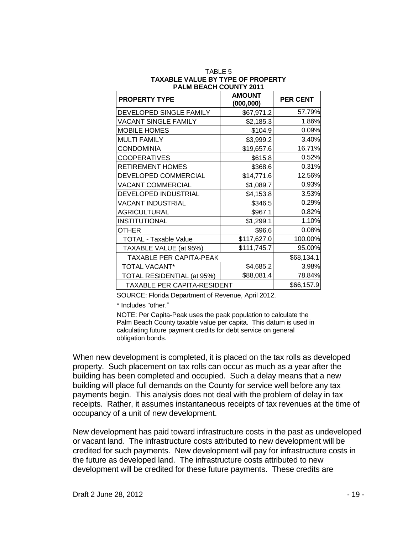| <b>PROPERTY TYPE</b>               | <b>AMOUNT</b><br>(000, 000) | <b>PER CENT</b> |
|------------------------------------|-----------------------------|-----------------|
| DEVELOPED SINGLE FAMILY            | \$67,971.2                  | 57.79%          |
| <b>VACANT SINGLE FAMILY</b>        | \$2,185.3                   | 1.86%           |
| <b>MOBILE HOMES</b>                | \$104.9                     | 0.09%           |
| <b>MULTI FAMILY</b>                | \$3,999.2                   | 3.40%           |
| <b>CONDOMINIA</b>                  | \$19,657.6                  | 16.71%          |
| <b>COOPERATIVES</b>                | \$615.8                     | 0.52%           |
| <b>RETIREMENT HOMES</b>            | \$368.6                     | 0.31%           |
| DEVELOPED COMMERCIAL               | \$14,771.6                  | 12.56%          |
| VACANT COMMERCIAL                  | \$1,089.7                   | 0.93%           |
| DEVELOPED INDUSTRIAL               | \$4,153.8                   | 3.53%           |
| <b>VACANT INDUSTRIAL</b>           | \$346.5                     | 0.29%           |
| <b>AGRICULTURAL</b>                | \$967.1                     | 0.82%           |
| <b>INSTITUTIONAL</b>               | \$1,299.1                   | 1.10%           |
| <b>OTHER</b>                       | \$96.6                      | 0.08%           |
| <b>TOTAL - Taxable Value</b>       | \$117,627.0                 | 100.00%         |
| TAXABLE VALUE (at 95%)             | \$111,745.7                 | 95.00%          |
| <b>TAXABLE PER CAPITA-PEAK</b>     |                             | \$68,134.1      |
| <b>TOTAL VACANT*</b>               | \$4,685.2                   | 3.98%           |
| TOTAL RESIDENTIAL (at 95%)         | \$88,081.4                  | 78.84%          |
| <b>TAXABLE PER CAPITA-RESIDENT</b> |                             | \$66,157.9      |

#### TABLE 5 **TAXABLE VALUE BY TYPE OF PROPERTY PALM BEACH COUNTY 2011**

SOURCE: Florida Department of Revenue, April 2012.

\* Includes "other."

NOTE: Per Capita-Peak uses the peak population to calculate the Palm Beach County taxable value per capita. This datum is used in calculating future payment credits for debt service on general obligation bonds.

When new development is completed, it is placed on the tax rolls as developed property. Such placement on tax rolls can occur as much as a year after the building has been completed and occupied. Such a delay means that a new building will place full demands on the County for service well before any tax payments begin. This analysis does not deal with the problem of delay in tax receipts. Rather, it assumes instantaneous receipts of tax revenues at the time of occupancy of a unit of new development.

New development has paid toward infrastructure costs in the past as undeveloped or vacant land. The infrastructure costs attributed to new development will be credited for such payments. New development will pay for infrastructure costs in the future as developed land. The infrastructure costs attributed to new development will be credited for these future payments. These credits are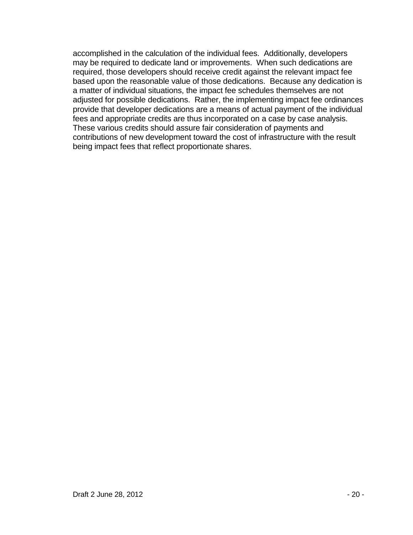accomplished in the calculation of the individual fees. Additionally, developers may be required to dedicate land or improvements. When such dedications are required, those developers should receive credit against the relevant impact fee based upon the reasonable value of those dedications. Because any dedication is a matter of individual situations, the impact fee schedules themselves are not adjusted for possible dedications. Rather, the implementing impact fee ordinances provide that developer dedications are a means of actual payment of the individual fees and appropriate credits are thus incorporated on a case by case analysis. These various credits should assure fair consideration of payments and contributions of new development toward the cost of infrastructure with the result being impact fees that reflect proportionate shares.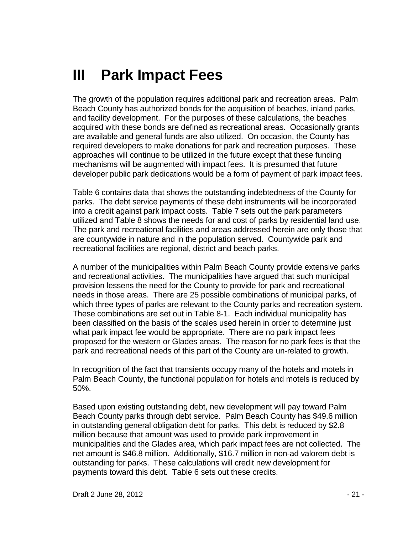### **III Park Impact Fees**

The growth of the population requires additional park and recreation areas. Palm Beach County has authorized bonds for the acquisition of beaches, inland parks, and facility development. For the purposes of these calculations, the beaches acquired with these bonds are defined as recreational areas. Occasionally grants are available and general funds are also utilized. On occasion, the County has required developers to make donations for park and recreation purposes. These approaches will continue to be utilized in the future except that these funding mechanisms will be augmented with impact fees. It is presumed that future developer public park dedications would be a form of payment of park impact fees.

Table 6 contains data that shows the outstanding indebtedness of the County for parks. The debt service payments of these debt instruments will be incorporated into a credit against park impact costs. Table 7 sets out the park parameters utilized and Table 8 shows the needs for and cost of parks by residential land use. The park and recreational facilities and areas addressed herein are only those that are countywide in nature and in the population served. Countywide park and recreational facilities are regional, district and beach parks.

A number of the municipalities within Palm Beach County provide extensive parks and recreational activities. The municipalities have argued that such municipal provision lessens the need for the County to provide for park and recreational needs in those areas. There are 25 possible combinations of municipal parks, of which three types of parks are relevant to the County parks and recreation system. These combinations are set out in Table 8-1. Each individual municipality has been classified on the basis of the scales used herein in order to determine just what park impact fee would be appropriate. There are no park impact fees proposed for the western or Glades areas. The reason for no park fees is that the park and recreational needs of this part of the County are un-related to growth.

In recognition of the fact that transients occupy many of the hotels and motels in Palm Beach County, the functional population for hotels and motels is reduced by 50%.

Based upon existing outstanding debt, new development will pay toward Palm Beach County parks through debt service. Palm Beach County has \$49.6 million in outstanding general obligation debt for parks. This debt is reduced by \$2.8 million because that amount was used to provide park improvement in municipalities and the Glades area, which park impact fees are not collected. The net amount is \$46.8 million. Additionally, \$16.7 million in non-ad valorem debt is outstanding for parks. These calculations will credit new development for payments toward this debt. Table 6 sets out these credits.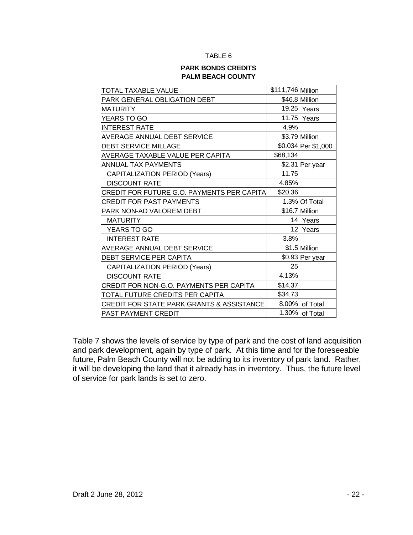#### **PARK BONDS CREDITS PALM BEACH COUNTY**

| TOTAL TAXABLE VALUE                                  | \$111,746 Million   |
|------------------------------------------------------|---------------------|
| PARK GENERAL OBLIGATION DEBT                         | \$46.8 Million      |
| <b>MATURITY</b>                                      | 19.25 Years         |
| YEARS TO GO                                          | 11.75 Years         |
| <b>INTEREST RATE</b>                                 | 4.9%                |
| AVERAGE ANNUAL DEBT SERVICE                          | \$3.79 Million      |
| <b>DEBT SERVICE MILLAGE</b>                          | \$0.034 Per \$1,000 |
| AVERAGE TAXABLE VALUE PER CAPITA                     | \$68,134            |
| <b>ANNUAL TAX PAYMENTS</b>                           | \$2.31 Per year     |
| <b>CAPITALIZATION PERIOD (Years)</b>                 | 11.75               |
| <b>DISCOUNT RATE</b>                                 | 4.85%               |
| CREDIT FOR FUTURE G.O. PAYMENTS PER CAPITA           | \$20.36             |
| CREDIT FOR PAST PAYMENTS                             | 1.3% Of Total       |
| PARK NON-AD VALOREM DEBT                             | \$16.7 Million      |
| <b>MATURITY</b>                                      | 14 Years            |
| YEARS TO GO                                          | 12 Years            |
| <b>INTEREST RATE</b>                                 | 3.8%                |
| AVERAGE ANNUAL DEBT SERVICE                          | \$1.5 Million       |
| <b>DEBT SERVICE PER CAPITA</b>                       | \$0.93 Per year     |
| <b>CAPITALIZATION PERIOD (Years)</b>                 | 25                  |
| <b>DISCOUNT RATE</b>                                 | 4.13%               |
| CREDIT FOR NON-G.O. PAYMENTS PER CAPITA              | \$14.37             |
| TOTAL FUTURE CREDITS PER CAPITA                      | \$34.73             |
| <b>CREDIT FOR STATE PARK GRANTS &amp; ASSISTANCE</b> | 8.00% of Total      |
| <b>PAST PAYMENT CREDIT</b>                           | 1.30% of Total      |

Table 7 shows the levels of service by type of park and the cost of land acquisition and park development, again by type of park. At this time and for the foreseeable future, Palm Beach County will not be adding to its inventory of park land. Rather, it will be developing the land that it already has in inventory. Thus, the future level of service for park lands is set to zero.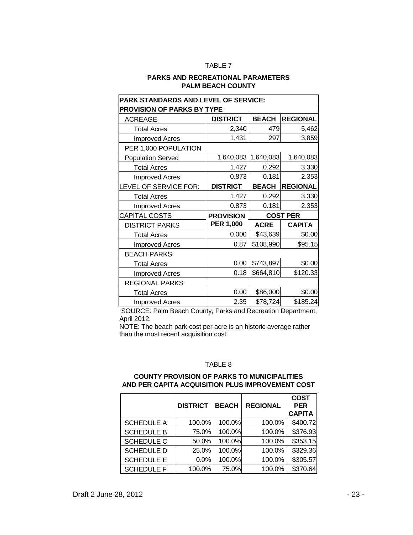#### **PARKS AND RECREATIONAL PARAMETERS PALM BEACH COUNTY**

| PARK STANDARDS AND LEVEL OF SERVICE: |                  |                 |                 |  |  |
|--------------------------------------|------------------|-----------------|-----------------|--|--|
| <b>PROVISION OF PARKS BY TYPE</b>    |                  |                 |                 |  |  |
| <b>ACREAGE</b>                       | <b>DISTRICT</b>  | <b>BEACH</b>    | <b>REGIONAL</b> |  |  |
| <b>Total Acres</b>                   | 2,340            | 479             | 5,462           |  |  |
| Improved Acres                       | 1,431            | 297             | 3,859           |  |  |
| PER 1,000 POPULATION                 |                  |                 |                 |  |  |
| <b>Population Served</b>             | 1,640,083        | 1,640,083       | 1,640,083       |  |  |
| <b>Total Acres</b>                   | 1.427            | 0.292           | 3.330           |  |  |
| <b>Improved Acres</b>                | 0.873            | 0.181           | 2.353           |  |  |
| LEVEL OF SERVICE FOR:                | <b>DISTRICT</b>  | <b>BEACH</b>    | <b>REGIONAL</b> |  |  |
| <b>Total Acres</b>                   | 1.427            | 0.292           | 3.330           |  |  |
| <b>Improved Acres</b>                | 0.873            | 0.181           | 2.353           |  |  |
| CAPITAL COSTS                        | <b>PROVISION</b> | <b>COST PER</b> |                 |  |  |
| <b>DISTRICT PARKS</b>                | <b>PER 1,000</b> | <b>ACRE</b>     | <b>CAPITA</b>   |  |  |
| <b>Total Acres</b>                   | 0.000            | \$43,639        | \$0.00          |  |  |
| <b>Improved Acres</b>                | 0.87             | \$108,990       | \$95.15         |  |  |
| <b>BEACH PARKS</b>                   |                  |                 |                 |  |  |
|                                      |                  |                 |                 |  |  |
| <b>Total Acres</b>                   | 0.00             | \$743,897       | \$0.00          |  |  |
| <b>Improved Acres</b>                | 0.18             | \$664,810       | \$120.33        |  |  |
| <b>REGIONAL PARKS</b>                |                  |                 |                 |  |  |
| <b>Total Acres</b>                   | 0.00             | \$86,000        | \$0.00          |  |  |

SOURCE: Palm Beach County, Parks and Recreation Department, April 2012.

NOTE: The beach park cost per acre is an historic average rather than the most recent acquisition cost.

#### TABLE 8

#### **COUNTY PROVISION OF PARKS TO MUNICIPALITIES AND PER CAPITA ACQUISITION PLUS IMPROVEMENT COST**

|                   | <b>DISTRICT</b> | <b>BEACH</b> | <b>REGIONAL</b> | <b>COST</b><br><b>PER</b><br><b>CAPITA</b> |
|-------------------|-----------------|--------------|-----------------|--------------------------------------------|
| <b>SCHEDULE A</b> | 100.0%          | 100.0%       | 100.0%          | \$400.72                                   |
| <b>SCHEDULE B</b> | 75.0%           | 100.0%       | 100.0%          | \$376.93                                   |
| <b>SCHEDULE C</b> | 50.0%           | 100.0%       | 100.0%          | \$353.15                                   |
| <b>SCHEDULE D</b> | 25.0%           | 100.0%       | 100.0%          | \$329.36                                   |
| <b>SCHEDULE E</b> | 0.0%            | 100.0%       | 100.0%          | \$305.57                                   |
| <b>SCHEDULE F</b> | 100.0%          | 75.0%        | 100.0%          | \$370.64                                   |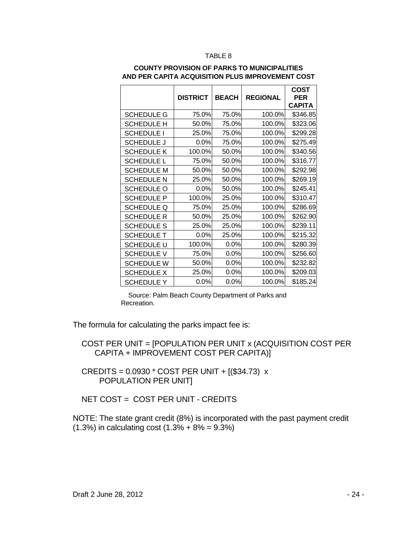|                   | <b>DISTRICT</b> | <b>BEACH</b> | <b>REGIONAL</b> | COST<br>PER<br><b>CAPITA</b> |
|-------------------|-----------------|--------------|-----------------|------------------------------|
| <b>SCHEDULE G</b> | 75.0%           | 75.0%        | 100.0%          | \$346.85                     |
| <b>SCHEDULE H</b> | 50.0%           | 75.0%        | 100.0%          | \$323.06                     |
| <b>SCHEDULE I</b> | 25.0%           | 75.0%        | 100.0%          | \$299.28                     |
| <b>SCHEDULE J</b> | 0.0%            | 75.0%        | 100.0%          | \$275.49                     |
| <b>SCHEDULE K</b> | 100.0%          | 50.0%        | 100.0%          | \$340.56                     |
| <b>SCHEDULE L</b> | 75.0%           | 50.0%        | 100.0%          | \$316.77                     |
| <b>SCHEDULE M</b> | 50.0%           | 50.0%        | 100.0%          | \$292.98                     |
| <b>SCHEDULE N</b> | 25.0%           | 50.0%        | 100.0%          | \$269.19                     |
| <b>SCHEDULE O</b> | 0.0%            | 50.0%        | 100.0%          | \$245.41                     |
| <b>SCHEDULE P</b> | 100.0%          | 25.0%        | 100.0%          | \$310.47                     |
| <b>SCHEDULE Q</b> | 75.0%           | 25.0%        | 100.0%          | \$286.69                     |
| <b>SCHEDULE R</b> | 50.0%           | 25.0%        | 100.0%          | \$262.90                     |
| <b>SCHEDULE S</b> | 25.0%           | 25.0%        | 100.0%          | \$239.11                     |
| <b>SCHEDULE T</b> | 0.0%            | 25.0%        | 100.0%          | \$215.32                     |
| <b>SCHEDULE U</b> | 100.0%          | 0.0%         | 100.0%          | \$280.39                     |
| <b>SCHEDULE V</b> | 75.0%           | 0.0%         | 100.0%          | \$256.60                     |
| <b>SCHEDULE W</b> | 50.0%           | $0.0\%$      | 100.0%          | \$232.82                     |
| <b>SCHEDULE X</b> | 25.0%           | 0.0%         | 100.0%          | \$209.03                     |
| SCHEDULE Y        | 0.0%            | $0.0\%$      | 100.0%          | \$185.24                     |

#### **COUNTY PROVISION OF PARKS TO MUNICIPALITIES AND PER CAPITA ACQUISITION PLUS IMPROVEMENT COST**

 Source: Palm Beach County Department of Parks and Recreation.

The formula for calculating the parks impact fee is:

 COST PER UNIT = [POPULATION PER UNIT x (ACQUISITION COST PER CAPITA + IMPROVEMENT COST PER CAPITA)]

 CREDITS = 0.0930 \* COST PER UNIT + [(\$34.73) x POPULATION PER UNIT]

NET COST = COST PER UNIT - CREDITS

NOTE: The state grant credit (8%) is incorporated with the past payment credit  $(1.3\%)$  in calculating cost  $(1.3\% + 8\% = 9.3\%)$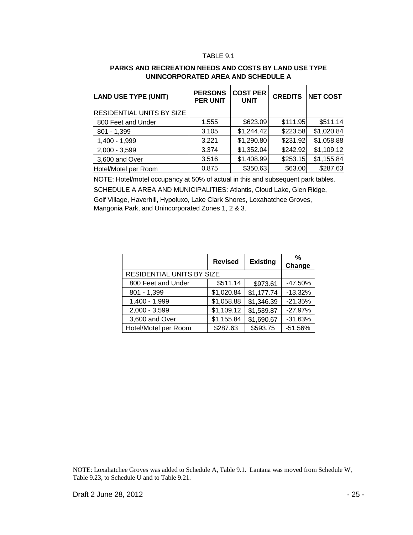#### TABLE 9.1

| <b>LAND USE TYPE (UNIT)</b>      | <b>PERSONS</b><br><b>PER UNIT</b> | <b>COST PER</b><br><b>UNIT</b> | <b>CREDITS</b> | <b>NET COST</b> |
|----------------------------------|-----------------------------------|--------------------------------|----------------|-----------------|
| <b>RESIDENTIAL UNITS BY SIZE</b> |                                   |                                |                |                 |
| 800 Feet and Under               | 1.555                             | \$623.09                       | \$111.95       | \$511.14        |
| $801 - 1,399$                    | 3.105                             | \$1,244.42                     | \$223.58       | \$1,020.84      |
| 1,400 - 1,999                    | 3.221                             | \$1,290.80                     | \$231.92       | \$1,058.88      |
| $2,000 - 3,599$                  | 3.374                             | \$1,352.04                     | \$242.92       | \$1,109.12      |
| 3,600 and Over                   | 3.516                             | \$1,408.99                     | \$253.15       | \$1,155.84      |
| Hotel/Motel per Room             | 0.875                             | \$350.63                       | \$63.00        | \$287.63        |

#### **PARKS AND RECREATION NEEDS AND COSTS BY LAND USE TYPE UNINCORPORATED AREA AND SCHEDULE A**

NOTE: Hotel/motel occupancy at 50% of actual in this and subsequent park tables. SCHEDULE A AREA AND MUNICIPALITIES: Atlantis, Cloud Lake, Glen Ridge, Golf Village, Haverhill, Hypoluxo, Lake Clark Shores, Loxahatchee Groves, Mangonia Park, and Unincorporated Zones 1, 2 & 3.

|                           | <b>Revised</b> | <b>Existing</b> | %<br>Change |
|---------------------------|----------------|-----------------|-------------|
| RESIDENTIAL UNITS BY SIZE |                |                 |             |
| 800 Feet and Under        | \$511.14       | \$973.61        | $-47.50%$   |
| $801 - 1,399$             | \$1,020.84     | \$1,177.74      | $-13.32%$   |
| 1,400 - 1,999             | \$1,058.88     | \$1,346.39      | $-21.35%$   |
| $2,000 - 3,599$           | \$1,109.12     | \$1,539.87      | $-27.97%$   |
| 3,600 and Over            | \$1,155.84     | \$1,690.67      | $-31.63%$   |
| Hotel/Motel per Room      | \$287.63       | \$593.75        | $-51.56%$   |

 $\overline{a}$ 

NOTE: Loxahatchee Groves was added to Schedule A, Table 9.1. Lantana was moved from Schedule W, Table 9.23, to Schedule U and to Table 9.21.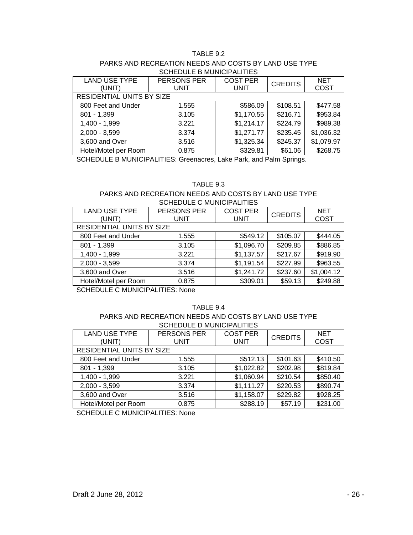#### TABLE 9.2

#### PARKS AND RECREATION NEEDS AND COSTS BY LAND USE TYPE SCHEDULE B MUNICIPALITIES

| <b>LAND USE TYPE</b>      | PERSONS PER | <b>COST PER</b> | <b>CREDITS</b> | <b>NET</b>  |  |
|---------------------------|-------------|-----------------|----------------|-------------|--|
| (UNIT)                    | <b>UNIT</b> | <b>UNIT</b>     |                | <b>COST</b> |  |
| RESIDENTIAL UNITS BY SIZE |             |                 |                |             |  |
| 800 Feet and Under        | 1.555       | \$586.09        | \$108.51       | \$477.58    |  |
| $801 - 1,399$             | 3.105       | \$1,170.55      | \$216.71       | \$953.84    |  |
| 1,400 - 1,999             | 3.221       | \$1,214.17      | \$224.79       | \$989.38    |  |
| $2,000 - 3,599$           | 3.374       | \$1,271.77      | \$235.45       | \$1,036.32  |  |
| 3,600 and Over            | 3.516       | \$1,325.34      | \$245.37       | \$1,079.97  |  |
| Hotel/Motel per Room      | 0.875       | \$329.81        | \$61.06        | \$268.75    |  |

SCHEDULE B MUNICIPALITIES: Greenacres, Lake Park, and Palm Springs.

#### TABLE 9.3

#### PARKS AND RECREATION NEEDS AND COSTS BY LAND USE TYPE SCHEDULE C MUNICIPALITIES

| <b>LAND USE TYPE</b>      | <b>PERSONS PER</b> | <b>COST PER</b> | <b>CREDITS</b> | <b>NET</b>  |
|---------------------------|--------------------|-----------------|----------------|-------------|
| (UNIT)                    | <b>UNIT</b>        | <b>UNIT</b>     |                | <b>COST</b> |
| RESIDENTIAL UNITS BY SIZE |                    |                 |                |             |
| 800 Feet and Under        | 1.555              | \$549.12        | \$105.07       | \$444.05    |
| $801 - 1,399$             | 3.105              | \$1,096.70      | \$209.85       | \$886.85    |
| 1,400 - 1,999             | 3.221              | \$1,137.57      | \$217.67       | \$919.90    |
| $2,000 - 3,599$           | 3.374              | \$1,191.54      | \$227.99       | \$963.55    |
| 3,600 and Over            | 3.516              | \$1,241.72      | \$237.60       | \$1,004.12  |
| Hotel/Motel per Room      | 0.875              | \$309.01        | \$59.13        | \$249.88    |

SCHEDULE C MUNICIPALITIES: None

#### TABLE 9.4

#### PARKS AND RECREATION NEEDS AND COSTS BY LAND USE TYPE SCHEDULE D MUNICIPALITIES

| <b>LAND USE TYPE</b><br>(UNIT) | PERSONS PER<br><b>UNIT</b> | <b>COST PER</b><br><b>UNIT</b> | <b>CREDITS</b> | <b>NET</b><br><b>COST</b> |
|--------------------------------|----------------------------|--------------------------------|----------------|---------------------------|
| RESIDENTIAL UNITS BY SIZE      |                            |                                |                |                           |
| 800 Feet and Under             | 1.555                      | \$512.13                       | \$101.63       | \$410.50                  |
| $801 - 1,399$                  | 3.105                      | \$1,022.82                     | \$202.98       | \$819.84                  |
| 1,400 - 1,999                  | 3.221                      | \$1,060.94                     | \$210.54       | \$850.40                  |
| $2,000 - 3,599$                | 3.374                      | \$1,111.27                     | \$220.53       | \$890.74                  |
| 3,600 and Over                 | 3.516                      | \$1,158.07                     | \$229.82       | \$928.25                  |
| Hotel/Motel per Room           | 0.875                      | \$288.19                       | \$57.19        | \$231.00                  |

SCHEDULE C MUNICIPALITIES: None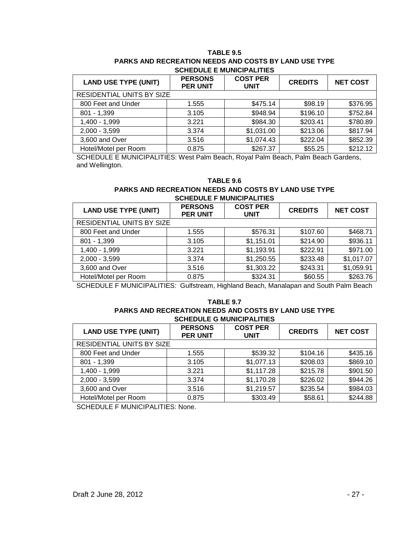#### **TABLE 9.5 PARKS AND RECREATION NEEDS AND COSTS BY LAND USE TYPE SCHEDULE E MUNICIPALITIES**

| <b>LAND USE TYPE (UNIT)</b> | <b>PERSONS</b><br><b>PER UNIT</b> | <b>COST PER</b><br><b>UNIT</b> | <b>CREDITS</b> | <b>NET COST</b> |
|-----------------------------|-----------------------------------|--------------------------------|----------------|-----------------|
| RESIDENTIAL UNITS BY SIZE   |                                   |                                |                |                 |
| 800 Feet and Under          | 1.555                             | \$475.14                       | \$98.19        | \$376.95        |
| $801 - 1,399$               | 3.105                             | \$948.94                       | \$196.10       | \$752.84        |
| 1,400 - 1,999               | 3.221                             | \$984.30                       | \$203.41       | \$780.89        |
| $2,000 - 3,599$             | 3.374                             | \$1,031.00                     | \$213.06       | \$817.94        |
| 3,600 and Over              | 3.516                             | \$1,074.43                     | \$222.04       | \$852.39        |
| Hotel/Motel per Room        | 0.875                             | \$267.37                       | \$55.25        | \$212.12        |

SCHEDULE E MUNICIPALITIES: West Palm Beach, Royal Palm Beach, Palm Beach Gardens, and Wellington.

#### **TABLE 9.6**

#### **PARKS AND RECREATION NEEDS AND COSTS BY LAND USE TYPE SCHEDULE F MUNICIPALITIES**

| <b>LAND USE TYPE (UNIT)</b>      | <b>PERSONS</b><br><b>PER UNIT</b> | <b>COST PER</b><br><b>UNIT</b> | <b>CREDITS</b> | <b>NET COST</b> |
|----------------------------------|-----------------------------------|--------------------------------|----------------|-----------------|
| <b>RESIDENTIAL UNITS BY SIZE</b> |                                   |                                |                |                 |
| 800 Feet and Under               | 1.555                             | \$576.31                       | \$107.60       | \$468.71        |
| $801 - 1,399$                    | 3.105                             | \$1,151.01                     | \$214.90       | \$936.11        |
| 1,400 - 1,999                    | 3.221                             | \$1,193.91                     | \$222.91       | \$971.00        |
| $2,000 - 3,599$                  | 3.374                             | \$1,250.55                     | \$233.48       | \$1,017.07      |
| 3,600 and Over                   | 3.516                             | \$1,303.22                     | \$243.31       | \$1,059.91      |
| Hotel/Motel per Room             | 0.875                             | \$324.31                       | \$60.55        | \$263.76        |

SCHEDULE F MUNICIPALITIES: Gulfstream, Highland Beach, Manalapan and South Palm Beach

#### **TABLE 9.7**

#### **PARKS AND RECREATION NEEDS AND COSTS BY LAND USE TYPE SCHEDULE G MUNICIPALITIES**

| <b>LAND USE TYPE (UNIT)</b> | <b>PERSONS</b><br><b>PER UNIT</b> | <b>COST PER</b><br><b>UNIT</b> | <b>CREDITS</b> | <b>NET COST</b> |
|-----------------------------|-----------------------------------|--------------------------------|----------------|-----------------|
| RESIDENTIAL UNITS BY SIZE   |                                   |                                |                |                 |
| 800 Feet and Under          | 1.555                             | \$539.32                       | \$104.16       | \$435.16        |
| $801 - 1,399$               | 3.105                             | \$1,077.13                     | \$208.03       | \$869.10        |
| 1,400 - 1,999               | 3.221                             | \$1,117.28                     | \$215.78       | \$901.50        |
| $2,000 - 3,599$             | 3.374                             | \$1,170.28                     | \$226.02       | \$944.26        |
| 3,600 and Over              | 3.516                             | \$1,219.57                     | \$235.54       | \$984.03        |
| Hotel/Motel per Room        | 0.875                             | \$303.49                       | \$58.61        | \$244.88        |

SCHEDULE F MUNICIPALITIES: None.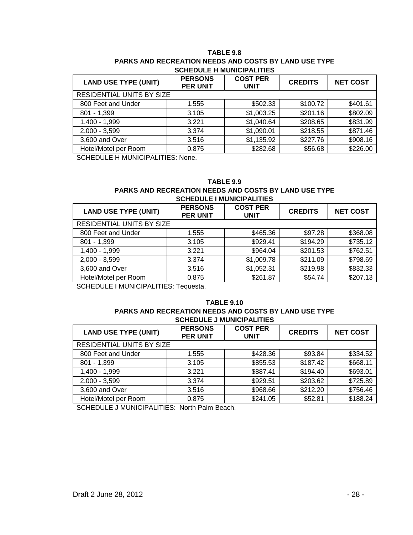#### **TABLE 9.8 PARKS AND RECREATION NEEDS AND COSTS BY LAND USE TYPE SCHEDULE H MUNICIPALITIES**

| <b>LAND USE TYPE (UNIT)</b> | <b>PERSONS</b><br><b>PER UNIT</b> | <b>COST PER</b><br><b>UNIT</b> | <b>CREDITS</b> | <b>NET COST</b> |  |
|-----------------------------|-----------------------------------|--------------------------------|----------------|-----------------|--|
| RESIDENTIAL UNITS BY SIZE   |                                   |                                |                |                 |  |
| 800 Feet and Under          | 1.555                             | \$502.33                       | \$100.72       | \$401.61        |  |
| $801 - 1,399$               | 3.105                             | \$1,003.25                     | \$201.16       | \$802.09        |  |
| 1,400 - 1,999               | 3.221                             | \$1,040.64                     | \$208.65       | \$831.99        |  |
| $2,000 - 3,599$             | 3.374                             | \$1,090.01                     | \$218.55       | \$871.46        |  |
| 3,600 and Over              | 3.516                             | \$1,135.92                     | \$227.76       | \$908.16        |  |
| Hotel/Motel per Room        | 0.875                             | \$282.68                       | \$56.68        | \$226.00        |  |

SCHEDULE H MUNICIPALITIES: None.

### **TABLE 9.9**

#### **PARKS AND RECREATION NEEDS AND COSTS BY LAND USE TYPE SCHEDULE I MUNICIPALITIES**

| <b>LAND USE TYPE (UNIT)</b> | <b>PERSONS</b><br><b>PER UNIT</b> | <b>COST PER</b><br><b>UNIT</b> | <b>CREDITS</b> | <b>NET COST</b> |
|-----------------------------|-----------------------------------|--------------------------------|----------------|-----------------|
| RESIDENTIAL UNITS BY SIZE   |                                   |                                |                |                 |
| 800 Feet and Under          | 1.555                             | \$465.36                       | \$97.28        | \$368.08        |
| $801 - 1,399$               | 3.105                             | \$929.41                       | \$194.29       | \$735.12        |
| 1,400 - 1,999               | 3.221                             | \$964.04                       | \$201.53       | \$762.51        |
| $2,000 - 3,599$             | 3.374                             | \$1,009.78                     | \$211.09       | \$798.69        |
| 3,600 and Over              | 3.516                             | \$1,052.31                     | \$219.98       | \$832.33        |
| Hotel/Motel per Room        | 0.875                             | \$261.87                       | \$54.74        | \$207.13        |

SCHEDULE I MUNICIPALITIES: Tequesta.

#### **TABLE 9.10 PARKS AND RECREATION NEEDS AND COSTS BY LAND USE TYPE SCHEDULE J MUNICIPALITIES**

| <b>LAND USE TYPE (UNIT)</b> | <b>PERSONS</b><br><b>PER UNIT</b> | <b>COST PER</b><br><b>UNIT</b> | <b>CREDITS</b> | <b>NET COST</b> |
|-----------------------------|-----------------------------------|--------------------------------|----------------|-----------------|
| RESIDENTIAL UNITS BY SIZE   |                                   |                                |                |                 |
| 800 Feet and Under          | 1.555                             | \$428.36                       | \$93.84        | \$334.52        |
| $801 - 1,399$               | 3.105                             | \$855.53                       | \$187.42       | \$668.11        |
| 1,400 - 1,999               | 3.221                             | \$887.41                       | \$194.40       | \$693.01        |
| $2,000 - 3,599$             | 3.374                             | \$929.51                       | \$203.62       | \$725.89        |
| 3,600 and Over              | 3.516                             | \$968.66                       | \$212.20       | \$756.46        |
| Hotel/Motel per Room        | 0.875                             | \$241.05                       | \$52.81        | \$188.24        |

SCHEDULE J MUNICIPALITIES: North Palm Beach.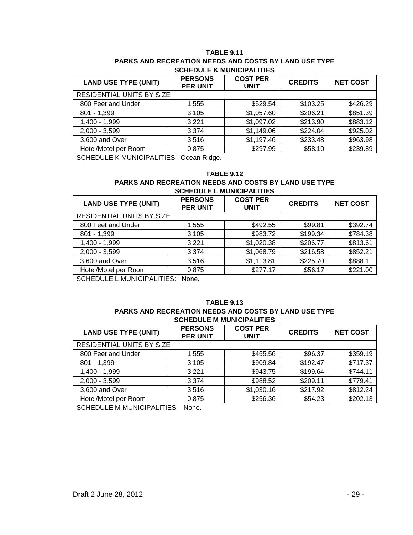#### **TABLE 9.11 PARKS AND RECREATION NEEDS AND COSTS BY LAND USE TYPE SCHEDULE K MUNICIPALITIES**

| <b>LAND USE TYPE (UNIT)</b> | <b>PERSONS</b><br><b>PER UNIT</b> | <b>COST PER</b><br><b>UNIT</b> | <b>CREDITS</b> | <b>NET COST</b> |  |
|-----------------------------|-----------------------------------|--------------------------------|----------------|-----------------|--|
| RESIDENTIAL UNITS BY SIZE   |                                   |                                |                |                 |  |
| 800 Feet and Under          | 1.555                             | \$529.54                       | \$103.25       | \$426.29        |  |
| $801 - 1,399$               | 3.105                             | \$1,057.60                     | \$206.21       | \$851.39        |  |
| 1,400 - 1,999               | 3.221                             | \$1,097.02                     | \$213.90       | \$883.12        |  |
| $2,000 - 3,599$             | 3.374                             | \$1,149.06                     | \$224.04       | \$925.02        |  |
| 3,600 and Over              | 3.516                             | \$1,197.46                     | \$233.48       | \$963.98        |  |
| Hotel/Motel per Room        | 0.875                             | \$297.99                       | \$58.10        | \$239.89        |  |

SCHEDULE K MUNICIPALITIES: Ocean Ridge.

#### **TABLE 9.12**

#### **PARKS AND RECREATION NEEDS AND COSTS BY LAND USE TYPE SCHEDULE L MUNICIPALITIES**

| <b>LAND USE TYPE (UNIT)</b> | <b>PERSONS</b><br><b>PER UNIT</b> | <b>COST PER</b><br><b>UNIT</b> | <b>CREDITS</b> | <b>NET COST</b> |  |
|-----------------------------|-----------------------------------|--------------------------------|----------------|-----------------|--|
| RESIDENTIAL UNITS BY SIZE   |                                   |                                |                |                 |  |
| 800 Feet and Under          | 1.555                             | \$492.55                       | \$99.81        | \$392.74        |  |
| $801 - 1,399$               | 3.105                             | \$983.72                       | \$199.34       | \$784.38        |  |
| 1,400 - 1,999               | 3.221                             | \$1,020.38                     | \$206.77       | \$813.61        |  |
| $2,000 - 3,599$             | 3.374                             | \$1,068.79                     | \$216.58       | \$852.21        |  |
| 3,600 and Over              | 3.516                             | \$1,113.81                     | \$225.70       | \$888.11        |  |
| Hotel/Motel per Room        | 0.875                             | \$277.17                       | \$56.17        | \$221.00        |  |

SCHEDULE L MUNICIPALITIES: None.

#### **TABLE 9.13 PARKS AND RECREATION NEEDS AND COSTS BY LAND USE TYPE SCHEDULE M MUNICIPALITIES**

| <b>LAND USE TYPE (UNIT)</b> | <b>PERSONS</b><br><b>PER UNIT</b> | <b>COST PER</b><br><b>UNIT</b> | <b>CREDITS</b> | <b>NET COST</b> |  |
|-----------------------------|-----------------------------------|--------------------------------|----------------|-----------------|--|
| RESIDENTIAL UNITS BY SIZE   |                                   |                                |                |                 |  |
| 800 Feet and Under          | 1.555                             | \$455.56                       | \$96.37        | \$359.19        |  |
| $801 - 1,399$               | 3.105                             | \$909.84                       | \$192.47       | \$717.37        |  |
| 1,400 - 1,999               | 3.221                             | \$943.75                       | \$199.64       | \$744.11        |  |
| $2,000 - 3,599$             | 3.374                             | \$988.52                       | \$209.11       | \$779.41        |  |
| 3,600 and Over              | 3.516                             | \$1,030.16                     | \$217.92       | \$812.24        |  |
| Hotel/Motel per Room        | 0.875                             | \$256.36                       | \$54.23        | \$202.13        |  |

SCHEDULE M MUNICIPALITIES: None.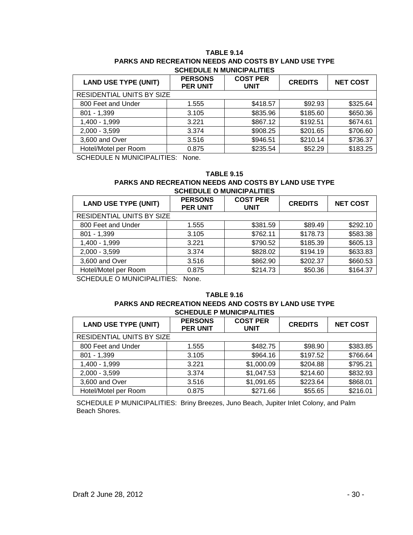#### **TABLE 9.14 PARKS AND RECREATION NEEDS AND COSTS BY LAND USE TYPE SCHEDULE N MUNICIPALITIES**

| <b>LAND USE TYPE (UNIT)</b> | <b>PERSONS</b><br><b>PER UNIT</b> | <b>COST PER</b><br><b>UNIT</b> | <b>CREDITS</b> | <b>NET COST</b> |  |
|-----------------------------|-----------------------------------|--------------------------------|----------------|-----------------|--|
| RESIDENTIAL UNITS BY SIZE   |                                   |                                |                |                 |  |
| 800 Feet and Under          | 1.555                             | \$418.57                       | \$92.93        | \$325.64        |  |
| $801 - 1,399$               | 3.105                             | \$835.96                       | \$185.60       | \$650.36        |  |
| 1,400 - 1,999               | 3.221                             | \$867.12                       | \$192.51       | \$674.61        |  |
| $2,000 - 3,599$             | 3.374                             | \$908.25                       | \$201.65       | \$706.60        |  |
| 3,600 and Over              | 3.516                             | \$946.51                       | \$210.14       | \$736.37        |  |
| Hotel/Motel per Room        | 0.875                             | \$235.54                       | \$52.29        | \$183.25        |  |

SCHEDULE N MUNICIPALITIES: None.

#### **TABLE 9.15**

#### **PARKS AND RECREATION NEEDS AND COSTS BY LAND USE TYPE SCHEDULE O MUNICIPALITIES**

| <b>LAND USE TYPE (UNIT)</b> | <b>PERSONS</b><br><b>PER UNIT</b> | <b>COST PER</b><br><b>UNIT</b> | <b>CREDITS</b> | <b>NET COST</b> |
|-----------------------------|-----------------------------------|--------------------------------|----------------|-----------------|
| RESIDENTIAL UNITS BY SIZE   |                                   |                                |                |                 |
| 800 Feet and Under          | 1.555                             | \$381.59                       | \$89.49        | \$292.10        |
| $801 - 1,399$               | 3.105                             | \$762.11                       | \$178.73       | \$583.38        |
| 1,400 - 1,999               | 3.221                             | \$790.52                       | \$185.39       | \$605.13        |
| $2,000 - 3,599$             | 3.374                             | \$828.02                       | \$194.19       | \$633.83        |
| 3,600 and Over              | 3.516                             | \$862.90                       | \$202.37       | \$660.53        |
| Hotel/Motel per Room        | 0.875                             | \$214.73                       | \$50.36        | \$164.37        |

SCHEDULE O MUNICIPALITIES: None.

#### **TABLE 9.16 PARKS AND RECREATION NEEDS AND COSTS BY LAND USE TYPE SCHEDULE P MUNICIPALITIES**

| <u>JUILDULLI MUNIUI ALIILU</u> |                                   |                                |                |                 |  |
|--------------------------------|-----------------------------------|--------------------------------|----------------|-----------------|--|
| <b>LAND USE TYPE (UNIT)</b>    | <b>PERSONS</b><br><b>PER UNIT</b> | <b>COST PER</b><br><b>UNIT</b> | <b>CREDITS</b> | <b>NET COST</b> |  |
| RESIDENTIAL UNITS BY SIZE      |                                   |                                |                |                 |  |
| 800 Feet and Under             | 1.555                             | \$482.75                       | \$98.90        | \$383.85        |  |
| $801 - 1,399$                  | 3.105                             | \$964.16                       | \$197.52       | \$766.64        |  |
| 1,400 - 1,999                  | 3.221                             | \$1,000.09                     | \$204.88       | \$795.21        |  |
| $2,000 - 3,599$                | 3.374                             | \$1,047.53                     | \$214.60       | \$832.93        |  |
| 3,600 and Over                 | 3.516                             | \$1,091.65                     | \$223.64       | \$868.01        |  |
| Hotel/Motel per Room           | 0.875                             | \$271.66                       | \$55.65        | \$216.01        |  |

SCHEDULE P MUNICIPALITIES: Briny Breezes, Juno Beach, Jupiter Inlet Colony, and Palm Beach Shores.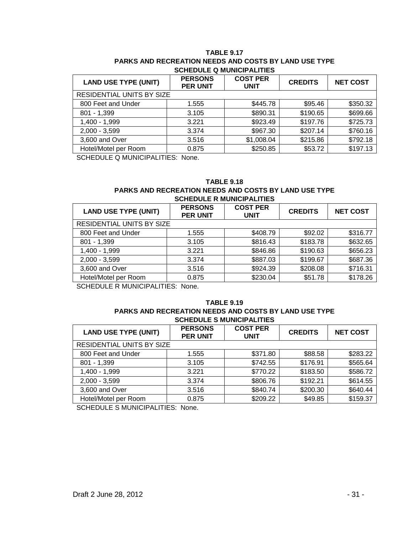#### **TABLE 9.17 PARKS AND RECREATION NEEDS AND COSTS BY LAND USE TYPE SCHEDULE Q MUNICIPALITIES**

| <b>LAND USE TYPE (UNIT)</b> | <b>PERSONS</b><br><b>PER UNIT</b> | <b>COST PER</b><br><b>UNIT</b> | <b>CREDITS</b> | <b>NET COST</b> |
|-----------------------------|-----------------------------------|--------------------------------|----------------|-----------------|
| RESIDENTIAL UNITS BY SIZE   |                                   |                                |                |                 |
| 800 Feet and Under          | 1.555                             | \$445.78                       | \$95.46        | \$350.32        |
| $801 - 1,399$               | 3.105                             | \$890.31                       | \$190.65       | \$699.66        |
| 1,400 - 1,999               | 3.221                             | \$923.49                       | \$197.76       | \$725.73        |
| $2,000 - 3,599$             | 3.374                             | \$967.30                       | \$207.14       | \$760.16        |
| 3,600 and Over              | 3.516                             | \$1,008.04                     | \$215.86       | \$792.18        |
| Hotel/Motel per Room        | 0.875                             | \$250.85                       | \$53.72        | \$197.13        |

SCHEDULE Q MUNICIPALITIES: None.

#### **TABLE 9.18**

#### **PARKS AND RECREATION NEEDS AND COSTS BY LAND USE TYPE SCHEDULE R MUNICIPALITIES**

| <b>LAND USE TYPE (UNIT)</b> | <b>PERSONS</b><br><b>PER UNIT</b> | <b>COST PER</b><br><b>UNIT</b> | <b>CREDITS</b> | <b>NET COST</b> |
|-----------------------------|-----------------------------------|--------------------------------|----------------|-----------------|
| RESIDENTIAL UNITS BY SIZE   |                                   |                                |                |                 |
| 800 Feet and Under          | 1.555                             | \$408.79                       | \$92.02        | \$316.77        |
| $801 - 1,399$               | 3.105                             | \$816.43                       | \$183.78       | \$632.65        |
| 1,400 - 1,999               | 3.221                             | \$846.86                       | \$190.63       | \$656.23        |
| $2,000 - 3,599$             | 3.374                             | \$887.03                       | \$199.67       | \$687.36        |
| 3,600 and Over              | 3.516                             | \$924.39                       | \$208.08       | \$716.31        |
| Hotel/Motel per Room        | 0.875                             | \$230.04                       | \$51.78        | \$178.26        |

SCHEDULE R MUNICIPALITIES: None.

#### **TABLE 9.19 PARKS AND RECREATION NEEDS AND COSTS BY LAND USE TYPE SCHEDULE S MUNICIPALITIES**

| <b>LAND USE TYPE (UNIT)</b> | <b>PERSONS</b><br><b>PER UNIT</b> | <b>COST PER</b><br><b>UNIT</b> | <b>CREDITS</b> | <b>NET COST</b> |
|-----------------------------|-----------------------------------|--------------------------------|----------------|-----------------|
| RESIDENTIAL UNITS BY SIZE   |                                   |                                |                |                 |
| 800 Feet and Under          | 1.555                             | \$371.80                       | \$88.58        | \$283.22        |
| $801 - 1,399$               | 3.105                             | \$742.55                       | \$176.91       | \$565.64        |
| 1,400 - 1,999               | 3.221                             | \$770.22                       | \$183.50       | \$586.72        |
| $2,000 - 3,599$             | 3.374                             | \$806.76                       | \$192.21       | \$614.55        |
| 3,600 and Over              | 3.516                             | \$840.74                       | \$200.30       | \$640.44        |
| Hotel/Motel per Room        | 0.875                             | \$209.22                       | \$49.85        | \$159.37        |

SCHEDULE S MUNICIPALITIES: None.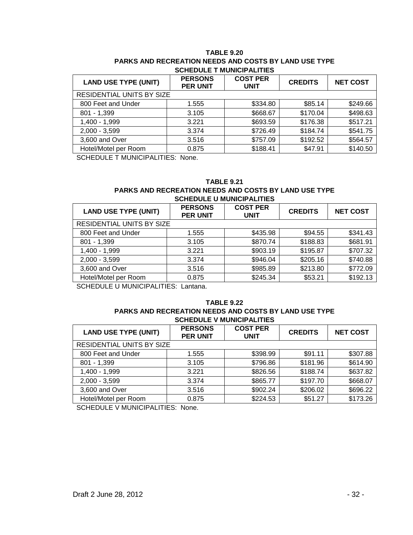#### **TABLE 9.20 PARKS AND RECREATION NEEDS AND COSTS BY LAND USE TYPE SCHEDULE T MUNICIPALITIES**

| <b>LAND USE TYPE (UNIT)</b> | <b>PERSONS</b><br><b>PER UNIT</b> | <b>COST PER</b><br><b>UNIT</b> | <b>CREDITS</b> | <b>NET COST</b> |
|-----------------------------|-----------------------------------|--------------------------------|----------------|-----------------|
| RESIDENTIAL UNITS BY SIZE   |                                   |                                |                |                 |
| 800 Feet and Under          | 1.555                             | \$334.80                       | \$85.14        | \$249.66        |
| $801 - 1,399$               | 3.105                             | \$668.67                       | \$170.04       | \$498.63        |
| 1,400 - 1,999               | 3.221                             | \$693.59                       | \$176.38       | \$517.21        |
| $2,000 - 3,599$             | 3.374                             | \$726.49                       | \$184.74       | \$541.75        |
| 3,600 and Over              | 3.516                             | \$757.09                       | \$192.52       | \$564.57        |
| Hotel/Motel per Room        | 0.875                             | \$188.41                       | \$47.91        | \$140.50        |

SCHEDULE T MUNICIPALITIES: None.

#### **TABLE 9.21**

#### **PARKS AND RECREATION NEEDS AND COSTS BY LAND USE TYPE SCHEDULE U MUNICIPALITIES**

| <b>LAND USE TYPE (UNIT)</b> | <b>PERSONS</b><br><b>PER UNIT</b> | <b>COST PER</b><br><b>UNIT</b> | <b>CREDITS</b> | <b>NET COST</b> |
|-----------------------------|-----------------------------------|--------------------------------|----------------|-----------------|
| RESIDENTIAL UNITS BY SIZE   |                                   |                                |                |                 |
| 800 Feet and Under          | 1.555                             | \$435.98                       | \$94.55        | \$341.43        |
| $801 - 1,399$               | 3.105                             | \$870.74                       | \$188.83       | \$681.91        |
| 1,400 - 1,999               | 3.221                             | \$903.19                       | \$195.87       | \$707.32        |
| $2,000 - 3,599$             | 3.374                             | \$946.04                       | \$205.16       | \$740.88        |
| 3,600 and Over              | 3.516                             | \$985.89                       | \$213.80       | \$772.09        |
| Hotel/Motel per Room        | 0.875                             | \$245.34                       | \$53.21        | \$192.13        |

SCHEDULE U MUNICIPALITIES: Lantana.

#### **TABLE 9.22 PARKS AND RECREATION NEEDS AND COSTS BY LAND USE TYPE SCHEDULE V MUNICIPALITIES**

| <b>LAND USE TYPE (UNIT)</b> | <b>PERSONS</b><br><b>PER UNIT</b> | <b>COST PER</b><br><b>UNIT</b> | <b>CREDITS</b> | <b>NET COST</b> |  |
|-----------------------------|-----------------------------------|--------------------------------|----------------|-----------------|--|
| RESIDENTIAL UNITS BY SIZE   |                                   |                                |                |                 |  |
| 800 Feet and Under          | 1.555                             | \$398.99                       | \$91.11        | \$307.88        |  |
| $801 - 1,399$               | 3.105                             | \$796.86                       | \$181.96       | \$614.90        |  |
| 1,400 - 1,999               | 3.221                             | \$826.56                       | \$188.74       | \$637.82        |  |
| $2,000 - 3,599$             | 3.374                             | \$865.77                       | \$197.70       | \$668.07        |  |
| 3,600 and Over              | 3.516                             | \$902.24                       | \$206.02       | \$696.22        |  |
| Hotel/Motel per Room        | 0.875                             | \$224.53                       | \$51.27        | \$173.26        |  |

SCHEDULE V MUNICIPALITIES: None.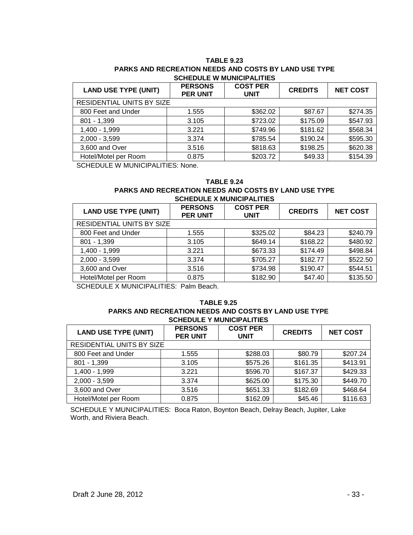#### **TABLE 9.23 PARKS AND RECREATION NEEDS AND COSTS BY LAND USE TYPE SCHEDULE W MUNICIPALITIES**

| <b>LAND USE TYPE (UNIT)</b> | <b>PERSONS</b><br><b>PER UNIT</b> | <b>COST PER</b><br><b>UNIT</b> | <b>CREDITS</b> | <b>NET COST</b> |
|-----------------------------|-----------------------------------|--------------------------------|----------------|-----------------|
| RESIDENTIAL UNITS BY SIZE   |                                   |                                |                |                 |
| 800 Feet and Under          | 1.555                             | \$362.02                       | \$87.67        | \$274.35        |
| $801 - 1,399$               | 3.105                             | \$723.02                       | \$175.09       | \$547.93        |
| 1,400 - 1,999               | 3.221                             | \$749.96                       | \$181.62       | \$568.34        |
| $2,000 - 3,599$             | 3.374                             | \$785.54                       | \$190.24       | \$595.30        |
| 3,600 and Over              | 3.516                             | \$818.63                       | \$198.25       | \$620.38        |
| Hotel/Motel per Room        | 0.875                             | \$203.72                       | \$49.33        | \$154.39        |

SCHEDULE W MUNICIPALITIES: None.

#### **TABLE 9.24**

#### **PARKS AND RECREATION NEEDS AND COSTS BY LAND USE TYPE SCHEDULE X MUNICIPALITIES**

| <b>LAND USE TYPE (UNIT)</b> | <b>PERSONS</b><br><b>PER UNIT</b> | <b>COST PER</b><br><b>UNIT</b> | <b>CREDITS</b> | <b>NET COST</b> |
|-----------------------------|-----------------------------------|--------------------------------|----------------|-----------------|
| RESIDENTIAL UNITS BY SIZE   |                                   |                                |                |                 |
| 800 Feet and Under          | 1.555                             | \$325.02                       | \$84.23        | \$240.79        |
| $801 - 1,399$               | 3.105                             | \$649.14                       | \$168.22       | \$480.92        |
| 1,400 - 1,999               | 3.221                             | \$673.33                       | \$174.49       | \$498.84        |
| $2,000 - 3,599$             | 3.374                             | \$705.27                       | \$182.77       | \$522.50        |
| 3,600 and Over              | 3.516                             | \$734.98                       | \$190.47       | \$544.51        |
| Hotel/Motel per Room        | 0.875                             | \$182.90                       | \$47.40        | \$135.50        |

SCHEDULE X MUNICIPALITIES: Palm Beach.

#### **TABLE 9.25 PARKS AND RECREATION NEEDS AND COSTS BY LAND USE TYPE SCHEDULE Y MUNICIPALITIES**

| <b>LAND USE TYPE (UNIT)</b> | <b>PERSONS</b><br><b>PER UNIT</b> | <b>COST PER</b><br><b>UNIT</b> | <b>CREDITS</b> | <b>NET COST</b> |
|-----------------------------|-----------------------------------|--------------------------------|----------------|-----------------|
| RESIDENTIAL UNITS BY SIZE   |                                   |                                |                |                 |
| 800 Feet and Under          | 1.555                             | \$288.03                       | \$80.79        | \$207.24        |
| $801 - 1,399$               | 3.105                             | \$575.26                       | \$161.35       | \$413.91        |
| 1,400 - 1,999               | 3.221                             | \$596.70                       | \$167.37       | \$429.33        |
| $2,000 - 3,599$             | 3.374                             | \$625.00                       | \$175.30       | \$449.70        |
| 3,600 and Over              | 3.516                             | \$651.33                       | \$182.69       | \$468.64        |
| Hotel/Motel per Room        | 0.875                             | \$162.09                       | \$45.46        | \$116.63        |

SCHEDULE Y MUNICIPALITIES: Boca Raton, Boynton Beach, Delray Beach, Jupiter, Lake Worth, and Riviera Beach.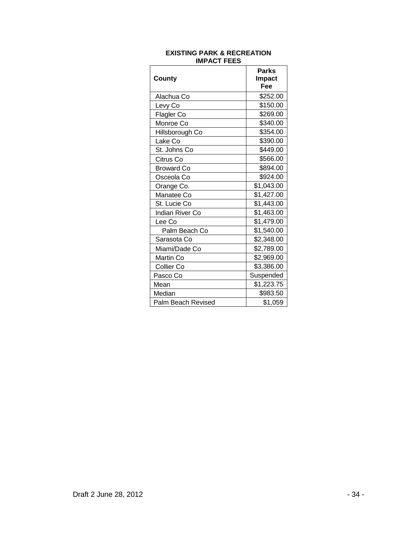| County                 | <b>Parks</b><br>Impact<br>Fee |
|------------------------|-------------------------------|
| Alachua Co             | \$252.00                      |
| Levy Co                | \$150.00                      |
| Flagler Co             | \$269.00                      |
| Monroe Co              | \$340.00                      |
| Hillsborough Co        | \$354.00                      |
| Lake Co                | \$390.00                      |
| St. Johns Co           | \$449.00                      |
| Citrus Co              | \$566.00                      |
| <b>Broward Co</b>      | \$894.00                      |
| Osceola Co             | \$924.00                      |
| Orange Co.             | \$1,043.00                    |
| Manatee Co             | \$1,427.00                    |
| St. Lucie Co           | \$1,443.00                    |
| <b>Indian River Co</b> | \$1,463.00                    |
| Lee Co                 | \$1,479.00                    |
| Palm Beach Co          | \$1,540.00                    |
| Sarasota Co            | \$2,348.00                    |
| Miami/Dade Co          | \$2,789.00                    |
| Martin Co              | \$2,969.00                    |
| <b>Collier Co</b>      | \$3,386.00                    |
| Pasco Co               | Suspended                     |
| Mean                   | \$1,223.75                    |
| Median                 | \$983.50                      |
| Palm Beach Revised     | \$1,059                       |

#### **EXISTING PARK & RECREATION IMPACT FEES**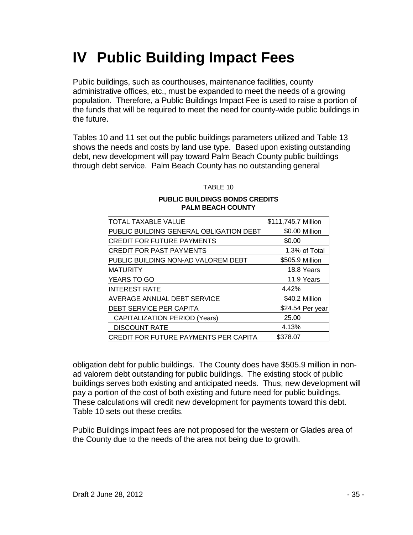## **IV Public Building Impact Fees**

Public buildings, such as courthouses, maintenance facilities, county administrative offices, etc., must be expanded to meet the needs of a growing population. Therefore, a Public Buildings Impact Fee is used to raise a portion of the funds that will be required to meet the need for county-wide public buildings in the future.

Tables 10 and 11 set out the public buildings parameters utilized and Table 13 shows the needs and costs by land use type. Based upon existing outstanding debt, new development will pay toward Palm Beach County public buildings through debt service. Palm Beach County has no outstanding general

TABLE 10

#### **PUBLIC BUILDINGS BONDS CREDITS PALM BEACH COUNTY**

| <b>TOTAL TAXABLE VALUE</b>                    | \$111,745.7 Million |
|-----------------------------------------------|---------------------|
| PUBLIC BUILDING GENERAL OBLIGATION DEBT       | \$0.00 Million      |
| <b>CREDIT FOR FUTURE PAYMENTS</b>             | \$0.00              |
| <b>CREDIT FOR PAST PAYMENTS</b>               | 1.3% of Total       |
| PUBLIC BUILDING NON-AD VALOREM DEBT           | \$505.9 Million     |
| <b>MATURITY</b>                               | 18.8 Years          |
| YEARS TO GO                                   | 11.9 Years          |
| <b>INTEREST RATE</b>                          | 4.42%               |
| <b>AVERAGE ANNUAL DEBT SERVICE</b>            | \$40.2 Million      |
| DEBT SERVICE PER CAPITA                       | \$24.54 Per year    |
| <b>CAPITALIZATION PERIOD (Years)</b>          | 25.00               |
| <b>DISCOUNT RATE</b>                          | 4.13%               |
| <b> CREDIT FOR FUTURE PAYMENTS PER CAPITA</b> | \$378.07            |

obligation debt for public buildings. The County does have \$505.9 million in nonad valorem debt outstanding for public buildings. The existing stock of public buildings serves both existing and anticipated needs. Thus, new development will pay a portion of the cost of both existing and future need for public buildings. These calculations will credit new development for payments toward this debt. Table 10 sets out these credits.

Public Buildings impact fees are not proposed for the western or Glades area of the County due to the needs of the area not being due to growth.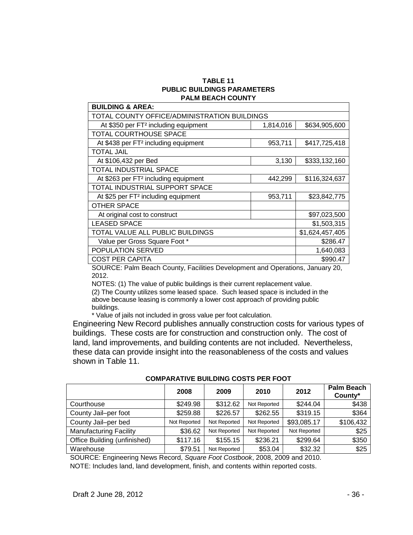#### **TABLE 11 PUBLIC BUILDINGS PARAMETERS PALM BEACH COUNTY**

| <b>BUILDING &amp; AREA:</b>                      |                 |               |  |  |
|--------------------------------------------------|-----------------|---------------|--|--|
| TOTAL COUNTY OFFICE/ADMINISTRATION BUILDINGS     |                 |               |  |  |
| At \$350 per FT <sup>2</sup> including equipment | 1,814,016       | \$634,905,600 |  |  |
| TOTAL COURTHOUSE SPACE                           |                 |               |  |  |
| At \$438 per FT <sup>2</sup> including equipment | 953,711         | \$417,725,418 |  |  |
| <b>TOTAL JAIL</b>                                |                 |               |  |  |
| At \$106,432 per Bed                             | 3,130           | \$333,132,160 |  |  |
| TOTAL INDUSTRIAL SPACE                           |                 |               |  |  |
| At \$263 per FT <sup>2</sup> including equipment | 442,299         | \$116,324,637 |  |  |
| TOTAL INDUSTRIAL SUPPORT SPACE                   |                 |               |  |  |
| At \$25 per FT <sup>2</sup> including equipment  | 953,711         | \$23,842,775  |  |  |
| <b>OTHER SPACE</b>                               |                 |               |  |  |
| At original cost to construct                    |                 | \$97,023,500  |  |  |
| <b>LEASED SPACE</b>                              | \$1,503,315     |               |  |  |
| TOTAL VALUE ALL PUBLIC BUILDINGS                 | \$1,624,457,405 |               |  |  |
| Value per Gross Square Foot *                    | \$286.47        |               |  |  |
| <b>POPULATION SERVED</b>                         | 1,640,083       |               |  |  |
| <b>COST PER CAPITA</b>                           | \$990.47        |               |  |  |

SOURCE: Palm Beach County, Facilities Development and Operations, January 20, 2012.

NOTES: (1) The value of public buildings is their current replacement value. (2) The County utilizes some leased space. Such leased space is included in the above because leasing is commonly a lower cost approach of providing public buildings.

\* Value of jails not included in gross value per foot calculation.

Engineering New Record publishes annually construction costs for various types of buildings. These costs are for construction and construction only. The cost of land, land improvements, and building contents are not included. Nevertheless, these data can provide insight into the reasonableness of the costs and values shown in Table 11.

|                               | 2008         | 2009         | 2010         | 2012         | <b>Palm Beach</b><br>County* |
|-------------------------------|--------------|--------------|--------------|--------------|------------------------------|
| Courthouse                    | \$249.98     | \$312.62     | Not Reported | \$244.04     | \$438                        |
| County Jail-per foot          | \$259.88     | \$226.57     | \$262.55     | \$319.15     | \$364                        |
| County Jail-per bed           | Not Reported | Not Reported | Not Reported | \$93,085.17  | \$106,432                    |
| <b>Manufacturing Facility</b> | \$36.62      | Not Reported | Not Reported | Not Reported | \$25                         |
| Office Building (unfinished)  | \$117.16     | \$155.15     | \$236.21     | \$299.64     | \$350                        |
| Warehouse                     | \$79.51      | Not Reported | \$53.04      | \$32.32      | \$25                         |

**COMPARATIVE BUILDING COSTS PER FOOT**

SOURCE: Engineering News Record, *Square Foot Costbook*, 2008, 2009 and 2010. NOTE: Includes land, land development, finish, and contents within reported costs.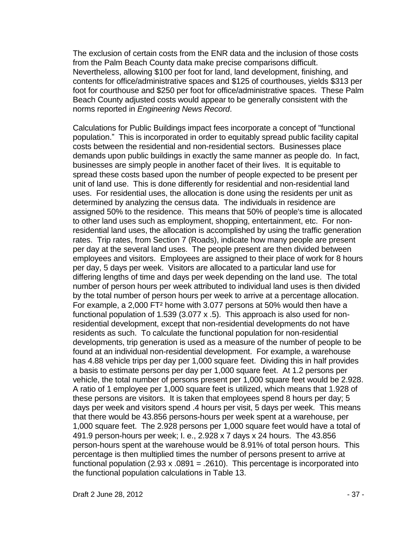The exclusion of certain costs from the ENR data and the inclusion of those costs from the Palm Beach County data make precise comparisons difficult. Nevertheless, allowing \$100 per foot for land, land development, finishing, and contents for office/administrative spaces and \$125 of courthouses, yields \$313 per foot for courthouse and \$250 per foot for office/administrative spaces. These Palm Beach County adjusted costs would appear to be generally consistent with the norms reported in *Engineering News Record*.

Calculations for Public Buildings impact fees incorporate a concept of "functional population." This is incorporated in order to equitably spread public facility capital costs between the residential and non-residential sectors. Businesses place demands upon public buildings in exactly the same manner as people do. In fact, businesses are simply people in another facet of their lives. It is equitable to spread these costs based upon the number of people expected to be present per unit of land use. This is done differently for residential and non-residential land uses. For residential uses, the allocation is done using the residents per unit as determined by analyzing the census data. The individuals in residence are assigned 50% to the residence. This means that 50% of people's time is allocated to other land uses such as employment, shopping, entertainment, etc. For nonresidential land uses, the allocation is accomplished by using the traffic generation rates. Trip rates, from Section 7 (Roads), indicate how many people are present per day at the several land uses. The people present are then divided between employees and visitors. Employees are assigned to their place of work for 8 hours per day, 5 days per week. Visitors are allocated to a particular land use for differing lengths of time and days per week depending on the land use. The total number of person hours per week attributed to individual land uses is then divided by the total number of person hours per week to arrive at a percentage allocation. For example, a 2,000 FT² home with 3.077 persons at 50% would then have a functional population of 1.539 (3.077 x .5). This approach is also used for nonresidential development, except that non-residential developments do not have residents as such. To calculate the functional population for non-residential developments, trip generation is used as a measure of the number of people to be found at an individual non-residential development. For example, a warehouse has 4.88 vehicle trips per day per 1,000 square feet. Dividing this in half provides a basis to estimate persons per day per 1,000 square feet. At 1.2 persons per vehicle, the total number of persons present per 1,000 square feet would be 2.928. A ratio of 1 employee per 1,000 square feet is utilized, which means that 1.928 of these persons are visitors. It is taken that employees spend 8 hours per day; 5 days per week and visitors spend .4 hours per visit, 5 days per week. This means that there would be 43.856 persons-hours per week spent at a warehouse, per 1,000 square feet. The 2.928 persons per 1,000 square feet would have a total of 491.9 person-hours per week; I. e., 2.928 x 7 days x 24 hours. The 43.856 person-hours spent at the warehouse would be 8.91% of total person hours. This percentage is then multiplied times the number of persons present to arrive at functional population  $(2.93 \times .0891 = .2610)$ . This percentage is incorporated into the functional population calculations in Table 13.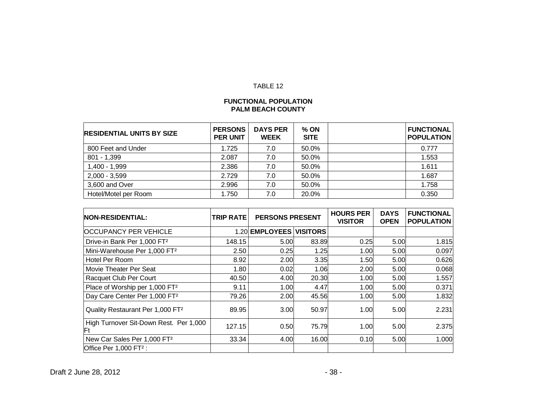# TABLE 12

## **FUNCTIONAL POPULATION PALM BEACH COUNTY**

| <b>RESIDENTIAL UNITS BY SIZE</b> | <b>PERSONS</b><br><b>PER UNIT</b> | <b>DAYS PER</b><br><b>WEEK</b> | % ON<br><b>SITE</b> | <b>FUNCTIONAL</b><br><b>POPULATION</b> |
|----------------------------------|-----------------------------------|--------------------------------|---------------------|----------------------------------------|
| 800 Feet and Under               | 1.725                             | 7.0                            | 50.0%               | 0.777                                  |
| 801 - 1,399                      | 2.087                             | 7.0                            | 50.0%               | 1.553                                  |
| 1,400 - 1,999                    | 2.386                             | 7.0                            | 50.0%               | 1.611                                  |
| $2,000 - 3,599$                  | 2.729                             | 7.0                            | 50.0%               | 1.687                                  |
| 3,600 and Over                   | 2.996                             | 7.0                            | 50.0%               | 1.758                                  |
| Hotel/Motel per Room             | 1.750                             | 7.0                            | 20.0%               | 0.350                                  |

| <b>NON-RESIDENTIAL:</b>                       | <b>TRIP RATE</b> | <b>PERSONS PRESENT</b>  |       | <b>HOURS PER</b><br><b>VISITOR</b> | <b>DAYS</b><br><b>OPEN</b> | <b>FUNCTIONAL</b><br><b>POPULATION</b> |
|-----------------------------------------------|------------------|-------------------------|-------|------------------------------------|----------------------------|----------------------------------------|
| <b>OCCUPANCY PER VEHICLE</b>                  |                  | 1.20 EMPLOYEES VISITORS |       |                                    |                            |                                        |
| Drive-in Bank Per 1,000 FT <sup>2</sup>       | 148.15           | 5.00                    | 83.89 | 0.25                               | 5.00                       | 1.815                                  |
| Mini-Warehouse Per 1,000 FT <sup>2</sup>      | 2.50             | 0.25                    | 1.25  | 1.00                               | 5.00                       | 0.097                                  |
| Hotel Per Room                                | 8.92             | 2.00                    | 3.35  | 1.50                               | 5.00                       | 0.626                                  |
| Movie Theater Per Seat                        | 1.80             | 0.02                    | 1.06  | 2.00                               | 5.00                       | 0.068                                  |
| Racquet Club Per Court                        | 40.50            | 4.00                    | 20.30 | 1.00                               | 5.00                       | 1.557                                  |
| Place of Worship per 1,000 FT <sup>2</sup>    | 9.11             | 1.00                    | 4.47  | 1.00                               | 5.00                       | 0.371                                  |
| Day Care Center Per 1,000 FT <sup>2</sup>     | 79.26            | 2.00                    | 45.56 | 1.00                               | 5.00                       | 1.832                                  |
| Quality Restaurant Per 1,000 FT <sup>2</sup>  | 89.95            | 3.00                    | 50.97 | 1.00                               | 5.00                       | 2.231                                  |
| High Turnover Sit-Down Rest. Per 1,000<br>lFt | 127.15           | 0.50                    | 75.79 | 1.00                               | 5.00                       | 2.375                                  |
| New Car Sales Per 1,000 FT <sup>2</sup>       | 33.34            | 4.00                    | 16.00 | 0.10                               | 5.00                       | 1.000                                  |
| Office Per 1,000 FT <sup>2</sup> :            |                  |                         |       |                                    |                            |                                        |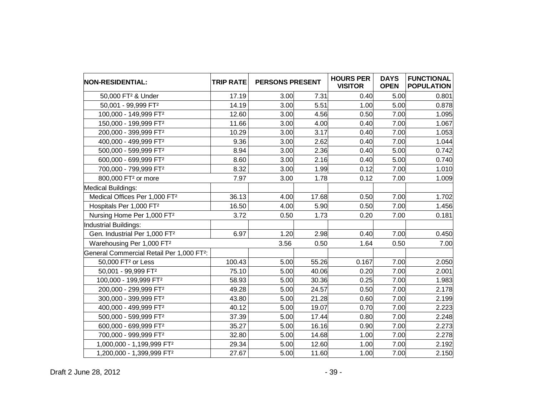| <b>NON-RESIDENTIAL:</b>                               | <b>TRIP RATE</b> | <b>PERSONS PRESENT</b> |       | <b>HOURS PER</b><br><b>VISITOR</b> | <b>DAYS</b><br><b>OPEN</b> | <b>FUNCTIONAL</b><br><b>POPULATION</b> |
|-------------------------------------------------------|------------------|------------------------|-------|------------------------------------|----------------------------|----------------------------------------|
| 50,000 FT <sup>2</sup> & Under                        | 17.19            | 3.00                   | 7.31  | 0.40                               | 5.00                       | 0.801                                  |
| 50,001 - 99,999 FT <sup>2</sup>                       | 14.19            | 3.00                   | 5.51  | 1.00                               | 5.00                       | 0.878                                  |
| 100,000 - 149,999 FT <sup>2</sup>                     | 12.60            | 3.00                   | 4.56  | 0.50                               | 7.00                       | 1.095                                  |
| 150,000 - 199,999 FT <sup>2</sup>                     | 11.66            | 3.00                   | 4.00  | 0.40                               | 7.00                       | 1.067                                  |
| 200,000 - 399,999 FT <sup>2</sup>                     | 10.29            | 3.00                   | 3.17  | 0.40                               | 7.00                       | 1.053                                  |
| 400,000 - 499,999 FT <sup>2</sup>                     | 9.36             | 3.00                   | 2.62  | 0.40                               | 7.00                       | 1.044                                  |
| 500,000 - 599,999 FT <sup>2</sup>                     | 8.94             | 3.00                   | 2.36  | 0.40                               | 5.00                       | 0.742                                  |
| 600,000 - 699,999 FT <sup>2</sup>                     | 8.60             | 3.00                   | 2.16  | 0.40                               | 5.00                       | 0.740                                  |
| 700,000 - 799,999 FT <sup>2</sup>                     | 8.32             | 3.00                   | 1.99  | 0.12                               | 7.00                       | 1.010                                  |
| 800,000 FT <sup>2</sup> or more                       | 7.97             | 3.00                   | 1.78  | 0.12                               | 7.00                       | 1.009                                  |
| Medical Buildings:                                    |                  |                        |       |                                    |                            |                                        |
| Medical Offices Per 1,000 FT <sup>2</sup>             | 36.13            | 4.00                   | 17.68 | 0.50                               | 7.00                       | 1.702                                  |
| Hospitals Per 1,000 FT <sup>2</sup>                   | 16.50            | 4.00                   | 5.90  | 0.50                               | 7.00                       | 1.456                                  |
| Nursing Home Per 1,000 FT <sup>2</sup>                | 3.72             | 0.50                   | 1.73  | 0.20                               | 7.00                       | 0.181                                  |
| Industrial Buildings:                                 |                  |                        |       |                                    |                            |                                        |
| Gen. Industrial Per 1,000 FT <sup>2</sup>             | 6.97             | 1.20                   | 2.98  | 0.40                               | 7.00                       | 0.450                                  |
| Warehousing Per 1,000 FT <sup>2</sup>                 |                  | 3.56                   | 0.50  | 1.64                               | 0.50                       | 7.00                                   |
| General Commercial Retail Per 1,000 FT <sup>2</sup> : |                  |                        |       |                                    |                            |                                        |
| 50,000 FT <sup>2</sup> or Less                        | 100.43           | 5.00                   | 55.26 | 0.167                              | 7.00                       | 2.050                                  |
| 50,001 - 99,999 FT <sup>2</sup>                       | 75.10            | 5.00                   | 40.06 | 0.20                               | 7.00                       | 2.001                                  |
| 100,000 - 199,999 FT <sup>2</sup>                     | 58.93            | 5.00                   | 30.36 | 0.25                               | 7.00                       | 1.983                                  |
| 200,000 - 299,999 FT <sup>2</sup>                     | 49.28            | 5.00                   | 24.57 | 0.50                               | 7.00                       | 2.178                                  |
| 300,000 - 399,999 FT <sup>2</sup>                     | 43.80            | 5.00                   | 21.28 | 0.60                               | 7.00                       | 2.199                                  |
| 400,000 - 499,999 FT <sup>2</sup>                     | 40.12            | 5.00                   | 19.07 | 0.70                               | 7.00                       | 2.223                                  |
| 500,000 - 599,999 FT <sup>2</sup>                     | 37.39            | 5.00                   | 17.44 | 0.80                               | 7.00                       | 2.248                                  |
| 600,000 - 699,999 FT <sup>2</sup>                     | 35.27            | 5.00                   | 16.16 | 0.90                               | 7.00                       | 2.273                                  |
| 700,000 - 999,999 FT <sup>2</sup>                     | 32.80            | 5.00                   | 14.68 | 1.00                               | 7.00                       | 2.278                                  |
| 1,000,000 - 1,199,999 FT <sup>2</sup>                 | 29.34            | 5.00                   | 12.60 | 1.00                               | 7.00                       | 2.192                                  |
| 1,200,000 - 1,399,999 FT <sup>2</sup>                 | 27.67            | 5.00                   | 11.60 | 1.00                               | 7.00                       | 2.150                                  |

Draft 2 June 28, 2012 - 39 -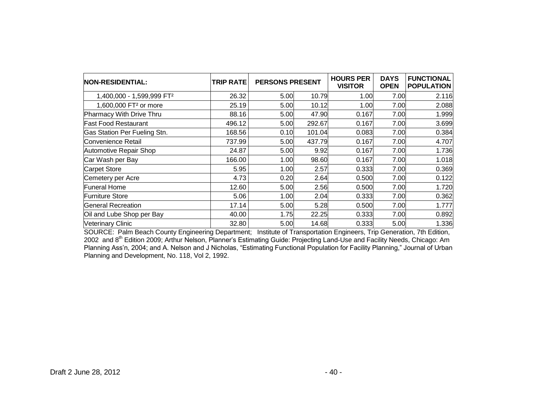| NON-RESIDENTIAL:                  | <b>TRIP RATE</b> | <b>PERSONS PRESENT</b> |        | <b>HOURS PER</b><br><b>VISITOR</b> | <b>DAYS</b><br><b>OPEN</b> | <b>FUNCTIONAL</b><br><b>POPULATION</b> |
|-----------------------------------|------------------|------------------------|--------|------------------------------------|----------------------------|----------------------------------------|
| 1,400,000 - 1,599,999 FT2         | 26.32            | 5.00                   | 10.79  | 1.00                               | 7.00                       | 2.116                                  |
| 1,600,000 FT <sup>2</sup> or more | 25.19            | 5.00                   | 10.12  | 1.00                               | 7.00                       | 2.088                                  |
| Pharmacy With Drive Thru          | 88.16            | 5.00                   | 47.90  | 0.167                              | 7.00                       | 1.999                                  |
| <b>Fast Food Restaurant</b>       | 496.12           | 5.00                   | 292.67 | 0.167                              | 7.00                       | 3.699                                  |
| Gas Station Per Fueling Stn.      | 168.56           | 0.10                   | 101.04 | 0.083                              | 7.00                       | 0.384                                  |
| Convenience Retail                | 737.99           | 5.00                   | 437.79 | 0.167                              | 7.00                       | 4.707                                  |
| Automotive Repair Shop            | 24.87            | 5.00                   | 9.92   | 0.167                              | 7.00                       | 1.736                                  |
| Car Wash per Bay                  | 166.00           | 1.00                   | 98.60  | 0.167                              | 7.00                       | 1.018                                  |
| <b>Carpet Store</b>               | 5.95             | 1.00                   | 2.57   | 0.333                              | 7.00                       | 0.369                                  |
| Cemetery per Acre                 | 4.73             | 0.20                   | 2.64   | 0.500                              | 7.00                       | 0.122                                  |
| <b>Funeral Home</b>               | 12.60            | 5.00                   | 2.56   | 0.500                              | 7.00                       | 1.720                                  |
| <b>Furniture Store</b>            | 5.06             | 1.00                   | 2.04   | 0.333                              | 7.00                       | 0.362                                  |
| General Recreation                | 17.14            | 5.00                   | 5.28   | 0.500                              | 7.00                       | 1.777                                  |
| Oil and Lube Shop per Bay         | 40.00            | 1.75                   | 22.25  | 0.333                              | 7.00                       | 0.892                                  |
| <b>Veterinary Clinic</b>          | 32.80            | 5.00                   | 14.68  | 0.333                              | 5.00                       | 1.336                                  |

SOURCE: Palm Beach County Engineering Department; Institute of Transportation Engineers, Trip Generation, 7th Edition, 2002 and 8<sup>th</sup> Edition 2009; Arthur Nelson, Planner's Estimating Guide: Projecting Land-Use and Facility Needs, Chicago: Am Planning Ass'n, 2004; and A. Nelson and J Nicholas, "Estimating Functional Population for Facility Planning," Journal of Urban Planning and Development, No. 118, Vol 2, 1992.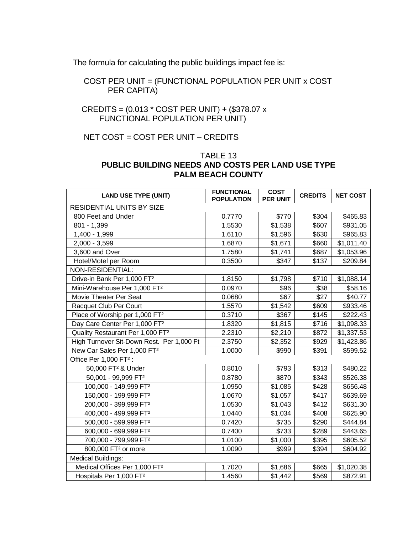The formula for calculating the public buildings impact fee is:

 COST PER UNIT = (FUNCTIONAL POPULATION PER UNIT x COST PER CAPITA)

# CREDITS = (0.013 \* COST PER UNIT) + (\$378.07 x FUNCTIONAL POPULATION PER UNIT)

# NET COST = COST PER UNIT - CREDITS

# TABLE 13 **PUBLIC BUILDING NEEDS AND COSTS PER LAND USE TYPE PALM BEACH COUNTY**

| <b>LAND USE TYPE (UNIT)</b>                  | <b>FUNCTIONAL</b><br><b>POPULATION</b> | <b>COST</b><br><b>PER UNIT</b> | <b>CREDITS</b> | <b>NET COST</b> |
|----------------------------------------------|----------------------------------------|--------------------------------|----------------|-----------------|
| RESIDENTIAL UNITS BY SIZE                    |                                        |                                |                |                 |
| 800 Feet and Under                           | 0.7770                                 | \$770                          | \$304          | \$465.83        |
| $801 - 1,399$                                | 1.5530                                 | \$1,538                        | \$607          | \$931.05        |
| 1,400 - 1,999                                | 1.6110                                 | \$1,596                        | \$630          | \$965.83        |
| 2,000 - 3,599                                | 1.6870                                 | \$1,671                        | \$660          | \$1,011.40      |
| 3,600 and Over                               | 1.7580                                 | \$1,741                        | \$687          | \$1,053.96      |
| Hotel/Motel per Room                         | 0.3500                                 | \$347                          | \$137          | \$209.84        |
| NON-RESIDENTIAL:                             |                                        |                                |                |                 |
| Drive-in Bank Per 1,000 FT <sup>2</sup>      | 1.8150                                 | \$1,798                        | \$710          | \$1,088.14      |
| Mini-Warehouse Per 1,000 FT <sup>2</sup>     | 0.0970                                 | \$96                           | \$38           | \$58.16         |
| Movie Theater Per Seat                       | 0.0680                                 | \$67                           | \$27           | \$40.77         |
| Racquet Club Per Court                       | 1.5570                                 | \$1,542                        | \$609          | \$933.46        |
| Place of Worship per 1,000 FT <sup>2</sup>   | 0.3710                                 | \$367                          | \$145          | \$222.43        |
| Day Care Center Per 1,000 FT <sup>2</sup>    | 1.8320                                 | \$1,815                        | \$716          | \$1,098.33      |
| Quality Restaurant Per 1,000 FT <sup>2</sup> | 2.2310                                 | \$2,210                        | \$872          | \$1,337.53      |
| High Turnover Sit-Down Rest. Per 1,000 Ft    | 2.3750                                 | \$2,352                        | \$929          | \$1,423.86      |
| New Car Sales Per 1,000 FT <sup>2</sup>      | 1.0000                                 | \$990                          | \$391          | \$599.52        |
| Office Per 1,000 FT <sup>2</sup> :           |                                        |                                |                |                 |
| 50,000 FT <sup>2</sup> & Under               | 0.8010                                 | \$793                          | \$313          | \$480.22        |
| 50,001 - 99,999 FT <sup>2</sup>              | 0.8780                                 | \$870                          | \$343          | \$526.38        |
| 100,000 - 149,999 FT <sup>2</sup>            | 1.0950                                 | \$1,085                        | \$428          | \$656.48        |
| 150,000 - 199,999 FT <sup>2</sup>            | 1.0670                                 | \$1,057                        | \$417          | \$639.69        |
| 200,000 - 399,999 FT <sup>2</sup>            | 1.0530                                 | \$1,043                        | \$412          | \$631.30        |
| 400,000 - 499,999 FT <sup>2</sup>            | 1.0440                                 | \$1,034                        | \$408          | \$625.90        |
| 500,000 - 599,999 FT <sup>2</sup>            | 0.7420                                 | \$735                          | \$290          | \$444.84        |
| 600,000 - 699,999 FT <sup>2</sup>            | 0.7400                                 | \$733                          | \$289          | \$443.65        |
| 700,000 - 799,999 FT <sup>2</sup>            | 1.0100                                 | \$1,000                        | \$395          | \$605.52        |
| 800,000 FT <sup>2</sup> or more              | 1.0090                                 | \$999                          | \$394          | \$604.92        |
| <b>Medical Buildings:</b>                    |                                        |                                |                |                 |
| Medical Offices Per 1,000 FT <sup>2</sup>    | 1.7020                                 | \$1,686                        | \$665          | \$1,020.38      |
| Hospitals Per 1,000 FT <sup>2</sup>          | 1.4560                                 | \$1,442                        | \$569          | \$872.91        |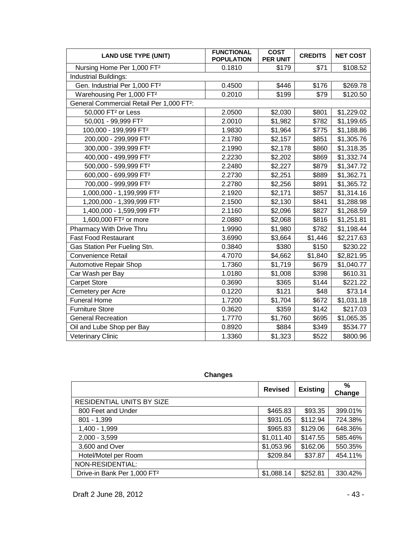| <b>LAND USE TYPE (UNIT)</b>                           | <b>FUNCTIONAL</b><br><b>POPULATION</b> | <b>COST</b><br><b>PER UNIT</b> | <b>CREDITS</b> | <b>NET COST</b> |
|-------------------------------------------------------|----------------------------------------|--------------------------------|----------------|-----------------|
| Nursing Home Per 1,000 FT <sup>2</sup>                | 0.1810                                 | \$179                          | \$71           | \$108.52        |
| Industrial Buildings:                                 |                                        |                                |                |                 |
| Gen. Industrial Per 1,000 FT <sup>2</sup>             | 0.4500                                 | \$446                          | \$176          | \$269.78        |
| Warehousing Per 1,000 FT <sup>2</sup>                 | 0.2010                                 | \$199                          | \$79           | \$120.50        |
| General Commercial Retail Per 1,000 FT <sup>2</sup> : |                                        |                                |                |                 |
| 50,000 FT <sup>2</sup> or Less                        | 2.0500                                 | \$2,030                        | \$801          | \$1,229.02      |
| 50,001 - 99,999 FT <sup>2</sup>                       | 2.0010                                 | \$1,982                        | \$782          | \$1,199.65      |
| 100,000 - 199,999 FT <sup>2</sup>                     | 1.9830                                 | \$1,964                        | \$775          | \$1,188.86      |
| 200,000 - 299,999 FT <sup>2</sup>                     | 2.1780                                 | \$2,157                        | \$851          | \$1,305.76      |
| 300,000 - 399,999 FT <sup>2</sup>                     | 2.1990                                 | \$2,178                        | \$860          | \$1,318.35      |
| 400,000 - 499,999 FT <sup>2</sup>                     | 2.2230                                 | \$2,202                        | \$869          | \$1,332.74      |
| 500,000 - 599,999 FT <sup>2</sup>                     | 2.2480                                 | \$2,227                        | \$879          | \$1,347.72      |
| 600,000 - 699,999 FT <sup>2</sup>                     | 2.2730                                 | \$2,251                        | \$889          | \$1,362.71      |
| 700,000 - 999,999 FT <sup>2</sup>                     | 2.2780                                 | \$2,256                        | \$891          | \$1,365.72      |
| 1,000,000 - 1,199,999 FT2                             | 2.1920                                 | \$2,171                        | \$857          | \$1,314.16      |
| 1,200,000 - 1,399,999 FT2                             | 2.1500                                 | \$2,130                        | \$841          | \$1,288.98      |
| 1,400,000 - 1,599,999 FT2                             | 2.1160                                 | \$2,096                        | \$827          | \$1,268.59      |
| 1,600,000 FT <sup>2</sup> or more                     | 2.0880                                 | \$2,068                        | \$816          | \$1,251.81      |
| Pharmacy With Drive Thru                              | 1.9990                                 | \$1,980                        | \$782          | \$1,198.44      |
| <b>Fast Food Restaurant</b>                           | 3.6990                                 | \$3,664                        | \$1,446        | \$2,217.63      |
| Gas Station Per Fueling Stn.                          | 0.3840                                 | \$380                          | \$150          | \$230.22        |
| <b>Convenience Retail</b>                             | 4.7070                                 | \$4,662                        | \$1,840        | \$2,821.95      |
| <b>Automotive Repair Shop</b>                         | 1.7360                                 | \$1,719                        | \$679          | \$1,040.77      |
| Car Wash per Bay                                      | 1.0180                                 | \$1,008                        | \$398          | \$610.31        |
| <b>Carpet Store</b>                                   | 0.3690                                 | \$365                          | \$144          | \$221.22        |
| Cemetery per Acre                                     | 0.1220                                 | \$121                          | \$48           | \$73.14         |
| <b>Funeral Home</b>                                   | 1.7200                                 | \$1,704                        | \$672          | \$1,031.18      |
| <b>Furniture Store</b>                                | 0.3620                                 | \$359                          | \$142          | \$217.03        |
| <b>General Recreation</b>                             | 1.7770                                 | \$1,760                        | \$695          | \$1,065.35      |
| Oil and Lube Shop per Bay                             | 0.8920                                 | \$884                          | \$349          | \$534.77        |
| <b>Veterinary Clinic</b>                              | 1.3360                                 | \$1,323                        | \$522          | \$800.96        |

**Changes**

|                                         | <b>Revised</b> | <b>Existing</b> | $\frac{9}{6}$<br>Change |
|-----------------------------------------|----------------|-----------------|-------------------------|
| RESIDENTIAL UNITS BY SIZE               |                |                 |                         |
| 800 Feet and Under                      | \$465.83       | \$93.35         | 399.01%                 |
| $801 - 1,399$                           | \$931.05       | \$112.94        | 724.38%                 |
| 1,400 - 1,999                           | \$965.83       | \$129.06        | 648.36%                 |
| $2,000 - 3,599$                         | \$1,011.40     | \$147.55        | 585.46%                 |
| 3,600 and Over                          | \$1,053.96     | \$162.06        | 550.35%                 |
| Hotel/Motel per Room                    | \$209.84       | \$37.87         | 454.11%                 |
| NON-RESIDENTIAL:                        |                |                 |                         |
| Drive-in Bank Per 1,000 FT <sup>2</sup> | \$1,088.14     | \$252.81        | 330.42%                 |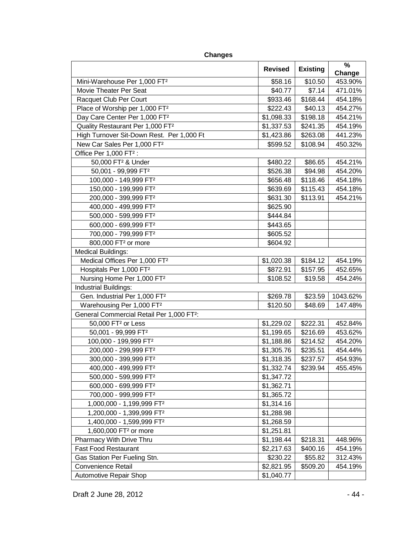|                                                       | <b>Revised</b> |                 | %        |
|-------------------------------------------------------|----------------|-----------------|----------|
|                                                       |                | <b>Existing</b> | Change   |
| Mini-Warehouse Per 1,000 FT <sup>2</sup>              | \$58.16        | \$10.50         | 453.90%  |
| Movie Theater Per Seat                                | \$40.77        | \$7.14          | 471.01%  |
| Racquet Club Per Court                                | \$933.46       | \$168.44        | 454.18%  |
| Place of Worship per 1,000 FT <sup>2</sup>            | \$222.43       | \$40.13         | 454.27%  |
| Day Care Center Per 1,000 FT <sup>2</sup>             | \$1,098.33     | \$198.18        | 454.21%  |
| Quality Restaurant Per 1,000 FT <sup>2</sup>          | \$1,337.53     | \$241.35        | 454.19%  |
| High Turnover Sit-Down Rest. Per 1,000 Ft             | \$1,423.86     | \$263.08        | 441.23%  |
| New Car Sales Per 1,000 FT <sup>2</sup>               | \$599.52       | \$108.94        | 450.32%  |
| Office Per 1,000 FT <sup>2</sup> :                    |                |                 |          |
| 50,000 FT <sup>2</sup> & Under                        | \$480.22       | \$86.65         | 454.21%  |
| 50,001 - 99,999 FT <sup>2</sup>                       | \$526.38       | \$94.98         | 454.20%  |
| 100,000 - 149,999 FT <sup>2</sup>                     | \$656.48       | \$118.46        | 454.18%  |
| 150,000 - 199,999 FT <sup>2</sup>                     | \$639.69       | \$115.43        | 454.18%  |
| 200,000 - 399,999 FT <sup>2</sup>                     | \$631.30       | \$113.91        | 454.21%  |
| 400,000 - 499,999 FT <sup>2</sup>                     | \$625.90       |                 |          |
| 500,000 - 599,999 FT <sup>2</sup>                     | \$444.84       |                 |          |
| 600,000 - 699,999 FT <sup>2</sup>                     | \$443.65       |                 |          |
| 700,000 - 799,999 FT <sup>2</sup>                     | \$605.52       |                 |          |
| 800,000 FT <sup>2</sup> or more                       | \$604.92       |                 |          |
| <b>Medical Buildings:</b>                             |                |                 |          |
| Medical Offices Per 1,000 FT <sup>2</sup>             | \$1,020.38     | \$184.12        | 454.19%  |
| Hospitals Per 1,000 FT <sup>2</sup>                   | \$872.91       | \$157.95        | 452.65%  |
| Nursing Home Per 1,000 FT <sup>2</sup>                | \$108.52       | \$19.58         | 454.24%  |
| Industrial Buildings:                                 |                |                 |          |
| Gen. Industrial Per 1,000 FT <sup>2</sup>             | \$269.78       | \$23.59         | 1043.62% |
| Warehousing Per 1,000 FT <sup>2</sup>                 | \$120.50       | \$48.69         | 147.48%  |
| General Commercial Retail Per 1,000 FT <sup>2</sup> : |                |                 |          |
| 50,000 FT <sup>2</sup> or Less                        | \$1,229.02     | \$222.31        | 452.84%  |
| 50,001 - 99,999 FT <sup>2</sup>                       | \$1,199.65     | \$216.69        | 453.62%  |
| 100,000 - 199,999 FT <sup>2</sup>                     | \$1,188.86     | \$214.52        | 454.20%  |
| 200,000 - 299,999 FT <sup>2</sup>                     | \$1,305.76     | \$235.51        | 454.44%  |
| 300,000 - 399,999 FT <sup>2</sup>                     | \$1,318.35     | \$237.57        | 454.93%  |
| 400,000 - 499,999 FT <sup>2</sup>                     | \$1,332.74     | \$239.94        | 455.45%  |
| 500,000 - 599,999 FT <sup>2</sup>                     | \$1,347.72     |                 |          |
| 600,000 - 699,999 FT <sup>2</sup>                     | \$1,362.71     |                 |          |
| 700,000 - 999,999 FT <sup>2</sup>                     | \$1,365.72     |                 |          |
| 1,000,000 - 1,199,999 FT <sup>2</sup>                 | \$1,314.16     |                 |          |
| 1,200,000 - 1,399,999 FT <sup>2</sup>                 | \$1,288.98     |                 |          |
| 1,400,000 - 1,599,999 FT <sup>2</sup>                 | \$1,268.59     |                 |          |
| 1,600,000 FT <sup>2</sup> or more                     | \$1,251.81     |                 |          |
| Pharmacy With Drive Thru                              | \$1,198.44     | \$218.31        | 448.96%  |
| <b>Fast Food Restaurant</b>                           | \$2,217.63     | \$400.16        | 454.19%  |
| Gas Station Per Fueling Stn.                          | \$230.22       | \$55.82         | 312.43%  |
| <b>Convenience Retail</b>                             | \$2,821.95     | \$509.20        | 454.19%  |
| Automotive Repair Shop                                | \$1,040.77     |                 |          |

**Changes**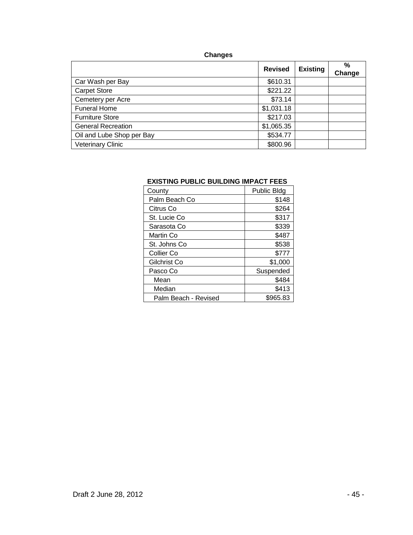# **Changes**

|                           | <b>Revised</b> | <b>Existing</b> | $\frac{9}{6}$<br>Change |
|---------------------------|----------------|-----------------|-------------------------|
| Car Wash per Bay          | \$610.31       |                 |                         |
| <b>Carpet Store</b>       | \$221.22       |                 |                         |
| Cemetery per Acre         | \$73.14        |                 |                         |
| <b>Funeral Home</b>       | \$1,031.18     |                 |                         |
| <b>Furniture Store</b>    | \$217.03       |                 |                         |
| <b>General Recreation</b> | \$1,065.35     |                 |                         |
| Oil and Lube Shop per Bay | \$534.77       |                 |                         |
| <b>Veterinary Clinic</b>  | \$800.96       |                 |                         |

## **EXISTING PUBLIC BUILDING IMPACT FEES**

| County               | <b>Public Bldg</b> |
|----------------------|--------------------|
| Palm Beach Co        | \$148              |
| Citrus Co            | \$264              |
| St. Lucie Co         | \$317              |
| Sarasota Co          | \$339              |
| Martin Co            | \$487              |
| St. Johns Co         | \$538              |
| Collier Co           | \$777              |
| Gilchrist Co         | \$1,000            |
| Pasco Co             | Suspended          |
| Mean                 | \$484              |
| Median               | \$413              |
| Palm Beach - Revised | \$965.83           |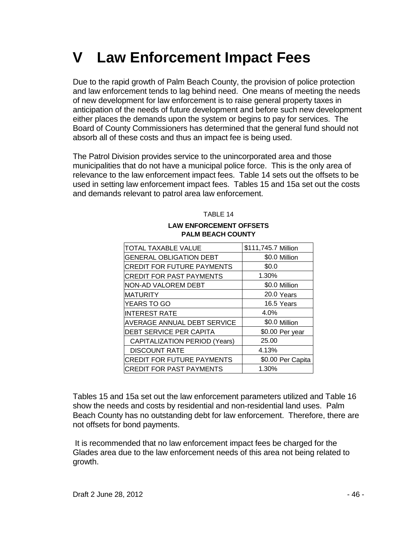# **V Law Enforcement Impact Fees**

Due to the rapid growth of Palm Beach County, the provision of police protection and law enforcement tends to lag behind need. One means of meeting the needs of new development for law enforcement is to raise general property taxes in anticipation of the needs of future development and before such new development either places the demands upon the system or begins to pay for services. The Board of County Commissioners has determined that the general fund should not absorb all of these costs and thus an impact fee is being used.

The Patrol Division provides service to the unincorporated area and those municipalities that do not have a municipal police force. This is the only area of relevance to the law enforcement impact fees. Table 14 sets out the offsets to be used in setting law enforcement impact fees. Tables 15 and 15a set out the costs and demands relevant to patrol area law enforcement.

TABLE 14

# **LAW ENFORCEMENT OFFSETS PALM BEACH COUNTY**

| TOTAL TAXABLE VALUE               | \$111,745.7 Million |
|-----------------------------------|---------------------|
| <b>GENERAL OBLIGATION DEBT</b>    | \$0.0 Million       |
| <b>CREDIT FOR FUTURE PAYMENTS</b> | \$0.0               |
| <b>CREDIT FOR PAST PAYMENTS</b>   | 1.30%               |
| NON-AD VALOREM DEBT               | \$0.0 Million       |
| <b>MATURITY</b>                   | 20.0 Years          |
| YEARS TO GO                       | 16.5 Years          |
| <b>INTEREST RATE</b>              | 4.0%                |
| AVERAGE ANNUAL DEBT SERVICE       | \$0.0 Million       |
| DEBT SERVICE PER CAPITA           | \$0.00 Per year     |
| CAPITALIZATION PERIOD (Years)     | 25.00               |
| <b>DISCOUNT RATE</b>              | 4.13%               |
| <b>CREDIT FOR FUTURE PAYMENTS</b> | \$0.00 Per Capita   |
| <b>CREDIT FOR PAST PAYMENTS</b>   | 1.30%               |

Tables 15 and 15a set out the law enforcement parameters utilized and Table 16 show the needs and costs by residential and non-residential land uses. Palm Beach County has no outstanding debt for law enforcement. Therefore, there are not offsets for bond payments.

It is recommended that no law enforcement impact fees be charged for the Glades area due to the law enforcement needs of this area not being related to growth.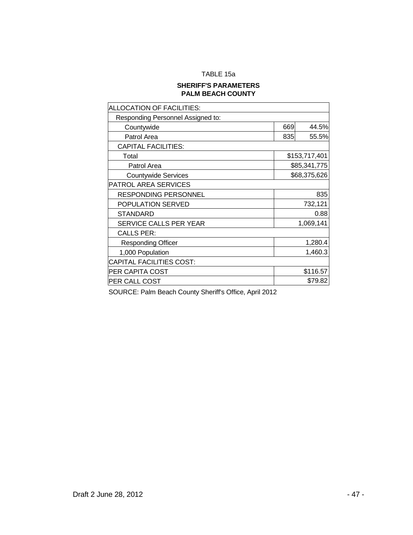## TABLE 15a

## **SHERIFF'S PARAMETERS PALM BEACH COUNTY**

| ALLOCATION OF FACILITIES:         |              |               |  |  |
|-----------------------------------|--------------|---------------|--|--|
| Responding Personnel Assigned to: |              |               |  |  |
| Countywide                        | 669          | 44.5%         |  |  |
| Patrol Area                       | 835          | 55.5%         |  |  |
| <b>CAPITAL FACILITIES:</b>        |              |               |  |  |
| Total                             |              | \$153,717,401 |  |  |
| Patrol Area                       |              | \$85,341,775  |  |  |
| <b>Countywide Services</b>        | \$68,375,626 |               |  |  |
| <b>PATROL AREA SERVICES</b>       |              |               |  |  |
| <b>RESPONDING PERSONNEL</b>       | 835          |               |  |  |
| POPULATION SERVED                 | 732,121      |               |  |  |
| <b>STANDARD</b>                   |              | 0.88          |  |  |
| SERVICE CALLS PER YEAR            | 1,069,141    |               |  |  |
| <b>CALLS PER:</b>                 |              |               |  |  |
| <b>Responding Officer</b>         |              | 1,280.4       |  |  |
| 1,000 Population                  | 1,460.3      |               |  |  |
| <b>CAPITAL FACILITIES COST:</b>   |              |               |  |  |
| <b>PER CAPITA COST</b>            |              | \$116.57      |  |  |
| <b>PER CALL COST</b>              |              | \$79.82       |  |  |

SOURCE: Palm Beach County Sheriff's Office, April 2012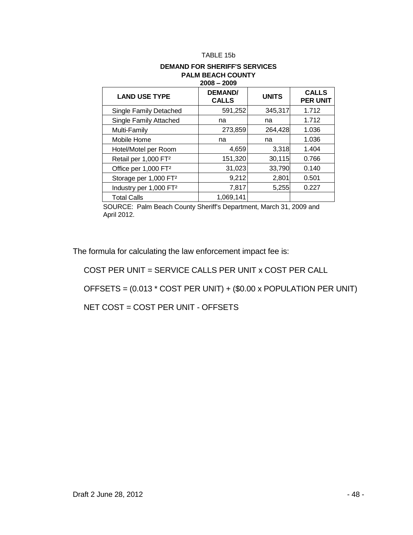#### TABLE 15b

#### **DEMAND FOR SHERIFF'S SERVICES PALM BEACH COUNTY 2008 – 2009**

| <b>LAND USE TYPE</b>               | <b>DEMAND/</b><br><b>CALLS</b> | <b>UNITS</b> | <b>CALLS</b><br><b>PER UNIT</b> |  |  |
|------------------------------------|--------------------------------|--------------|---------------------------------|--|--|
| Single Family Detached             | 591,252                        | 345,317      | 1.712                           |  |  |
| Single Family Attached             | na                             | na           | 1.712                           |  |  |
| Multi-Family                       | 273,859                        | 264,428      | 1.036                           |  |  |
| Mobile Home                        | na                             | na           | 1.036                           |  |  |
| Hotel/Motel per Room               | 4,659                          | 3,318        | 1.404                           |  |  |
| Retail per 1,000 FT <sup>2</sup>   | 151,320                        | 30,115       | 0.766                           |  |  |
| Office per 1,000 FT <sup>2</sup>   | 31,023                         | 33,790       | 0.140                           |  |  |
| Storage per 1,000 FT <sup>2</sup>  | 9,212                          | 2,801        | 0.501                           |  |  |
| Industry per 1,000 FT <sup>2</sup> | 7,817                          | 5,255        | 0.227                           |  |  |
| <b>Total Calls</b>                 | 1,069,141                      |              |                                 |  |  |

SOURCE: Palm Beach County Sheriff's Department, March 31, 2009 and April 2012.

The formula for calculating the law enforcement impact fee is:

COST PER UNIT = SERVICE CALLS PER UNIT x COST PER CALL

OFFSETS = (0.013 \* COST PER UNIT) + (\$0.00 x POPULATION PER UNIT)

NET COST = COST PER UNIT - OFFSETS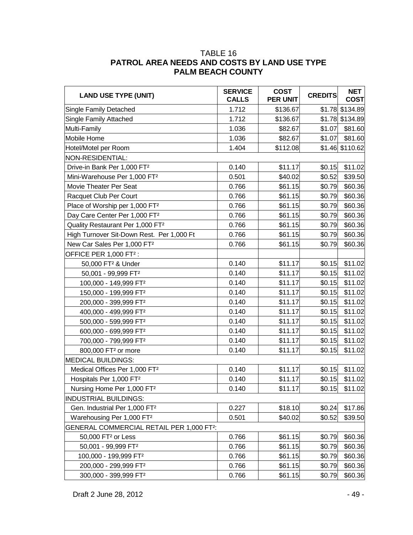# TABLE 16 **PATROL AREA NEEDS AND COSTS BY LAND USE TYPE PALM BEACH COUNTY**

| <b>LAND USE TYPE (UNIT)</b>                           | <b>SERVICE</b><br><b>CALLS</b> | <b>COST</b><br><b>PER UNIT</b> | <b>CREDITS</b> | <b>NET</b><br><b>COST</b> |
|-------------------------------------------------------|--------------------------------|--------------------------------|----------------|---------------------------|
| Single Family Detached                                | 1.712                          | \$136.67                       |                | \$1.78 \$134.89           |
| Single Family Attached                                | 1.712                          | \$136.67                       |                | \$1.78 \$134.89           |
| Multi-Family                                          | 1.036                          | \$82.67                        | \$1.07         | \$81.60                   |
| Mobile Home                                           | 1.036                          | \$82.67                        | \$1.07         | \$81.60                   |
| Hotel/Motel per Room                                  | 1.404                          | \$112.08                       |                | \$1.46 \$110.62           |
| NON-RESIDENTIAL:                                      |                                |                                |                |                           |
| Drive-in Bank Per 1,000 FT <sup>2</sup>               | 0.140                          | \$11.17                        | \$0.15         | \$11.02                   |
| Mini-Warehouse Per 1,000 FT <sup>2</sup>              | 0.501                          | \$40.02                        | \$0.52         | \$39.50                   |
| Movie Theater Per Seat                                | 0.766                          | \$61.15                        | \$0.79         | \$60.36                   |
| Racquet Club Per Court                                | 0.766                          | \$61.15                        | \$0.79         | \$60.36                   |
| Place of Worship per 1,000 FT <sup>2</sup>            | 0.766                          | \$61.15                        | \$0.79         | \$60.36                   |
| Day Care Center Per 1,000 FT <sup>2</sup>             | 0.766                          | \$61.15                        | \$0.79         | \$60.36                   |
| Quality Restaurant Per 1,000 FT <sup>2</sup>          | 0.766                          | \$61.15                        | \$0.79         | \$60.36                   |
| High Turnover Sit-Down Rest. Per 1,000 Ft             | 0.766                          | \$61.15                        | \$0.79         | \$60.36                   |
| New Car Sales Per 1,000 FT <sup>2</sup>               | 0.766                          | \$61.15                        | \$0.79         | \$60.36                   |
| OFFICE PER 1,000 FT <sup>2</sup> :                    |                                |                                |                |                           |
| 50,000 FT <sup>2</sup> & Under                        | 0.140                          | \$11.17                        | \$0.15         | \$11.02                   |
| 50,001 - 99,999 FT <sup>2</sup>                       | 0.140                          | \$11.17                        | \$0.15         | \$11.02                   |
| 100,000 - 149,999 FT <sup>2</sup>                     | 0.140                          | \$11.17                        | \$0.15         | \$11.02                   |
| 150,000 - 199,999 FT <sup>2</sup>                     | 0.140                          | \$11.17                        | \$0.15         | \$11.02                   |
| 200,000 - 399,999 FT <sup>2</sup>                     | 0.140                          | \$11.17                        | \$0.15         | \$11.02                   |
| 400,000 - 499,999 FT <sup>2</sup>                     | 0.140                          | \$11.17                        | \$0.15         | \$11.02                   |
| 500,000 - 599,999 FT <sup>2</sup>                     | 0.140                          | \$11.17                        | \$0.15         | \$11.02                   |
| 600,000 - 699,999 FT <sup>2</sup>                     | 0.140                          | \$11.17                        | \$0.15         | \$11.02                   |
| 700,000 - 799,999 FT <sup>2</sup>                     | 0.140                          | \$11.17                        | \$0.15         | \$11.02                   |
| 800,000 FT <sup>2</sup> or more                       | 0.140                          | \$11.17                        | \$0.15         | \$11.02                   |
| <b>MEDICAL BUILDINGS:</b>                             |                                |                                |                |                           |
| Medical Offices Per 1,000 FT <sup>2</sup>             | 0.140                          | \$11.17                        | \$0.15         | \$11.02                   |
| Hospitals Per 1,000 FT <sup>2</sup>                   | 0.140                          | \$11.17                        | \$0.15         | \$11.02                   |
| Nursing Home Per 1,000 FT <sup>2</sup>                | 0.140                          | \$11.17                        | \$0.15         | \$11.02                   |
| <b>INDUSTRIAL BUILDINGS:</b>                          |                                |                                |                |                           |
| Gen. Industrial Per 1,000 FT <sup>2</sup>             | 0.227                          | \$18.10                        | \$0.24         | \$17.86                   |
| Warehousing Per 1,000 FT <sup>2</sup>                 | 0.501                          | \$40.02                        | \$0.52         | \$39.50                   |
| GENERAL COMMERCIAL RETAIL PER 1,000 FT <sup>2</sup> : |                                |                                |                |                           |
| 50,000 FT <sup>2</sup> or Less                        | 0.766                          | \$61.15                        | \$0.79         | \$60.36                   |
| 50,001 - 99,999 FT <sup>2</sup>                       | 0.766                          | \$61.15                        | \$0.79         | \$60.36                   |
| 100,000 - 199,999 FT <sup>2</sup>                     | 0.766                          | \$61.15                        | \$0.79         | \$60.36                   |
| 200,000 - 299,999 FT <sup>2</sup>                     | 0.766                          | \$61.15                        | \$0.79         | \$60.36                   |
| 300,000 - 399,999 FT <sup>2</sup>                     | 0.766                          | \$61.15                        | \$0.79         | \$60.36                   |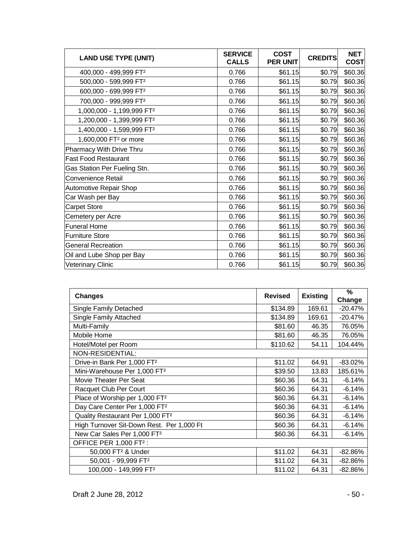| <b>LAND USE TYPE (UNIT)</b>           | <b>SERVICE</b><br><b>CALLS</b> | <b>COST</b><br><b>PER UNIT</b> | <b>CREDITS</b> | <b>NET</b><br><b>COST</b> |
|---------------------------------------|--------------------------------|--------------------------------|----------------|---------------------------|
| 400,000 - 499,999 FT <sup>2</sup>     | 0.766                          | \$61.15                        | \$0.79         | \$60.36                   |
| 500,000 - 599,999 FT <sup>2</sup>     | 0.766                          | \$61.15                        | \$0.79         | \$60.36                   |
| 600,000 - 699,999 FT <sup>2</sup>     | 0.766                          | \$61.15                        | \$0.79         | \$60.36                   |
| 700,000 - 999,999 FT <sup>2</sup>     | 0.766                          | \$61.15                        | \$0.79         | \$60.36                   |
| 1,000,000 - 1,199,999 FT <sup>2</sup> | 0.766                          | \$61.15                        | \$0.79         | \$60.36                   |
| 1,200,000 - 1,399,999 FT <sup>2</sup> | 0.766                          | \$61.15                        | \$0.79         | \$60.36                   |
| 1,400,000 - 1,599,999 FT <sup>2</sup> | 0.766                          | \$61.15                        | \$0.79         | \$60.36                   |
| 1,600,000 FT <sup>2</sup> or more     | 0.766                          | \$61.15                        | \$0.79         | \$60.36                   |
| Pharmacy With Drive Thru              | 0.766                          | \$61.15                        | \$0.79         | \$60.36                   |
| <b>Fast Food Restaurant</b>           | 0.766                          | \$61.15                        | \$0.79         | \$60.36                   |
| Gas Station Per Fueling Stn.          | 0.766                          | \$61.15                        | \$0.79         | \$60.36                   |
| Convenience Retail                    | 0.766                          | \$61.15                        | \$0.79         | \$60.36                   |
| <b>Automotive Repair Shop</b>         | 0.766                          | \$61.15                        | \$0.79         | \$60.36                   |
| Car Wash per Bay                      | 0.766                          | \$61.15                        | \$0.79         | \$60.36                   |
| Carpet Store                          | 0.766                          | \$61.15                        | \$0.79         | \$60.36                   |
| Cemetery per Acre                     | 0.766                          | \$61.15                        | \$0.79         | \$60.36                   |
| <b>Funeral Home</b>                   | 0.766                          | \$61.15                        | \$0.79         | \$60.36                   |
| <b>Furniture Store</b>                | 0.766                          | \$61.15                        | \$0.79         | \$60.36                   |
| <b>General Recreation</b>             | 0.766                          | \$61.15                        | \$0.79         | \$60.36                   |
| Oil and Lube Shop per Bay             | 0.766                          | \$61.15                        | \$0.79         | \$60.36                   |
| <b>Veterinary Clinic</b>              | 0.766                          | \$61.15                        | \$0.79         | \$60.36                   |

| <b>Changes</b>                               | <b>Revised</b> | <b>Existing</b> | %<br>Change |
|----------------------------------------------|----------------|-----------------|-------------|
| <b>Single Family Detached</b>                | \$134.89       | 169.61          | $-20.47%$   |
| Single Family Attached                       | \$134.89       | 169.61          | $-20.47%$   |
| Multi-Family                                 | \$81.60        | 46.35           | 76.05%      |
| Mobile Home                                  | \$81.60        | 46.35           | 76.05%      |
| Hotel/Motel per Room                         | \$110.62       | 54.11           | 104.44%     |
| NON-RESIDENTIAL:                             |                |                 |             |
| Drive-in Bank Per 1,000 FT <sup>2</sup>      | \$11.02        | 64.91           | $-83.02\%$  |
| Mini-Warehouse Per 1,000 FT <sup>2</sup>     | \$39.50        | 13.83           | 185.61%     |
| Movie Theater Per Seat                       | \$60.36        | 64.31           | $-6.14%$    |
| Racquet Club Per Court                       | \$60.36        | 64.31           | $-6.14%$    |
| Place of Worship per 1,000 FT <sup>2</sup>   | \$60.36        | 64.31           | $-6.14%$    |
| Day Care Center Per 1,000 FT <sup>2</sup>    | \$60.36        | 64.31           | $-6.14%$    |
| Quality Restaurant Per 1,000 FT <sup>2</sup> | \$60.36        | 64.31           | $-6.14%$    |
| High Turnover Sit-Down Rest. Per 1,000 Ft    | \$60.36        | 64.31           | $-6.14%$    |
| New Car Sales Per 1,000 FT <sup>2</sup>      | \$60.36        | 64.31           | $-6.14%$    |
| OFFICE PER 1,000 FT <sup>2</sup> :           |                |                 |             |
| 50,000 FT <sup>2</sup> & Under               | \$11.02        | 64.31           | $-82.86%$   |
| 50,001 - 99,999 FT <sup>2</sup>              | \$11.02        | 64.31           | -82.86%     |
| 100,000 - 149,999 FT <sup>2</sup>            | \$11.02        | 64.31           | $-82.86%$   |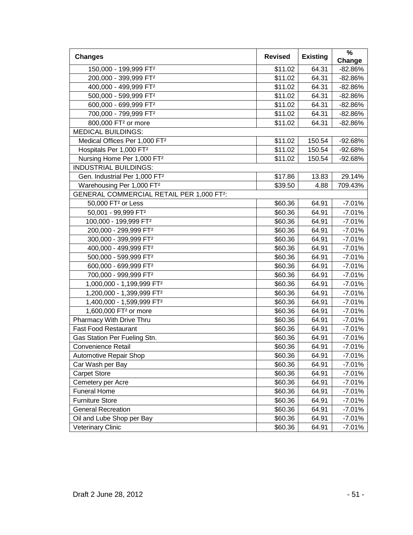| <b>Changes</b>                                  | <b>Revised</b> | <b>Existing</b> | %                   |
|-------------------------------------------------|----------------|-----------------|---------------------|
|                                                 |                | 64.31           | Change<br>$-82.86%$ |
| 150,000 - 199,999 FT <sup>2</sup>               | \$11.02        |                 |                     |
| 200,000 - 399,999 FT <sup>2</sup>               | \$11.02        | 64.31           | $-82.86%$           |
| 400,000 - 499,999 FT <sup>2</sup>               | \$11.02        | 64.31           | $-82.86%$           |
| 500,000 - 599,999 FT <sup>2</sup>               | \$11.02        | 64.31           | $-82.86%$           |
| 600,000 - 699,999 FT <sup>2</sup>               | \$11.02        | 64.31           | $-82.86%$           |
| 700,000 - 799,999 FT <sup>2</sup>               | \$11.02        | 64.31           | $-82.86%$           |
| 800,000 FT <sup>2</sup> or more                 | \$11.02        | 64.31           | $-82.86%$           |
| <b>MEDICAL BUILDINGS:</b>                       |                |                 |                     |
| Medical Offices Per 1,000 FT <sup>2</sup>       | \$11.02        | 150.54          | -92.68%             |
| Hospitals Per 1,000 FT <sup>2</sup>             | \$11.02        | 150.54          | $-92.68%$           |
| Nursing Home Per 1,000 FT <sup>2</sup>          | \$11.02        | 150.54          | $-92.68%$           |
| <b>INDUSTRIAL BUILDINGS:</b>                    |                |                 |                     |
| Gen. Industrial Per 1,000 FT <sup>2</sup>       | \$17.86        | 13.83           | 29.14%              |
| Warehousing Per 1,000 FT <sup>2</sup>           | \$39.50        | 4.88            | 709.43%             |
| <b>GENERAL COMMERCIAL RETAIL PER 1,000 FT2:</b> |                |                 |                     |
| 50,000 FT <sup>2</sup> or Less                  | \$60.36        | 64.91           | $-7.01%$            |
| 50,001 - 99,999 FT <sup>2</sup>                 | \$60.36        | 64.91           | $-7.01%$            |
| 100,000 - 199,999 FT <sup>2</sup>               | \$60.36        | 64.91           | $-7.01%$            |
| 200,000 - 299,999 FT <sup>2</sup>               | \$60.36        | 64.91           | $-7.01%$            |
| 300,000 - 399,999 FT <sup>2</sup>               | \$60.36        | 64.91           | $-7.01%$            |
| 400,000 - 499,999 FT <sup>2</sup>               | \$60.36        | 64.91           | $-7.01%$            |
| 500,000 - 599,999 FT <sup>2</sup>               | \$60.36        | 64.91           | $-7.01%$            |
| 600,000 - 699,999 FT <sup>2</sup>               | \$60.36        | 64.91           | $-7.01%$            |
| 700,000 - 999,999 FT <sup>2</sup>               | \$60.36        | 64.91           | $-7.01%$            |
| 1,000,000 - 1,199,999 FT <sup>2</sup>           | \$60.36        | 64.91           | $-7.01%$            |
| 1,200,000 - 1,399,999 FT <sup>2</sup>           | \$60.36        | 64.91           | $-7.01%$            |
| 1,400,000 - 1,599,999 FT <sup>2</sup>           | \$60.36        | 64.91           | $-7.01%$            |
| 1,600,000 FT <sup>2</sup> or more               | \$60.36        | 64.91           | $-7.01%$            |
| Pharmacy With Drive Thru                        | \$60.36        | 64.91           | $-7.01%$            |
| <b>Fast Food Restaurant</b>                     | \$60.36        | 64.91           | $-7.01%$            |
| Gas Station Per Fueling Stn.                    | \$60.36        | 64.91           | $-7.01%$            |
| <b>Convenience Retail</b>                       | \$60.36        | 64.91           | $-7.01%$            |
| Automotive Repair Shop                          | \$60.36        | 64.91           | $-7.01%$            |
| Car Wash per Bay                                | \$60.36        | 64.91           | $-7.01%$            |
| <b>Carpet Store</b>                             | \$60.36        | 64.91           | $-7.01%$            |
| Cemetery per Acre                               | \$60.36        | 64.91           | $-7.01%$            |
| <b>Funeral Home</b>                             | \$60.36        | 64.91           | $-7.01%$            |
| <b>Furniture Store</b>                          | \$60.36        | 64.91           | $-7.01%$            |
| <b>General Recreation</b>                       | \$60.36        | 64.91           | $-7.01%$            |
| Oil and Lube Shop per Bay                       | \$60.36        | 64.91           | $-7.01%$            |
| <b>Veterinary Clinic</b>                        | \$60.36        | 64.91           | $-7.01%$            |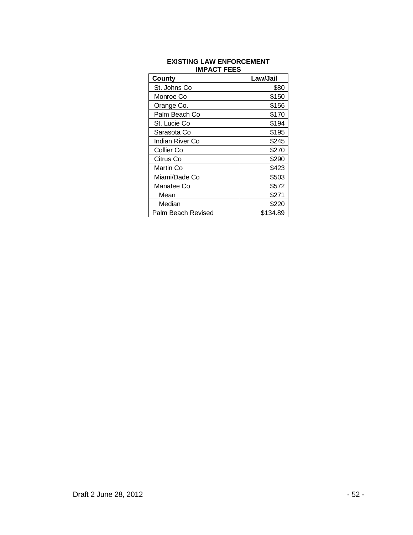| County             | Law/Jail |
|--------------------|----------|
| St. Johns Co       | \$80     |
| Monroe Co          | \$150    |
| Orange Co.         | \$156    |
| Palm Beach Co      | \$170    |
| St. Lucie Co       | \$194    |
| Sarasota Co        | \$195    |
| Indian River Co    | \$245    |
| Collier Co         | \$270    |
| Citrus Co          | \$290    |
| Martin Co          | \$423    |
| Miami/Dade Co      | \$503    |
| Manatee Co         | \$572    |
| Mean               | \$271    |
| Median             | \$220    |
| Palm Beach Revised | \$134.89 |

#### **EXISTING LAW ENFORCEMENT IMPACT FEES**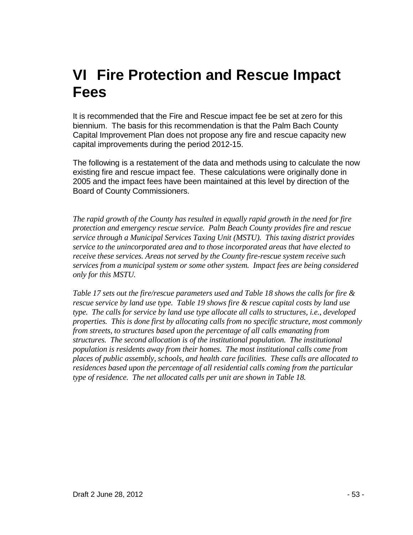# **VI Fire Protection and Rescue Impact Fees**

It is recommended that the Fire and Rescue impact fee be set at zero for this biennium. The basis for this recommendation is that the Palm Bach County Capital Improvement Plan does not propose any fire and rescue capacity new capital improvements during the period 2012-15.

The following is a restatement of the data and methods using to calculate the now existing fire and rescue impact fee. These calculations were originally done in 2005 and the impact fees have been maintained at this level by direction of the Board of County Commissioners.

*The rapid growth of the County has resulted in equally rapid growth in the need for fire protection and emergency rescue service. Palm Beach County provides fire and rescue service through a Municipal Services Taxing Unit (MSTU). This taxing district provides service to the unincorporated area and to those incorporated areas that have elected to receive these services. Areas not served by the County fire-rescue system receive such services from a municipal system or some other system. Impact fees are being considered only for this MSTU.*

*Table 17 sets out the fire/rescue parameters used and Table 18 shows the calls for fire & rescue service by land use type. Table 19 shows fire & rescue capital costs by land use type. The calls for service by land use type allocate all calls to structures, i.e., developed properties. This is done first by allocating calls from no specific structure, most commonly from streets, to structures based upon the percentage of all calls emanating from structures. The second allocation is of the institutional population. The institutional population is residents away from their homes. The most institutional calls come from places of public assembly, schools, and health care facilities. These calls are allocated to residences based upon the percentage of all residential calls coming from the particular type of residence. The net allocated calls per unit are shown in Table 18.*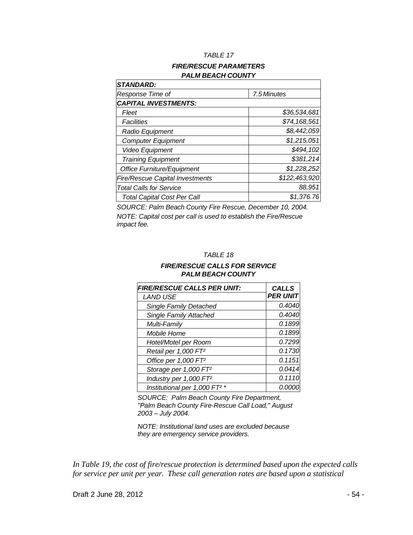#### *TABLE 17*

## *FIRE/RESCUE PARAMETERS PALM BEACH COUNTY*

| <b>STANDARD:</b>                       |               |  |
|----------------------------------------|---------------|--|
| Response Time of                       | 7.5 Minutes   |  |
| <b>CAPITAL INVESTMENTS:</b>            |               |  |
| Fleet                                  | \$36,534,681  |  |
| Facilities                             | \$74,168,561  |  |
| Radio Equipment                        | \$8,442,059   |  |
| <b>Computer Equipment</b>              | \$1,215,051   |  |
| Video Equipment                        | \$494,102     |  |
| <b>Training Equipment</b>              | \$381,214     |  |
| <b>Office Furniture/Equipment</b>      | \$1,228,252   |  |
| <b>Fire/Rescue Capital Investments</b> | \$122,463,920 |  |
| <b>Total Calls for Service</b>         | 88,951        |  |
| <b>Total Capital Cost Per Call</b>     | \$1,376.76    |  |

*SOURCE: Palm Beach County Fire Rescue, December 10, 2004. NOTE: Capital cost per call is used to establish the Fire/Rescue impact fee.*

#### *TABLE 18*

#### *FIRE/RESCUE CALLS FOR SERVICE PALM BEACH COUNTY*

| <b>FIRE/RESCUE CALLS PER UNIT:</b>        | <b>CALLS</b>    |
|-------------------------------------------|-----------------|
| <b>LAND USE</b>                           | <b>PER UNIT</b> |
| <b>Single Family Detached</b>             | 0.4040          |
| <b>Single Family Attached</b>             | 0.4040          |
| Multi-Family                              | 0.1899          |
| Mobile Home                               | 0.1899          |
| Hotel/Motel per Room                      | 0.7299          |
| Retail per 1,000 FT <sup>2</sup>          | 0.1730          |
| Office per 1,000 FT <sup>2</sup>          | 0.1151          |
| Storage per 1,000 FT <sup>2</sup>         | 0.0414          |
| Industry per 1,000 FT <sup>2</sup>        | 0.1110          |
| Institutional per 1,000 FT <sup>2</sup> * | 0.00            |

*SOURCE: Palm Beach County Fire Department, "Palm Beach County Fire-Rescue Call Load," August 2003 – July 2004.*

*NOTE: Institutional land uses are excluded because they are emergency service providers.*

*In Table 19, the cost of fire/rescue protection is determined based upon the expected calls for service per unit per year. These call generation rates are based upon a statistical*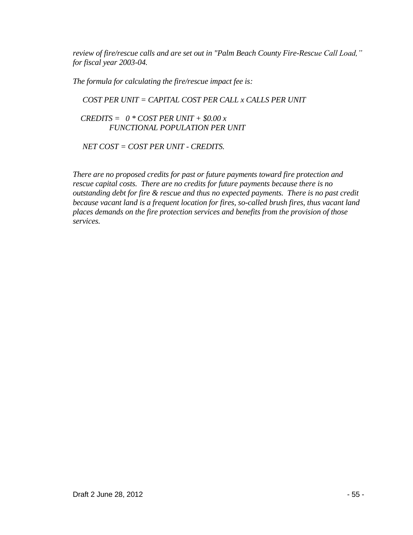*review of fire/rescue calls and are set out in "Palm Beach County Fire-Rescue Call Load," for fiscal year 2003-04.* 

*The formula for calculating the fire/rescue impact fee is:*

# *COST PER UNIT = CAPITAL COST PER CALL x CALLS PER UNIT*

 *CREDITS = 0 \* COST PER UNIT + \$0.00 x FUNCTIONAL POPULATION PER UNIT*

 *NET COST = COST PER UNIT - CREDITS.*

*There are no proposed credits for past or future payments toward fire protection and rescue capital costs. There are no credits for future payments because there is no outstanding debt for fire & rescue and thus no expected payments. There is no past credit because vacant land is a frequent location for fires, so-called brush fires, thus vacant land places demands on the fire protection services and benefits from the provision of those services.*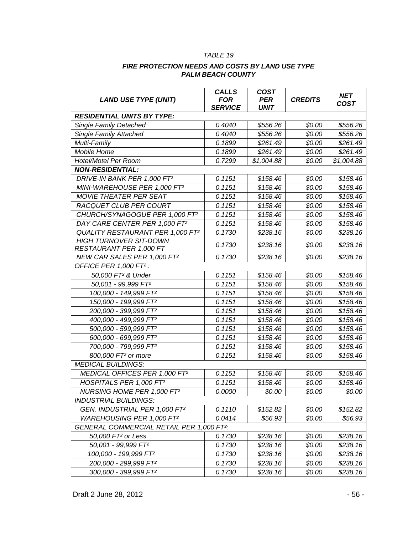#### *TABLE 19*

#### *FIRE PROTECTION NEEDS AND COSTS BY LAND USE TYPE PALM BEACH COUNTY*

| <b>LAND USE TYPE (UNIT)</b>                           | <b>CALLS</b><br><b>FOR</b><br><b>SERVICE</b> | <b>COST</b><br><b>PER</b><br><b>UNIT</b> | <b>CREDITS</b> | <b>NET</b><br><b>COST</b> |
|-------------------------------------------------------|----------------------------------------------|------------------------------------------|----------------|---------------------------|
| <b>RESIDENTIAL UNITS BY TYPE:</b>                     |                                              |                                          |                |                           |
| <b>Single Family Detached</b>                         | 0.4040                                       | \$556.26                                 | \$0.00         | \$556.26                  |
| Single Family Attached                                | 0.4040                                       | \$556.26                                 | \$0.00         | \$556.26                  |
| Multi-Family                                          | 0.1899                                       | \$261.49                                 | \$0.00         | \$261.49                  |
| Mobile Home                                           | 0.1899                                       | \$261.49                                 | \$0.00         | \$261.49                  |
| Hotel/Motel Per Room                                  | 0.7299                                       | \$1,004.88                               | \$0.00         | \$1,004.88                |
| <b>NON-RESIDENTIAL:</b>                               |                                              |                                          |                |                           |
| DRIVE-IN BANK PER 1,000 FT2                           | 0.1151                                       | \$158.46                                 | \$0.00         | \$158.46                  |
| MINI-WAREHOUSE PER 1,000 FT2                          | 0.1151                                       | \$158.46                                 | \$0.00         | \$158.46                  |
| MOVIE THEATER PER SEAT                                | 0.1151                                       | \$158.46                                 | \$0.00         | \$158.46                  |
| <b>RACQUET CLUB PER COURT</b>                         | 0.1151                                       | \$158.46                                 | \$0.00         | \$158.46                  |
| CHURCH/SYNAGOGUE PER 1,000 FT2                        | 0.1151                                       | \$158.46                                 | \$0.00         | \$158.46                  |
| DAY CARE CENTER PER 1,000 FT2                         | 0.1151                                       | \$158.46                                 | \$0.00         | \$158.46                  |
| QUALITY RESTAURANT PER 1,000 FT2                      | 0.1730                                       | \$238.16                                 | \$0.00         | \$238.16                  |
| <b>HIGH TURNOVER SIT-DOWN</b>                         | 0.1730                                       | \$238.16                                 | \$0.00         | \$238.16                  |
| RESTAURANT PER 1,000 FT                               |                                              |                                          |                |                           |
| NEW CAR SALES PER 1,000 FT2                           | 0.1730                                       | \$238.16                                 | \$0.00         | \$238.16                  |
| OFFICE PER 1,000 FT <sup>2</sup> :                    |                                              |                                          |                |                           |
| 50,000 FT <sup>2</sup> & Under                        | 0.1151                                       | \$158.46                                 | \$0.00         | \$158.46                  |
| 50,001 - 99,999 FT <sup>2</sup>                       | 0.1151                                       | \$158.46                                 | \$0.00         | \$158.46                  |
| 100,000 - 149,999 FT <sup>2</sup>                     | 0.1151                                       | \$158.46                                 | \$0.00         | \$158.46                  |
| 150,000 - 199,999 FT <sup>2</sup>                     | 0.1151                                       | \$158.46                                 | \$0.00         | \$158.46                  |
| 200,000 - 399,999 FT <sup>2</sup>                     | 0.1151                                       | \$158.46                                 | \$0.00         | \$158.46                  |
| 400,000 - 499,999 FT <sup>2</sup>                     | 0.1151                                       | \$158.46                                 | \$0.00         | \$158.46                  |
| 500,000 - 599,999 FT <sup>2</sup>                     | 0.1151                                       | \$158.46                                 | \$0.00         | \$158.46                  |
| 600,000 - 699,999 FT <sup>2</sup>                     | 0.1151                                       | \$158.46                                 | \$0.00         | \$158.46                  |
| 700,000 - 799,999 FT <sup>2</sup>                     | 0.1151                                       | \$158.46                                 | \$0.00         | \$158.46                  |
| 800,000 FT <sup>2</sup> or more                       | 0.1151                                       | \$158.46                                 | \$0.00         | \$158.46                  |
| <b>MEDICAL BUILDINGS:</b>                             |                                              |                                          |                |                           |
| MEDICAL OFFICES PER 1,000 FT2                         | 0.1151                                       | \$158.46                                 | \$0.00         | \$158.46                  |
| HOSPITALS PER 1,000 FT2                               | 0.1151                                       | \$158.46                                 | \$0.00         | \$158.46                  |
| NURSING HOME PER 1,000 FT2                            | 0.0000                                       | \$0.00                                   | \$0.00         | \$0.00                    |
| <b>INDUSTRIAL BUILDINGS:</b>                          |                                              |                                          |                |                           |
| GEN. INDUSTRIAL PER 1,000 FT2                         | 0.1110                                       | \$152.82                                 | \$0.00         | \$152.82                  |
| WAREHOUSING PER 1,000 FT2                             | 0.0414                                       | \$56.93                                  | \$0.00         | \$56.93                   |
| GENERAL COMMERCIAL RETAIL PER 1,000 FT <sup>2</sup> : |                                              |                                          |                |                           |
| 50,000 FT <sup>2</sup> or Less                        | 0.1730                                       | \$238.16                                 | \$0.00         | \$238.16                  |
| 50,001 - 99,999 FT <sup>2</sup>                       | 0.1730                                       | \$238.16                                 | \$0.00         | \$238.16                  |
| 100,000 - 199,999 FT <sup>2</sup>                     | 0.1730                                       | \$238.16                                 | \$0.00         | \$238.16                  |
| 200,000 - 299,999 FT <sup>2</sup>                     | 0.1730                                       | \$238.16                                 | \$0.00         | \$238.16                  |
| 300,000 - 399,999 FT <sup>2</sup>                     | 0.1730                                       | \$238.16                                 | \$0.00         | \$238.16                  |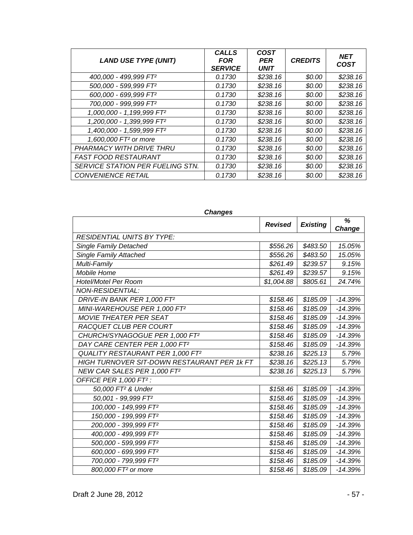| <b>LAND USE TYPE (UNIT)</b>             | <b>CALLS</b><br><b>FOR</b><br><b>SERVICE</b> | <b>COST</b><br><b>PER</b><br><b>UNIT</b> | <b>CREDITS</b> | <b>NET</b><br><b>COST</b> |
|-----------------------------------------|----------------------------------------------|------------------------------------------|----------------|---------------------------|
| 400,000 - 499,999 FT <sup>2</sup>       | 0.1730                                       | \$238.16                                 | \$0.00         | \$238.16                  |
| 500,000 - 599,999 FT <sup>2</sup>       | 0.1730                                       | \$238.16                                 | \$0.00         | \$238.16                  |
| 600,000 - 699,999 FT <sup>2</sup>       | 0.1730                                       | \$238.16                                 | \$0.00         | \$238.16                  |
| 700,000 - 999,999 FT <sup>2</sup>       | 0.1730                                       | \$238.16                                 | \$0.00         | \$238.16                  |
| 1,000,000 - 1,199,999 FT <sup>2</sup>   | 0.1730                                       | \$238.16                                 | \$0.00         | \$238.16                  |
| 1,200,000 - 1,399,999 FT <sup>2</sup>   | 0.1730                                       | \$238.16                                 | \$0.00         | \$238.16                  |
| 1,400,000 - 1,599,999 FT <sup>2</sup>   | 0.1730                                       | \$238.16                                 | \$0.00         | \$238.16                  |
| 1,600,000 FT <sup>2</sup> or more       | 0.1730                                       | \$238.16                                 | \$0.00         | \$238.16                  |
| PHARMACY WITH DRIVE THRU                | 0.1730                                       | \$238.16                                 | \$0.00         | \$238.16                  |
| <b>FAST FOOD RESTAURANT</b>             | 0.1730                                       | \$238.16                                 | \$0.00         | \$238.16                  |
| <b>SERVICE STATION PER FUELING STN.</b> | 0.1730                                       | \$238.16                                 | \$0.00         | \$238.16                  |
| <b>CONVENIENCE RETAIL</b>               | 0.1730                                       | \$238.16                                 | \$0.00         | \$238.16                  |

| <b>Changes</b>                                     |                |                 |             |  |
|----------------------------------------------------|----------------|-----------------|-------------|--|
|                                                    | <b>Revised</b> | <b>Existing</b> | %<br>Change |  |
| <b>RESIDENTIAL UNITS BY TYPE:</b>                  |                |                 |             |  |
| <b>Single Family Detached</b>                      | \$556.26       | \$483.50        | 15.05%      |  |
| <b>Single Family Attached</b>                      | \$556.26       | \$483.50        | 15.05%      |  |
| Multi-Family                                       | \$261.49       | \$239.57        | 9.15%       |  |
| Mobile Home                                        | \$261.49       | \$239.57        | 9.15%       |  |
| Hotel/Motel Per Room                               | \$1,004.88     | \$805.61        | 24.74%      |  |
| <b>NON-RESIDENTIAL:</b>                            |                |                 |             |  |
| DRIVE-IN BANK PER 1,000 FT2                        | \$158.46       | \$185.09        | $-14.39%$   |  |
| MINI-WAREHOUSE PER 1,000 FT2                       | \$158.46       | \$185.09        | $-14.39%$   |  |
| MOVIE THEATER PER SEAT                             | \$158.46       | \$185.09        | $-14.39%$   |  |
| <b>RACQUET CLUB PER COURT</b>                      | \$158.46       | \$185.09        | $-14.39%$   |  |
| CHURCH/SYNAGOGUE PER 1,000 FT2                     | \$158.46       | \$185.09        | $-14.39%$   |  |
| DAY CARE CENTER PER 1,000 FT2                      | \$158.46       | \$185.09        | $-14.39%$   |  |
| QUALITY RESTAURANT PER 1,000 FT2                   | \$238.16       | \$225.13        | 5.79%       |  |
| <b>HIGH TURNOVER SIT-DOWN RESTAURANT PER 1K FT</b> | \$238.16       | \$225.13        | 5.79%       |  |
| NEW CAR SALES PER 1,000 FT2                        | \$238.16       | \$225.13        | 5.79%       |  |
| OFFICE PER 1,000 FT <sup>2</sup> :                 |                |                 |             |  |
| 50,000 FT <sup>2</sup> & Under                     | \$158.46       | \$185.09        | $-14.39%$   |  |
| 50,001 - 99,999 FT <sup>2</sup>                    | \$158.46       | \$185.09        | $-14.39%$   |  |
| 100,000 - 149,999 FT <sup>2</sup>                  | \$158.46       | \$185.09        | $-14.39%$   |  |
| 150,000 - 199,999 FT <sup>2</sup>                  | \$158.46       | \$185.09        | $-14.39%$   |  |
| 200,000 - 399,999 FT <sup>2</sup>                  | \$158.46       | \$185.09        | $-14.39%$   |  |
| 400,000 - 499,999 FT <sup>2</sup>                  | \$158.46       | \$185.09        | $-14.39%$   |  |
| 500,000 - 599,999 FT <sup>2</sup>                  | \$158.46       | \$185.09        | $-14.39%$   |  |
| 600,000 - 699,999 FT <sup>2</sup>                  | \$158.46       | \$185.09        | $-14.39%$   |  |
| 700,000 - 799,999 FT <sup>2</sup>                  | \$158.46       | \$185.09        | $-14.39%$   |  |
| 800,000 FT <sup>2</sup> or more                    | \$158.46       | \$185.09        | $-14.39%$   |  |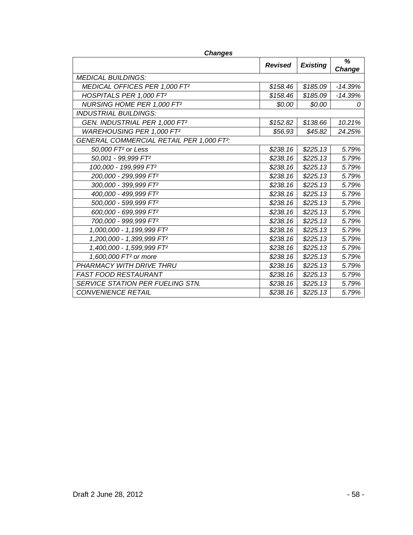| unanyas                                               |                |                 |             |
|-------------------------------------------------------|----------------|-----------------|-------------|
|                                                       | <b>Revised</b> | <b>Existing</b> | %<br>Change |
| <b>MEDICAL BUILDINGS:</b>                             |                |                 |             |
| MEDICAL OFFICES PER 1,000 FT2                         | \$158.46       | \$185.09        | $-14.39%$   |
| HOSPITALS PER 1,000 FT2                               | \$158.46       | \$185.09        | $-14.39%$   |
| NURSING HOME PER 1,000 FT2                            | \$0.00         | \$0.00          | 0           |
| <b>INDUSTRIAL BUILDINGS:</b>                          |                |                 |             |
| GEN. INDUSTRIAL PER 1,000 FT2                         | \$152.82       | \$138.66        | 10.21%      |
| WAREHOUSING PER 1,000 FT2                             | \$56.93        | \$45.82         | 24.25%      |
| GENERAL COMMERCIAL RETAIL PER 1,000 FT <sup>2</sup> : |                |                 |             |
| 50,000 FT <sup>2</sup> or Less                        | \$238.16       | \$225.13        | 5.79%       |
| 50,001 - 99,999 FT <sup>2</sup>                       | \$238.16       | \$225.13        | 5.79%       |
| 100,000 - 199,999 FT <sup>2</sup>                     | \$238.16       | \$225.13        | 5.79%       |
| 200,000 - 299,999 FT <sup>2</sup>                     | \$238.16       | \$225.13        | 5.79%       |
| 300,000 - 399,999 FT <sup>2</sup>                     | \$238.16       | \$225.13        | 5.79%       |
| 400,000 - 499,999 FT <sup>2</sup>                     | \$238.16       | \$225.13        | 5.79%       |
| 500,000 - 599,999 FT <sup>2</sup>                     | \$238.16       | \$225.13        | 5.79%       |
| 600,000 - 699,999 FT <sup>2</sup>                     | \$238.16       | \$225.13        | 5.79%       |
| 700,000 - 999,999 FT <sup>2</sup>                     | \$238.16       | \$225.13        | 5.79%       |
| 1,000,000 - 1,199,999 FT <sup>2</sup>                 | \$238.16       | \$225.13        | 5.79%       |
| 1,200,000 - 1,399,999 FT <sup>2</sup>                 | \$238.16       | \$225.13        | 5.79%       |
| 1,400,000 - 1,599,999 FT <sup>2</sup>                 | \$238.16       | \$225.13        | 5.79%       |
| 1,600,000 FT <sup>2</sup> or more                     | \$238.16       | \$225.13        | 5.79%       |
| PHARMACY WITH DRIVE THRU                              | \$238.16       | \$225.13        | 5.79%       |
| <b>FAST FOOD RESTAURANT</b>                           | \$238.16       | \$225.13        | 5.79%       |
| <b>SERVICE STATION PER FUELING STN.</b>               | \$238.16       | \$225.13        | 5.79%       |
| <b>CONVENIENCE RETAIL</b>                             | \$238.16       | \$225.13        | 5.79%       |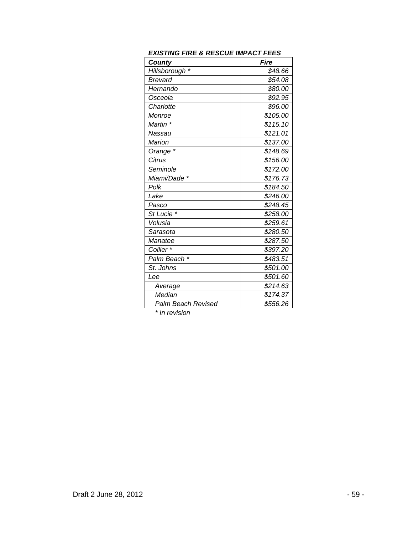| <b>County</b>      | Fire     |
|--------------------|----------|
| Hillsborough *     | \$48.66  |
| Brevard            | \$54.08  |
| Hernando           | \$80.00  |
| Osceola            | \$92.95  |
| Charlotte          | \$96.00  |
| Monroe             | \$105.00 |
| Martin *           | \$115.10 |
| Nassau             | \$121.01 |
| Marion             | \$137.00 |
| Orange *           | \$148.69 |
| Citrus             | \$156.00 |
| Seminole           | \$172.00 |
| Miami/Dade *       | \$176.73 |
| Polk               | \$184.50 |
| Lake               | \$246.00 |
| Pasco              | \$248.45 |
| St Lucie *         | \$258.00 |
| Volusia            | \$259.61 |
| Sarasota           | \$280.50 |
| Manatee            | \$287.50 |
| Collier *          | \$397.20 |
| Palm Beach *       | \$483.51 |
| St. Johns          | \$501.00 |
| Lee                | \$501.60 |
| Average            | \$214.63 |
| Median             | \$174.37 |
| Palm Beach Revised | \$556.26 |

*\* In revision*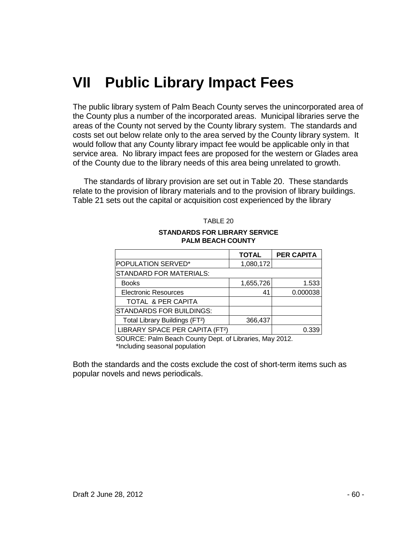# **VII Public Library Impact Fees**

The public library system of Palm Beach County serves the unincorporated area of the County plus a number of the incorporated areas. Municipal libraries serve the areas of the County not served by the County library system. The standards and costs set out below relate only to the area served by the County library system. It would follow that any County library impact fee would be applicable only in that service area. No library impact fees are proposed for the western or Glades area of the County due to the library needs of this area being unrelated to growth.

 The standards of library provision are set out in Table 20. These standards relate to the provision of library materials and to the provision of library buildings. Table 21 sets out the capital or acquisition cost experienced by the library

|                                             | <b>TOTAL</b> | <b>PER CAPITA</b> |  |  |
|---------------------------------------------|--------------|-------------------|--|--|
| POPULATION SERVED*                          | 1,080,172    |                   |  |  |
| <b>STANDARD FOR MATERIALS:</b>              |              |                   |  |  |
| <b>Books</b>                                | 1,655,726    | 1.533             |  |  |
| <b>Electronic Resources</b>                 | 41           | 0.000038          |  |  |
| TOTAL & PER CAPITA                          |              |                   |  |  |
| <b>STANDARDS FOR BUILDINGS:</b>             |              |                   |  |  |
| Total Library Buildings (FT <sup>2</sup> )  | 366,437      |                   |  |  |
| LIBRARY SPACE PER CAPITA (FT <sup>2</sup> ) |              | 0.339             |  |  |
|                                             |              |                   |  |  |

TABLE 20

# **STANDARDS FOR LIBRARY SERVICE PALM BEACH COUNTY**

SOURCE: Palm Beach County Dept. of Libraries, May 2012. \*Including seasonal population

Both the standards and the costs exclude the cost of short-term items such as popular novels and news periodicals.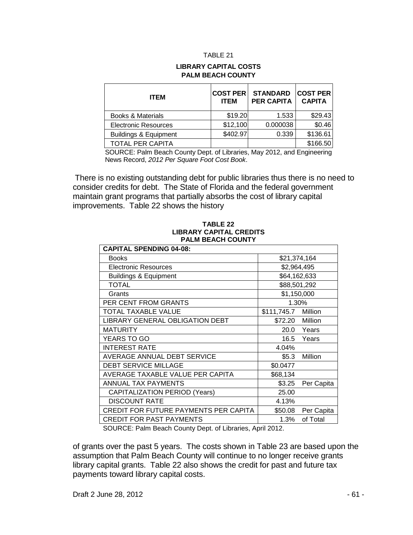#### TABLE 21

#### **LIBRARY CAPITAL COSTS PALM BEACH COUNTY**

| <b>ITEM</b>                      | <b>COST PER</b><br><b>ITEM</b> | <b>STANDARD</b><br><b>PER CAPITA</b> | COST PER <br><b>CAPITA</b> |
|----------------------------------|--------------------------------|--------------------------------------|----------------------------|
| Books & Materials                | \$19.20                        | 1.533                                | \$29.43                    |
| <b>Electronic Resources</b>      | \$12,100                       | 0.000038                             | \$0.46                     |
| <b>Buildings &amp; Equipment</b> | \$402.97                       | 0.339                                | \$136.61                   |
| TOTAL PER CAPITA                 |                                |                                      | \$166.50                   |

SOURCE: Palm Beach County Dept. of Libraries, May 2012, and Engineering News Record, *2012 Per Square Foot Cost Book*.

There is no existing outstanding debt for public libraries thus there is no need to consider credits for debt. The State of Florida and the federal government maintain grant programs that partially absorbs the cost of library capital improvements. Table 22 shows the history

## **TABLE 22 LIBRARY CAPITAL CREDITS PALM BEACH COUNTY**

| <b>CAPITAL SPENDING 04-08:</b>        |                     |            |  |  |
|---------------------------------------|---------------------|------------|--|--|
| <b>Books</b>                          | \$21,374,164        |            |  |  |
| <b>Electronic Resources</b>           | \$2,964,495         |            |  |  |
| <b>Buildings &amp; Equipment</b>      | \$64,162,633        |            |  |  |
| <b>TOTAL</b>                          | \$88,501,292        |            |  |  |
| Grants                                | \$1,150,000         |            |  |  |
| PER CENT FROM GRANTS                  | 1.30%               |            |  |  |
| TOTAL TAXABLE VALUE                   | \$111,745.7 Million |            |  |  |
| LIBRARY GENERAL OBLIGATION DEBT       | \$72.20 Million     |            |  |  |
| <b>MATURITY</b>                       |                     | 20.0 Years |  |  |
| YEARS TO GO                           | 16.5                | Years      |  |  |
| <b>INTEREST RATE</b>                  | 4.04%               |            |  |  |
| AVERAGE ANNUAL DEBT SERVICE           | \$5.3\$             | Million    |  |  |
| <b>DEBT SERVICE MILLAGE</b>           | \$0.0477            |            |  |  |
| AVERAGE TAXABLE VALUE PER CAPITA      | \$68,134            |            |  |  |
| ANNUAL TAX PAYMENTS                   | \$3.25              | Per Capita |  |  |
| <b>CAPITALIZATION PERIOD (Years)</b>  | 25.00               |            |  |  |
| <b>DISCOUNT RATE</b>                  | 4.13%               |            |  |  |
| CREDIT FOR FUTURE PAYMENTS PER CAPITA | \$50.08             | Per Capita |  |  |
| <b>CREDIT FOR PAST PAYMENTS</b>       | 1.3%                | of Total   |  |  |

SOURCE: Palm Beach County Dept. of Libraries, April 2012.

of grants over the past 5 years. The costs shown in Table 23 are based upon the assumption that Palm Beach County will continue to no longer receive grants library capital grants. Table 22 also shows the credit for past and future tax payments toward library capital costs.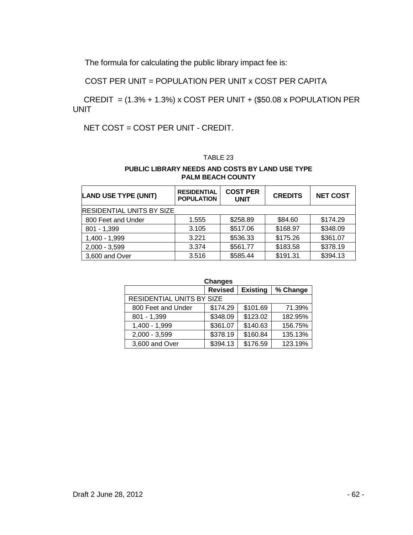The formula for calculating the public library impact fee is:

COST PER UNIT = POPULATION PER UNIT x COST PER CAPITA

 CREDIT = (1.3% + 1.3%) x COST PER UNIT + (\$50.08 x POPULATION PER UNIT

NET COST = COST PER UNIT - CREDIT.

# TABLE 23

## **PUBLIC LIBRARY NEEDS AND COSTS BY LAND USE TYPE PALM BEACH COUNTY**

| <b>LAND USE TYPE (UNIT)</b> | <b>RESIDENTIAL</b><br><b>POPULATION</b> | <b>COST PER</b><br><b>UNIT</b> | <b>CREDITS</b> | <b>NET COST</b> |  |  |
|-----------------------------|-----------------------------------------|--------------------------------|----------------|-----------------|--|--|
|                             | <b>RESIDENTIAL UNITS BY SIZE</b>        |                                |                |                 |  |  |
| 800 Feet and Under          | 1.555                                   | \$258.89                       | \$84.60        | \$174.29        |  |  |
| $801 - 1,399$               | 3.105                                   | \$517.06                       | \$168.97       | \$348.09        |  |  |
| 1,400 - 1,999               | 3.221                                   | \$536.33                       | \$175.26       | \$361.07        |  |  |
| $2,000 - 3,599$             | 3.374                                   | \$561.77                       | \$183.58       | \$378.19        |  |  |
| 3,600 and Over              | 3.516                                   | \$585.44                       | \$191.31       | \$394.13        |  |  |

| <b>Changes</b>                   |                |                 |          |  |  |
|----------------------------------|----------------|-----------------|----------|--|--|
|                                  | <b>Revised</b> | <b>Existing</b> | % Change |  |  |
| <b>RESIDENTIAL UNITS BY SIZE</b> |                |                 |          |  |  |
| 800 Feet and Under               | \$174.29       | \$101.69        | 71.39%   |  |  |
| $801 - 1,399$                    | \$348.09       | \$123.02        | 182.95%  |  |  |
| 1,400 - 1,999                    | \$361.07       | \$140.63        | 156.75%  |  |  |
| $2,000 - 3,599$                  | \$378.19       | \$160.84        | 135.13%  |  |  |
| 3,600 and Over                   | \$394.13       | \$176.59        | 123.19%  |  |  |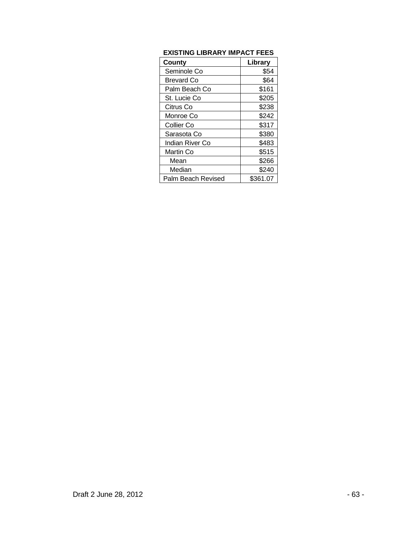# **EXISTING LIBRARY IMPACT FEES**

| <b>County</b>      | Library  |
|--------------------|----------|
| Seminole Co        | \$54     |
| <b>Brevard Co</b>  | \$64     |
| Palm Beach Co      | \$161    |
| St. Lucie Co       | \$205    |
| Citrus Co          | \$238    |
| Monroe Co          | \$242    |
| Collier Co         | \$317    |
| Sarasota Co        | \$380    |
| Indian River Co    | \$483    |
| Martin Co          | \$515    |
| Mean               | \$266    |
| Median             | \$240    |
| Palm Beach Revised | \$361.07 |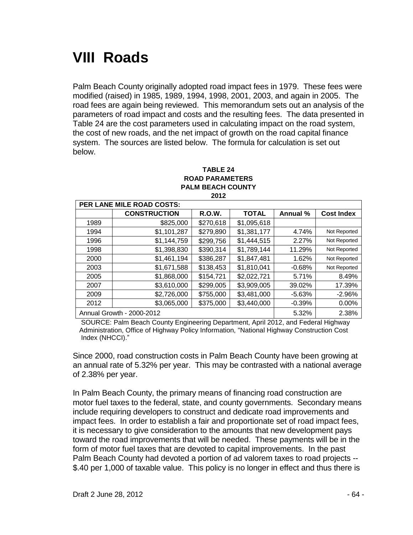# **VIII Roads**

Palm Beach County originally adopted road impact fees in 1979. These fees were modified (raised) in 1985, 1989, 1994, 1998, 2001, 2003, and again in 2005. The road fees are again being reviewed. This memorandum sets out an analysis of the parameters of road impact and costs and the resulting fees. The data presented in Table 24 are the cost parameters used in calculating impact on the road system, the cost of new roads, and the net impact of growth on the road capital finance system. The sources are listed below. The formula for calculation is set out below.

#### **TABLE 24 ROAD PARAMETERS PALM BEACH COUNTY 2012**

| PER LANE MILE ROAD COSTS: |                           |               |              |          |                   |
|---------------------------|---------------------------|---------------|--------------|----------|-------------------|
|                           | <b>CONSTRUCTION</b>       | <b>R.O.W.</b> | <b>TOTAL</b> | Annual % | <b>Cost Index</b> |
| 1989                      | \$825,000                 | \$270,618     | \$1,095,618  |          |                   |
| 1994                      | \$1,101,287               | \$279,890     | \$1,381,177  | 4.74%    | Not Reported      |
| 1996                      | \$1,144,759               | \$299,756     | \$1,444,515  | 2.27%    | Not Reported      |
| 1998                      | \$1,398,830               | \$390,314     | \$1,789,144  | 11.29%   | Not Reported      |
| 2000                      | \$1,461,194               | \$386,287     | \$1,847,481  | 1.62%    | Not Reported      |
| 2003                      | \$1,671,588               | \$138,453     | \$1,810,041  | $-0.68%$ | Not Reported      |
| 2005                      | \$1,868,000               | \$154,721     | \$2,022,721  | 5.71%    | 8.49%             |
| 2007                      | \$3,610,000               | \$299,005     | \$3,909,005  | 39.02%   | 17.39%            |
| 2009                      | \$2,726,000               | \$755,000     | \$3,481,000  | $-5.63%$ | $-2.96%$          |
| 2012                      | \$3,065,000               | \$375,000     | \$3,440,000  | $-0.39%$ | 0.00%             |
|                           | Annual Growth - 2000-2012 |               |              | 5.32%    | 2.38%             |

SOURCE: Palm Beach County Engineering Department, April 2012, and Federal Highway Administration, Office of Highway Policy Information, "National Highway Construction Cost Index (NHCCI)."

Since 2000, road construction costs in Palm Beach County have been growing at an annual rate of 5.32% per year. This may be contrasted with a national average of 2.38% per year.

In Palm Beach County, the primary means of financing road construction are motor fuel taxes to the federal, state, and county governments. Secondary means include requiring developers to construct and dedicate road improvements and impact fees. In order to establish a fair and proportionate set of road impact fees, it is necessary to give consideration to the amounts that new development pays toward the road improvements that will be needed. These payments will be in the form of motor fuel taxes that are devoted to capital improvements. In the past Palm Beach County had devoted a portion of ad valorem taxes to road projects -- \$.40 per 1,000 of taxable value. This policy is no longer in effect and thus there is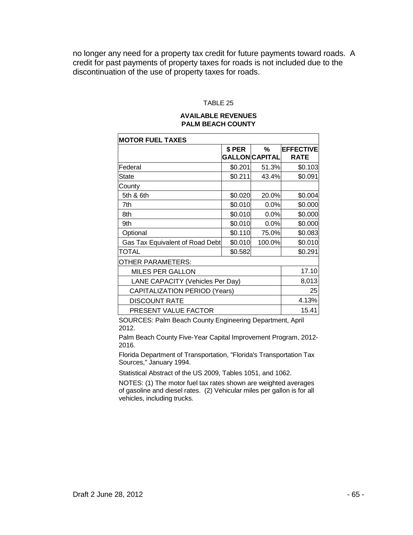no longer any need for a property tax credit for future payments toward roads. A credit for past payments of property taxes for roads is not included due to the discontinuation of the use of property taxes for roads.

#### TABLE 25

## **AVAILABLE REVENUES PALM BEACH COUNTY**

| <b>MOTOR FUEL TAXES</b>              |         |                       |                  |  |
|--------------------------------------|---------|-----------------------|------------------|--|
|                                      | \$ PER  | ℅                     | <b>EFFECTIVE</b> |  |
|                                      |         | <b>GALLON CAPITAL</b> | <b>RATE</b>      |  |
| Federal                              | \$0.201 | 51.3%                 | \$0.103          |  |
| State                                | \$0.211 | 43.4%                 | \$0.091          |  |
| County                               |         |                       |                  |  |
| 5th & 6th                            | \$0.020 | 20.0%                 | \$0.004          |  |
| 7th                                  | \$0.010 | 0.0%                  | \$0.000          |  |
| 8th                                  | \$0.010 | 0.0%                  | \$0.000          |  |
| 9th                                  | \$0.010 | 0.0%                  | \$0.000          |  |
| Optional                             | \$0.110 | 75.0%                 | \$0.083          |  |
| Gas Tax Equivalent of Road Debt      | \$0.010 | 100.0%                | \$0.010          |  |
| TOTAL                                | \$0.582 |                       | \$0.291          |  |
| OTHER PARAMETERS:                    |         |                       |                  |  |
| <b>MILES PER GALLON</b>              | 17.10   |                       |                  |  |
| LANE CAPACITY (Vehicles Per Day)     | 8,013   |                       |                  |  |
| <b>CAPITALIZATION PERIOD (Years)</b> |         |                       | 25               |  |
| <b>DISCOUNT RATE</b>                 |         |                       | 4.13%            |  |
| PRESENT VALUE FACTOR                 |         |                       | 15.41            |  |

SOURCES: Palm Beach County Engineering Department, April 2012.

Palm Beach County Five-Year Capital Improvement Program, 2012- 2016.

Florida Department of Transportation, "Florida's Transportation Tax Sources," January 1994.

Statistical Abstract of the US 2009, Tables 1051, and 1062.

NOTES: (1) The motor fuel tax rates shown are weighted averages of gasoline and diesel rates. (2) Vehicular miles per gallon is for all vehicles, including trucks.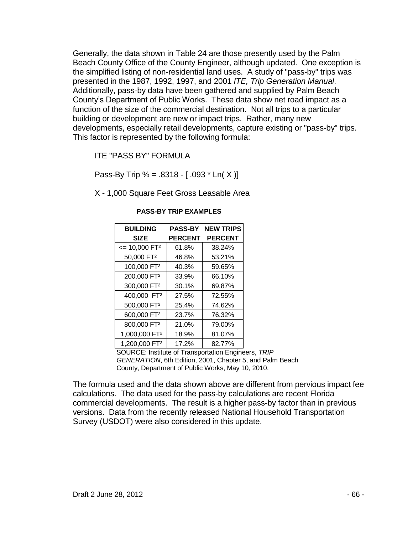Generally, the data shown in Table 24 are those presently used by the Palm Beach County Office of the County Engineer, although updated. One exception is the simplified listing of non-residential land uses. A study of "pass-by" trips was presented in the 1987, 1992, 1997, and 2001 *ITE, Trip Generation Manual*. Additionally, pass-by data have been gathered and supplied by Palm Beach County's Department of Public Works. These data show net road impact as a function of the size of the commercial destination. Not all trips to a particular building or development are new or impact trips. Rather, many new developments, especially retail developments, capture existing or "pass-by" trips. This factor is represented by the following formula:

ITE "PASS BY" FORMULA

Pass-By Trip % =  $.8318 - [.093 * Ln(X)]$ 

X - 1,000 Square Feet Gross Leasable Area

| <b>BUILDING</b>            |                | <b>PASS-BY NEW TRIPS</b> |
|----------------------------|----------------|--------------------------|
| <b>SIZE</b>                | <b>PERCENT</b> | <b>PERCENT</b>           |
| $= 10,000$ FT <sup>2</sup> | 61.8%          | 38.24%                   |
| 50,000 FT <sup>2</sup>     | 46.8%          | 53.21%                   |
| 100,000 FT <sup>2</sup>    | 40.3%          | 59.65%                   |
| 200,000 FT <sup>2</sup>    | 33.9%          | 66.10%                   |
| 300,000 FT <sup>2</sup>    | 30.1%          | 69.87%                   |
| 400,000 FT <sup>2</sup>    | 27.5%          | 72.55%                   |
| 500,000 FT <sup>2</sup>    | 25.4%          | 74.62%                   |
| 600,000 FT <sup>2</sup>    | 23.7%          | 76.32%                   |
| 800,000 FT <sup>2</sup>    | 21.0%          | 79.00%                   |
| 1,000,000 FT <sup>2</sup>  | 18.9%          | 81.07%                   |
| 1,200,000 FT <sup>2</sup>  | 17.2%          | 82.77%                   |

## **PASS-BY TRIP EXAMPLES**

SOURCE: Institute of Transportation Engineers, *TRIP GENERATION*, 6th Edition, 2001, Chapter 5, and Palm Beach County, Department of Public Works, May 10, 2010.

The formula used and the data shown above are different from pervious impact fee calculations. The data used for the pass-by calculations are recent Florida commercial developments. The result is a higher pass-by factor than in previous versions. Data from the recently released National Household Transportation Survey (USDOT) were also considered in this update.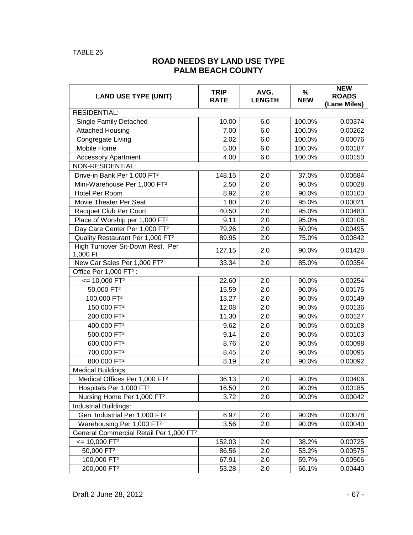# **ROAD NEEDS BY LAND USE TYPE PALM BEACH COUNTY**

| <b>LAND USE TYPE (UNIT)</b>                           | <b>TRIP</b><br><b>RATE</b> | AVG.<br><b>LENGTH</b> | %<br><b>NEW</b> | <b>NEW</b><br><b>ROADS</b><br>(Lane Miles) |  |  |
|-------------------------------------------------------|----------------------------|-----------------------|-----------------|--------------------------------------------|--|--|
| <b>RESIDENTIAL:</b>                                   |                            |                       |                 |                                            |  |  |
| <b>Single Family Detached</b>                         | 10.00                      | 6.0                   | 100.0%          | 0.00374                                    |  |  |
| <b>Attached Housing</b>                               | 7.00                       | 6.0                   | 100.0%          | 0.00262                                    |  |  |
| Congregate Living                                     | 2.02                       | 6.0                   | 100.0%          | 0.00076                                    |  |  |
| Mobile Home                                           | 5.00                       | 6.0                   | 100.0%          | 0.00187                                    |  |  |
| <b>Accessory Apartment</b>                            | 4.00                       | 6.0                   | 100.0%          | 0.00150                                    |  |  |
| NON-RESIDENTIAL:                                      |                            |                       |                 |                                            |  |  |
| Drive-in Bank Per 1,000 FT <sup>2</sup>               | 148.15                     | 2.0                   | 37.0%           | 0.00684                                    |  |  |
| Mini-Warehouse Per 1,000 FT <sup>2</sup>              | 2.50                       | 2.0                   | 90.0%           | 0.00028                                    |  |  |
| Hotel Per Room                                        | 8.92                       | 2.0                   | 90.0%           | 0.00100                                    |  |  |
| Movie Theater Per Seat                                | 1.80                       | 2.0                   | 95.0%           | 0.00021                                    |  |  |
| Racquet Club Per Court                                | 40.50                      | 2.0                   | 95.0%           | 0.00480                                    |  |  |
| Place of Worship per 1,000 FT <sup>2</sup>            | 9.11                       | 2.0                   | 95.0%           | 0.00108                                    |  |  |
| Day Care Center Per 1,000 FT <sup>2</sup>             | 79.26                      | 2.0                   | 50.0%           | 0.00495                                    |  |  |
| Quality Restaurant Per 1,000 FT <sup>2</sup>          | 89.95                      | 2.0                   | 75.0%           | 0.00842                                    |  |  |
| High Turnover Sit-Down Rest. Per<br>1,000 Ft          | 127.15                     | 2.0                   | 90.0%           | 0.01428                                    |  |  |
| New Car Sales Per 1,000 FT <sup>2</sup>               | 33.34                      | 2.0                   | 85.0%           | 0.00354                                    |  |  |
| Office Per 1,000 FT <sup>2</sup> :                    |                            |                       |                 |                                            |  |  |
| $= 10,000$ FT <sup>2</sup>                            | 22.60                      | 2.0                   | 90.0%           | 0.00254                                    |  |  |
| 50,000 FT <sup>2</sup>                                | 15.59                      | 2.0                   | 90.0%           | 0.00175                                    |  |  |
| 100,000 FT <sup>2</sup>                               | 13.27                      | 2.0                   | 90.0%           | 0.00149                                    |  |  |
| 150,000 FT <sup>2</sup>                               | 12.08                      | 2.0                   | 90.0%           | 0.00136                                    |  |  |
| 200,000 FT <sup>2</sup>                               | 11.30                      | 2.0                   | 90.0%           | 0.00127                                    |  |  |
| 400,000 FT <sup>2</sup>                               | 9.62                       | 2.0                   | 90.0%           | 0.00108                                    |  |  |
| 500,000 FT <sup>2</sup>                               | 9.14                       | 2.0                   | 90.0%           | 0.00103                                    |  |  |
| 600,000 FT <sup>2</sup>                               | 8.76                       | 2.0                   | 90.0%           | 0.00098                                    |  |  |
| 700,000 FT <sup>2</sup>                               | 8.45                       | 2.0                   | 90.0%           | 0.00095                                    |  |  |
| 800,000 FT <sup>2</sup>                               | 8.19                       | 2.0                   | 90.0%           | 0.00092                                    |  |  |
| <b>Medical Buildings:</b>                             |                            |                       |                 |                                            |  |  |
| Medical Offices Per 1,000 FT <sup>2</sup>             | 36.13                      | 2.0                   | 90.0%           | 0.00406                                    |  |  |
| Hospitals Per 1,000 FT <sup>2</sup>                   | 16.50                      | 2.0                   | 90.0%           | 0.00185                                    |  |  |
| Nursing Home Per 1,000 FT <sup>2</sup>                | 3.72                       | 2.0                   | 90.0%           | 0.00042                                    |  |  |
| Industrial Buildings:                                 |                            |                       |                 |                                            |  |  |
| Gen. Industrial Per 1,000 FT <sup>2</sup>             | 6.97                       | 2.0                   | 90.0%           | 0.00078                                    |  |  |
| Warehousing Per 1,000 FT <sup>2</sup>                 | 3.56                       | 2.0                   | 90.0%           | 0.00040                                    |  |  |
| General Commercial Retail Per 1,000 FT <sup>2</sup> : |                            |                       |                 |                                            |  |  |
| $= 10,000$ FT <sup>2</sup>                            | 152.03                     | 2.0                   | 38.2%           | 0.00725                                    |  |  |
| 50,000 FT <sup>2</sup>                                | 86.56                      | 2.0                   | 53.2%           | 0.00575                                    |  |  |
| 100,000 FT <sup>2</sup>                               | 67.91                      | 2.0                   | 59.7%           | 0.00506                                    |  |  |
| 200,000 FT <sup>2</sup>                               | 53.28                      | 2.0                   | 66.1%           | 0.00440                                    |  |  |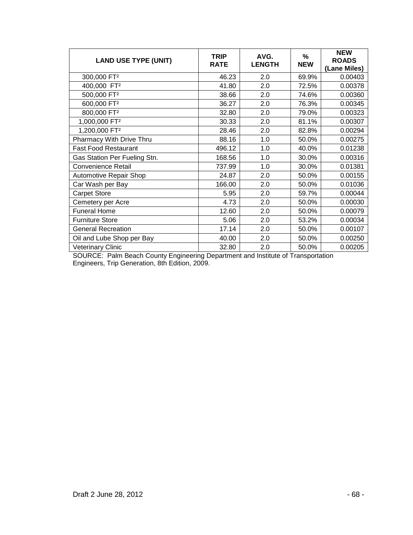| <b>LAND USE TYPE (UNIT)</b>  | <b>TRIP</b><br><b>RATE</b> | AVG.<br><b>LENGTH</b> | %<br><b>NEW</b> | <b>NEW</b><br><b>ROADS</b><br>(Lane Miles) |
|------------------------------|----------------------------|-----------------------|-----------------|--------------------------------------------|
| 300,000 FT <sup>2</sup>      | 46.23                      | 2.0                   | 69.9%           | 0.00403                                    |
| 400,000 FT <sup>2</sup>      | 41.80                      | 2.0                   | 72.5%           | 0.00378                                    |
| 500,000 FT <sup>2</sup>      | 38.66                      | 2.0                   | 74.6%           | 0.00360                                    |
| 600,000 FT <sup>2</sup>      | 36.27                      | 2.0                   | 76.3%           | 0.00345                                    |
| 800,000 FT <sup>2</sup>      | 32.80                      | 2.0                   | 79.0%           | 0.00323                                    |
| 1,000,000 FT <sup>2</sup>    | 30.33                      | 2.0                   | 81.1%           | 0.00307                                    |
| 1,200,000 FT <sup>2</sup>    | 28.46                      | 2.0                   | 82.8%           | 0.00294                                    |
| Pharmacy With Drive Thru     | 88.16                      | 1.0                   | 50.0%           | 0.00275                                    |
| <b>Fast Food Restaurant</b>  | 496.12                     | 1.0                   | 40.0%           | 0.01238                                    |
| Gas Station Per Fueling Stn. | 168.56                     | 1.0                   | 30.0%           | 0.00316                                    |
| <b>Convenience Retail</b>    | 737.99                     | 1.0                   | 30.0%           | 0.01381                                    |
| Automotive Repair Shop       | 24.87                      | 2.0                   | 50.0%           | 0.00155                                    |
| Car Wash per Bay             | 166.00                     | 2.0                   | 50.0%           | 0.01036                                    |
| <b>Carpet Store</b>          | 5.95                       | 2.0                   | 59.7%           | 0.00044                                    |
| Cemetery per Acre            | 4.73                       | 2.0                   | 50.0%           | 0.00030                                    |
| <b>Funeral Home</b>          | 12.60                      | 2.0                   | 50.0%           | 0.00079                                    |
| <b>Furniture Store</b>       | 5.06                       | 2.0                   | 53.2%           | 0.00034                                    |
| <b>General Recreation</b>    | 17.14                      | 2.0                   | 50.0%           | 0.00107                                    |
| Oil and Lube Shop per Bay    | 40.00                      | 2.0                   | 50.0%           | 0.00250                                    |
| <b>Veterinary Clinic</b>     | 32.80                      | 2.0                   | 50.0%           | 0.00205                                    |

SOURCE: Palm Beach County Engineering Department and Institute of Transportation Engineers, Trip Generation, 8th Edition, 2009.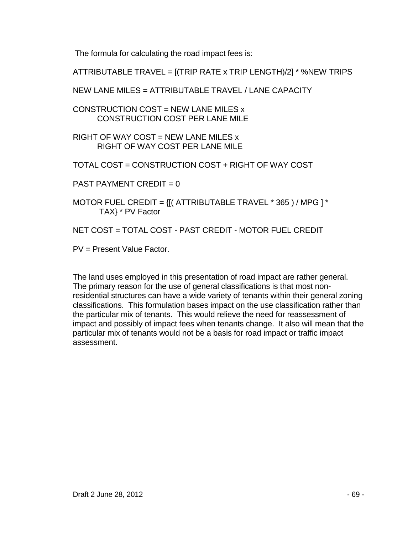The formula for calculating the road impact fees is:

ATTRIBUTABLE TRAVEL = [(TRIP RATE x TRIP LENGTH)/2] \* %NEW TRIPS

NEW LANE MILES = ATTRIBUTABLE TRAVEL / LANE CAPACITY

CONSTRUCTION COST = NEW LANE MILES x CONSTRUCTION COST PER LANE MILE

RIGHT OF WAY COST = NEW LANE MILES  $x$ RIGHT OF WAY COST PER LANE MILE

TOTAL COST = CONSTRUCTION COST + RIGHT OF WAY COST

PAST PAYMENT CREDIT  $= 0$ 

MOTOR FUEL CREDIT =  $\{[(ATTRIBUTABLE TRAVEL * 365)/MPG] *$ TAX} \* PV Factor

NET COST = TOTAL COST - PAST CREDIT - MOTOR FUEL CREDIT

PV = Present Value Factor.

The land uses employed in this presentation of road impact are rather general. The primary reason for the use of general classifications is that most nonresidential structures can have a wide variety of tenants within their general zoning classifications. This formulation bases impact on the use classification rather than the particular mix of tenants. This would relieve the need for reassessment of impact and possibly of impact fees when tenants change. It also will mean that the particular mix of tenants would not be a basis for road impact or traffic impact assessment.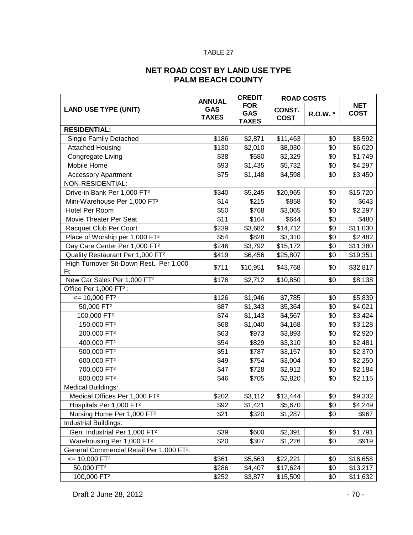## TABLE 27

# **NET ROAD COST BY LAND USE TYPE PALM BEACH COUNTY**

|                                                       | <b>ANNUAL</b>              | <b>CREDIT</b>                            | <b>ROAD COSTS</b>            |          |                           |  |
|-------------------------------------------------------|----------------------------|------------------------------------------|------------------------------|----------|---------------------------|--|
| <b>LAND USE TYPE (UNIT)</b>                           | <b>GAS</b><br><b>TAXES</b> | <b>FOR</b><br><b>GAS</b><br><b>TAXES</b> | <b>CONST.</b><br><b>COST</b> | R.O.W. * | <b>NET</b><br><b>COST</b> |  |
| <b>RESIDENTIAL:</b>                                   |                            |                                          |                              |          |                           |  |
| <b>Single Family Detached</b>                         | \$186                      | \$2,871                                  | \$11,463                     | \$0      | \$8,592                   |  |
| <b>Attached Housing</b>                               | \$130                      | \$2,010                                  | \$8,030                      | \$0      | \$6,020                   |  |
| Congregate Living                                     | \$38                       | \$580                                    | \$2,329                      | \$0      | \$1,749                   |  |
| Mobile Home                                           | \$93                       | \$1,435                                  | \$5,732                      | \$0      | \$4,297                   |  |
| <b>Accessory Apartment</b>                            | \$75                       | \$1,148                                  | \$4,598                      | \$0      | \$3,450                   |  |
| NON-RESIDENTIAL:                                      |                            |                                          |                              |          |                           |  |
| Drive-in Bank Per 1,000 FT <sup>2</sup>               | \$340                      | \$5,245                                  | \$20,965                     | \$0      | \$15,720                  |  |
| Mini-Warehouse Per 1,000 FT <sup>2</sup>              | \$14                       | \$215                                    | \$858                        | \$0      | \$643                     |  |
| Hotel Per Room                                        | \$50                       | \$768                                    | \$3,065                      | \$0      | \$2,297                   |  |
| Movie Theater Per Seat                                | \$11                       | \$164                                    | \$644                        | \$0      | \$480                     |  |
| Racquet Club Per Court                                | \$239                      | \$3,682                                  | \$14,712                     | \$0      | \$11,030                  |  |
| Place of Worship per 1,000 FT <sup>2</sup>            | \$54                       | \$828                                    | \$3,310                      | \$0      | \$2,482                   |  |
| Day Care Center Per 1,000 FT <sup>2</sup>             | \$246                      | \$3,792                                  | \$15,172                     | \$0      | \$11,380                  |  |
| Quality Restaurant Per 1,000 FT <sup>2</sup>          | \$419                      | \$6,456                                  | \$25,807                     | \$0      | \$19,351                  |  |
| High Turnover Sit-Down Rest. Per 1,000<br>Ft          | \$711                      | \$10,951                                 | \$43,768                     | \$0      | \$32,817                  |  |
| New Car Sales Per 1,000 FT <sup>2</sup>               | \$176                      | \$2,712                                  | \$10,850                     | \$0      | \$8,138                   |  |
| Office Per 1,000 FT <sup>2</sup> :                    |                            |                                          |                              |          |                           |  |
| $= 10,000$ FT <sup>2</sup>                            | \$126                      | \$1,946                                  | \$7,785                      | \$0      | \$5,839                   |  |
| 50,000 FT <sup>2</sup>                                | \$87                       | \$1,343                                  | \$5,364                      | \$0      | \$4,021                   |  |
| 100,000 FT <sup>2</sup>                               | \$74                       | \$1,143                                  | \$4,567                      | \$0      | \$3,424                   |  |
| 150,000 FT <sup>2</sup>                               | \$68                       | \$1,040                                  | \$4,168                      | \$0      | \$3,128                   |  |
| 200,000 FT <sup>2</sup>                               | \$63                       | \$973                                    | \$3,893                      | \$0      | \$2,920                   |  |
| 400,000 FT <sup>2</sup>                               | \$54                       | \$829                                    | \$3,310                      | \$0      | \$2,481                   |  |
| 500,000 FT <sup>2</sup>                               | \$51                       | \$787                                    | \$3,157                      | \$0      | \$2,370                   |  |
| 600,000 FT <sup>2</sup>                               | \$49                       | \$754                                    | \$3,004                      | \$0      | \$2,250                   |  |
| 700,000 FT <sup>2</sup>                               | \$47                       | \$728                                    | \$2,912                      | \$0      | \$2,184                   |  |
| 800,000 FT <sup>2</sup>                               | \$46                       | \$705                                    | \$2,820                      | \$0      | \$2,115                   |  |
| <b>Medical Buildings:</b>                             |                            |                                          |                              |          |                           |  |
| Medical Offices Per 1,000 FT <sup>2</sup>             | \$202                      | \$3,112                                  | \$12,444                     | \$0      | \$9,332                   |  |
| Hospitals Per 1,000 FT <sup>2</sup>                   | \$92                       | \$1,421                                  | \$5,670                      | \$0      | \$4,249                   |  |
| Nursing Home Per 1,000 FT <sup>2</sup>                | \$21                       | \$320                                    | \$1,287                      | \$0      | \$967                     |  |
| Industrial Buildings:                                 |                            |                                          |                              |          |                           |  |
| Gen. Industrial Per 1,000 FT <sup>2</sup>             | \$39                       | \$600                                    | \$2,391                      | \$0      | \$1,791                   |  |
| Warehousing Per 1,000 FT <sup>2</sup>                 | \$20                       | \$307                                    | \$1,226                      | \$0      | \$919                     |  |
| General Commercial Retail Per 1,000 FT <sup>2</sup> : |                            |                                          |                              |          |                           |  |
| $= 10,000$ FT <sup>2</sup>                            | \$361                      | \$5,563                                  | \$22,221                     | \$0      | \$16,658                  |  |
| 50,000 FT <sup>2</sup>                                | \$286                      | \$4,407                                  | \$17,624                     | \$0      | \$13,217                  |  |
| 100,000 FT <sup>2</sup>                               | \$252                      | \$3,877                                  | \$15,509                     | \$0      | \$11,632                  |  |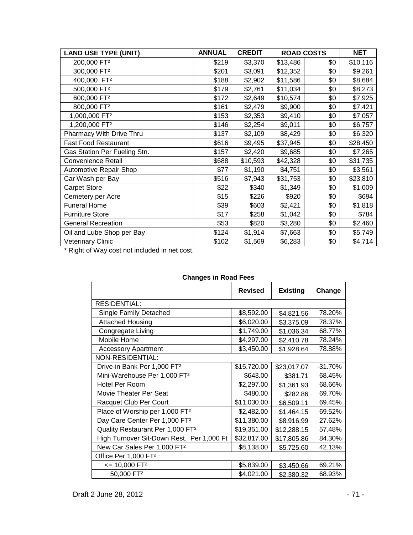| <b>LAND USE TYPE (UNIT)</b>  | <b>ANNUAL</b> | <b>CREDIT</b> | <b>ROAD COSTS</b> |     | <b>NET</b> |
|------------------------------|---------------|---------------|-------------------|-----|------------|
| 200,000 FT <sup>2</sup>      | \$219         | \$3,370       | \$13,486          | \$0 | \$10,116   |
| 300,000 FT <sup>2</sup>      | \$201         | \$3,091       | \$12,352          | \$0 | \$9,261    |
| 400,000 FT <sup>2</sup>      | \$188         | \$2,902       | \$11,586          | \$0 | \$8,684    |
| 500,000 FT <sup>2</sup>      | \$179         | \$2,761       | \$11,034          | \$0 | \$8,273    |
| 600,000 FT <sup>2</sup>      | \$172         | \$2,649       | \$10,574          | \$0 | \$7,925    |
| 800,000 FT <sup>2</sup>      | \$161         | \$2,479       | \$9,900           | \$0 | \$7,421    |
| 1,000,000 FT <sup>2</sup>    | \$153         | \$2,353       | \$9,410           | \$0 | \$7,057    |
| 1,200,000 FT <sup>2</sup>    | \$146         | \$2,254       | \$9,011           | \$0 | \$6,757    |
| Pharmacy With Drive Thru     | \$137         | \$2,109       | \$8,429           | \$0 | \$6,320    |
| <b>Fast Food Restaurant</b>  | \$616         | \$9,495       | \$37,945          | \$0 | \$28,450   |
| Gas Station Per Fueling Stn. | \$157         | \$2,420       | \$9,685           | \$0 | \$7,265    |
| <b>Convenience Retail</b>    | \$688         | \$10,593      | \$42,328          | \$0 | \$31,735   |
| Automotive Repair Shop       | \$77          | \$1,190       | \$4,751           | \$0 | \$3,561    |
| Car Wash per Bay             | \$516         | \$7,943       | \$31,753          | \$0 | \$23,810   |
| <b>Carpet Store</b>          | \$22          | \$340         | \$1,349           | \$0 | \$1,009    |
| Cemetery per Acre            | \$15          | \$226         | \$920             | \$0 | \$694      |
| <b>Funeral Home</b>          | \$39          | \$603         | \$2,421           | \$0 | \$1,818    |
| <b>Furniture Store</b>       | \$17          | \$258         | \$1,042           | \$0 | \$784      |
| <b>General Recreation</b>    | \$53          | \$820         | \$3,280           | \$0 | \$2,460    |
| Oil and Lube Shop per Bay    | \$124         | \$1,914       | \$7,663           | \$0 | \$5,749    |
| <b>Veterinary Clinic</b>     | \$102         | \$1,569       | \$6,283           | \$0 | \$4,714    |

\* Right of Way cost not included in net cost.

| onangoo in noaa i coo                        |                |                 |           |  |  |  |  |
|----------------------------------------------|----------------|-----------------|-----------|--|--|--|--|
|                                              | <b>Revised</b> | <b>Existing</b> | Change    |  |  |  |  |
| <b>RESIDENTIAL:</b>                          |                |                 |           |  |  |  |  |
| Single Family Detached                       | \$8,592.00     | \$4,821.56      | 78.20%    |  |  |  |  |
| <b>Attached Housing</b>                      | \$6,020.00     | \$3,375.09      | 78.37%    |  |  |  |  |
| Congregate Living                            | \$1,749.00     | \$1,036.34      | 68.77%    |  |  |  |  |
| Mobile Home                                  | \$4,297.00     | \$2,410.78      | 78.24%    |  |  |  |  |
| <b>Accessory Apartment</b>                   | \$3,450.00     | \$1,928.64      | 78.88%    |  |  |  |  |
| NON-RESIDENTIAL:                             |                |                 |           |  |  |  |  |
| Drive-in Bank Per 1,000 FT <sup>2</sup>      | \$15,720.00    | \$23,017.07     | $-31.70%$ |  |  |  |  |
| Mini-Warehouse Per 1,000 FT <sup>2</sup>     | \$643.00       | \$381.71        | 68.45%    |  |  |  |  |
| Hotel Per Room                               | \$2,297.00     | \$1,361.93      | 68.66%    |  |  |  |  |
| Movie Theater Per Seat                       | \$480.00       | \$282.86        | 69.70%    |  |  |  |  |
| Racquet Club Per Court                       | \$11,030.00    | \$6,509.11      | 69.45%    |  |  |  |  |
| Place of Worship per 1,000 FT <sup>2</sup>   | \$2,482.00     | \$1,464.15      | 69.52%    |  |  |  |  |
| Day Care Center Per 1,000 FT <sup>2</sup>    | \$11,380.00    | \$8,916.99      | 27.62%    |  |  |  |  |
| Quality Restaurant Per 1,000 FT <sup>2</sup> | \$19,351.00    | \$12,288.15     | 57.48%    |  |  |  |  |
| High Turnover Sit-Down Rest. Per 1,000 Ft    | \$32,817.00    | \$17,805.86     | 84.30%    |  |  |  |  |
| New Car Sales Per 1,000 FT <sup>2</sup>      | \$8,138.00     | \$5,725.60      | 42.13%    |  |  |  |  |
| Office Per 1,000 FT <sup>2</sup> :           |                |                 |           |  |  |  |  |
| $= 10,000$ FT <sup>2</sup>                   | \$5,839.00     | \$3,450.66      | 69.21%    |  |  |  |  |
| 50,000 FT <sup>2</sup>                       | \$4,021.00     | \$2,380.32      | 68.93%    |  |  |  |  |

### **Changes in Road Fees**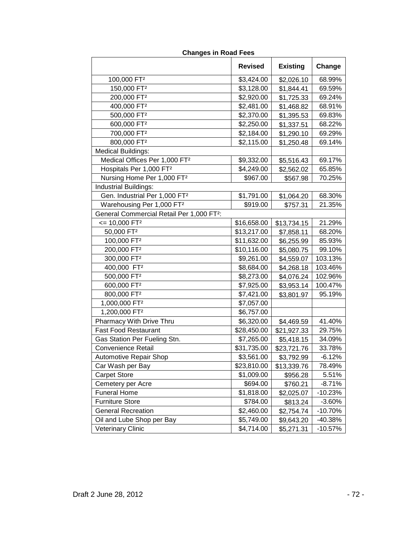|                                                       | <b>Revised</b> | <b>Existing</b> | Change    |
|-------------------------------------------------------|----------------|-----------------|-----------|
| 100,000 FT <sup>2</sup>                               | \$3,424.00     | \$2,026.10      | 68.99%    |
| 150,000 FT <sup>2</sup>                               | \$3,128.00     | \$1,844.41      | 69.59%    |
| 200,000 FT <sup>2</sup>                               | \$2,920.00     | \$1,725.33      | 69.24%    |
| 400,000 FT <sup>2</sup>                               | \$2,481.00     | \$1,468.82      | 68.91%    |
| 500,000 FT <sup>2</sup>                               | \$2,370.00     | \$1,395.53      | 69.83%    |
| 600,000 FT <sup>2</sup>                               | \$2,250.00     | \$1,337.51      | 68.22%    |
| 700,000 FT <sup>2</sup>                               | \$2,184.00     | \$1,290.10      | 69.29%    |
| 800,000 FT <sup>2</sup>                               | \$2,115.00     | \$1,250.48      | 69.14%    |
| <b>Medical Buildings:</b>                             |                |                 |           |
| Medical Offices Per 1,000 FT <sup>2</sup>             | \$9,332.00     | \$5,516.43      | 69.17%    |
| Hospitals Per 1,000 FT <sup>2</sup>                   | \$4,249.00     | \$2,562.02      | 65.85%    |
| Nursing Home Per 1,000 FT <sup>2</sup>                | \$967.00       | \$567.98        | 70.25%    |
| Industrial Buildings:                                 |                |                 |           |
| Gen. Industrial Per 1,000 FT <sup>2</sup>             | \$1,791.00     | \$1,064.20      | 68.30%    |
| Warehousing Per 1,000 FT2                             | \$919.00       | \$757.31        | 21.35%    |
| General Commercial Retail Per 1,000 FT <sup>2</sup> : |                |                 |           |
| $= 10,000$ FT <sup>2</sup>                            | \$16,658.00    | \$13,734.15     | 21.29%    |
| 50,000 FT <sup>2</sup>                                | \$13,217.00    | \$7,858.11      | 68.20%    |
| 100,000 FT <sup>2</sup>                               | \$11,632.00    | \$6,255.99      | 85.93%    |
| 200,000 FT <sup>2</sup>                               | \$10,116.00    | \$5,080.75      | 99.10%    |
| 300,000 FT <sup>2</sup>                               | \$9,261.00     | \$4,559.07      | 103.13%   |
| 400,000 FT <sup>2</sup>                               | \$8,684.00     | \$4,268.18      | 103.46%   |
| 500,000 FT <sup>2</sup>                               | \$8,273.00     | \$4,076.24      | 102.96%   |
| 600,000 FT <sup>2</sup>                               | \$7,925.00     | \$3,953.14      | 100.47%   |
| 800,000 FT <sup>2</sup>                               | \$7,421.00     | \$3,801.97      | 95.19%    |
| 1,000,000 FT <sup>2</sup>                             | \$7,057.00     |                 |           |
| 1,200,000 FT <sup>2</sup>                             | \$6,757.00     |                 |           |
| Pharmacy With Drive Thru                              | \$6,320.00     | \$4,469.59      | 41.40%    |
| <b>Fast Food Restaurant</b>                           | \$28,450.00    | \$21,927.33     | 29.75%    |
| Gas Station Per Fueling Stn.                          | \$7,265.00     | \$5,418.15      | 34.09%    |
| <b>Convenience Retail</b>                             | \$31,735.00    | \$23,721.76     | 33.78%    |
| <b>Automotive Repair Shop</b>                         | \$3,561.00     | \$3,792.99      | $-6.12%$  |
| Car Wash per Bay                                      | \$23,810.00    | \$13,339.76     | 78.49%    |
| <b>Carpet Store</b>                                   | \$1,009.00     | \$956.28        | 5.51%     |
| Cemetery per Acre                                     | \$694.00       | \$760.21        | $-8.71%$  |
| <b>Funeral Home</b>                                   | \$1,818.00     | \$2,025.07      | $-10.23%$ |
| <b>Furniture Store</b>                                | \$784.00       | \$813.24        | $-3.60%$  |
| <b>General Recreation</b>                             | \$2,460.00     | \$2,754.74      | -10.70%   |
| Oil and Lube Shop per Bay                             | \$5,749.00     | \$9,643.20      | -40.38%   |
| Veterinary Clinic                                     | \$4,714.00     | \$5,271.31      | $-10.57%$ |

## **Changes in Road Fees**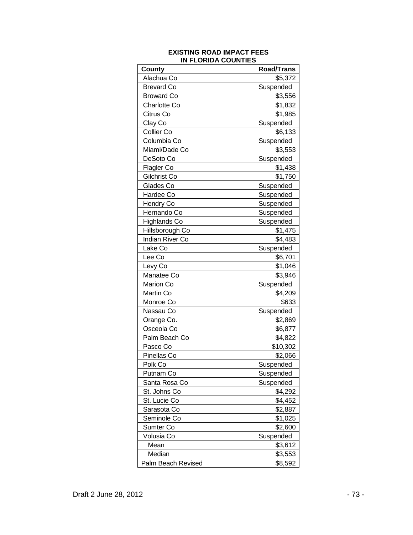| County              | <b>Road/Trans</b> |
|---------------------|-------------------|
| Alachua Co          | \$5,372           |
| <b>Brevard Co</b>   | Suspended         |
| <b>Broward Co</b>   | \$3,556           |
| Charlotte Co        | \$1,832           |
| Citrus Co           | \$1,985           |
| Clay Co             | Suspended         |
| Collier Co          | \$6,133           |
| Columbia Co         | Suspended         |
| Miami/Dade Co       | \$3,553           |
| DeSoto Co           | Suspended         |
| Flagler Co          | \$1,438           |
| Gilchrist Co        | \$1,750           |
| Glades Co           | Suspended         |
| Hardee Co           | Suspended         |
| <b>Hendry Co</b>    | Suspended         |
| Hernando Co         | Suspended         |
| <b>Highlands Co</b> | Suspended         |
| Hillsborough Co     | \$1,475           |
| Indian River Co     | \$4,483           |
| Lake Co             | Suspended         |
| Lee Co              | \$6,701           |
| Levy Co             | \$1,046           |
| Manatee Co          | \$3,946           |
| Marion Co           | Suspended         |
| Martin Co           | \$4,209           |
| Monroe Co           | \$633             |
| Nassau Co           | Suspended         |
| Orange Co.          | \$2,869           |
| Osceola Co          | \$6,877           |
| Palm Beach Co       | \$4,822           |
| Pasco Co            | \$10,302          |
| Pinellas Co         | \$2,066           |
| Polk Co             | Suspended         |
| Putnam Co           | Suspended         |
| Santa Rosa Co       | Suspended         |
| St. Johns Co        | \$4,292           |
| St. Lucie Co        | \$4,452           |
| Sarasota Co         | \$2,887           |
| Seminole Co         | \$1,025           |
| Sumter Co           | \$2,600           |
| Volusia Co          | Suspended         |
| Mean                | \$3,612           |
| Median              | \$3,553           |
| Palm Beach Revised  | \$8,592           |

#### **EXISTING ROAD IMPACT FEES IN FLORIDA COUNTIES**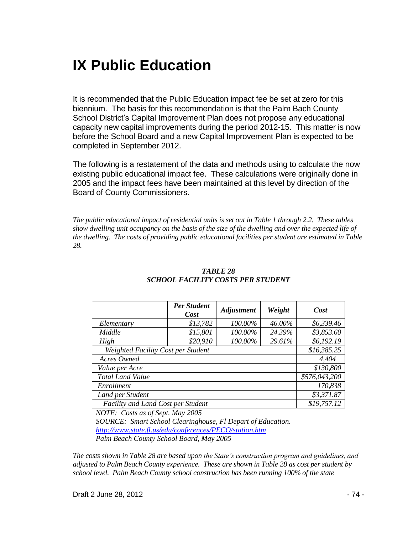# **IX Public Education**

It is recommended that the Public Education impact fee be set at zero for this biennium. The basis for this recommendation is that the Palm Bach County School District's Capital Improvement Plan does not propose any educational capacity new capital improvements during the period 2012-15. This matter is now before the School Board and a new Capital Improvement Plan is expected to be completed in September 2012.

The following is a restatement of the data and methods using to calculate the now existing public educational impact fee. These calculations were originally done in 2005 and the impact fees have been maintained at this level by direction of the Board of County Commissioners.

*The public educational impact of residential units is set out in Table 1 through 2.2. These tables show dwelling unit occupancy on the basis of the size of the dwelling and over the expected life of the dwelling. The costs of providing public educational facilities per student are estimated in Table 28.*

|                                           | <b>Per Student</b><br>Cost | <b>Adjustment</b> | Weight | Cost       |
|-------------------------------------------|----------------------------|-------------------|--------|------------|
| Elementary                                | \$13,782                   | 100.00%           | 46.00% | \$6,339.46 |
| Middle                                    | \$15,801                   | 100.00%           | 24.39% | \$3,853.60 |
| High                                      | \$20,910                   | 100.00%           | 29.61% | \$6,192.19 |
| Weighted Facility Cost per Student        | \$16,385.25                |                   |        |            |
| Acres Owned                               | 4,404                      |                   |        |            |
| Value per Acre                            | \$130,800                  |                   |        |            |
| <b>Total Land Value</b>                   | \$576,043,200              |                   |        |            |
| Enrollment                                | 170,838                    |                   |        |            |
| Land per Student                          | \$3,371.87                 |                   |        |            |
| <b>Facility and Land Cost per Student</b> | \$19,757.12                |                   |        |            |

## *TABLE 28 SCHOOL FACILITY COSTS PER STUDENT*

*NOTE: Costs as of Sept. May 2005*

*SOURCE: Smart School Clearinghouse, Fl Depart of Education. <http://www.state.fl.us/edu/conferences/PECO/station.htm> Palm Beach County School Board, May 2005*

*The costs shown in Table 28 are based upon the State's construction program and guidelines, and adjusted to Palm Beach County experience. These are shown in Table 28 as cost per student by school level. Palm Beach County school construction has been running 100% of the state*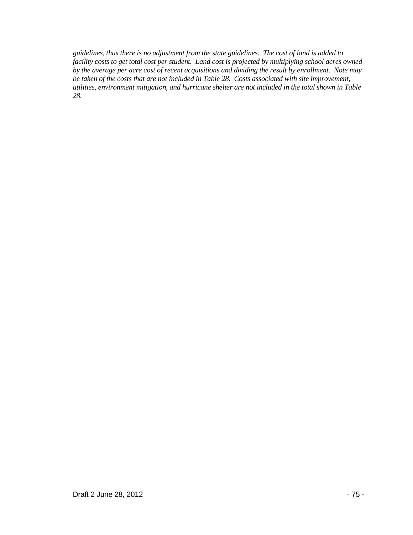*guidelines, thus there is no adjustment from the state guidelines. The cost of land is added to facility costs to get total cost per student. Land cost is projected by multiplying school acres owned by the average per acre cost of recent acquisitions and dividing the result by enrollment. Note may be taken of the costs that are not included in Table 28. Costs associated with site improvement, utilities, environment mitigation, and hurricane shelter are not included in the total shown in Table 28.*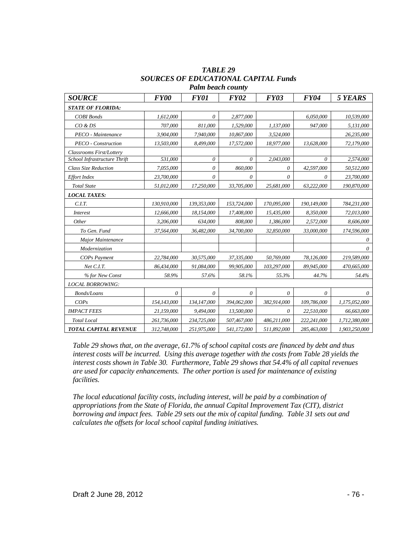| <b>SOURCE</b>                | FY00        | <i>FY01</i> | <b>FY02</b> | <b>FY03</b> | <b>FY04</b> | 5 YEARS       |  |
|------------------------------|-------------|-------------|-------------|-------------|-------------|---------------|--|
| <b>STATE OF FLORIDA:</b>     |             |             |             |             |             |               |  |
| <b>COBI</b> Bonds            | 1.612.000   | $\theta$    | 2,877,000   |             | 6.050.000   | 10,539,000    |  |
| CO & DS                      | 707,000     | 811,000     | 1,529,000   | 1,137,000   | 947,000     | 5,131,000     |  |
| PECO - Maintenance           | 3,904,000   | 7,940,000   | 10,867,000  | 3,524,000   |             | 26,235,000    |  |
| PECO - Construction          | 13,503,000  | 8,499,000   | 17,572,000  | 18,977,000  | 13,628,000  | 72,179,000    |  |
| Classrooms First/Lottery     |             |             |             |             |             |               |  |
| School Infrastructure Thrift | 531.000     | $\theta$    | $\theta$    | 2,043,000   | $\theta$    | 2,574,000     |  |
| <b>Class Size Reduction</b>  | 7,055,000   | $\theta$    | 860,000     | $\theta$    | 42,597,000  | 50,512,000    |  |
| <b>Effort Index</b>          | 23,700,000  | $\theta$    | $\theta$    | $\theta$    | 0           | 23,700,000    |  |
| <b>Total State</b>           | 51,012,000  | 17,250,000  | 33,705,000  | 25,681,000  | 63,222,000  | 190,870,000   |  |
| <b>LOCAL TAXES:</b>          |             |             |             |             |             |               |  |
| C.I.T.                       | 130,910,000 | 139,353,000 | 153,724,000 | 170,095,000 | 190,149,000 | 784,231,000   |  |
| <i>Interest</i>              | 12.666.000  | 18,154,000  | 17,408,000  | 15,435,000  | 8,350,000   | 72,013,000    |  |
| Other                        | 3.206.000   | 634,000     | 808,000     | 1,386,000   | 2,572,000   | 8,606,000     |  |
| To Gen. Fund                 | 37.564.000  | 36.482,000  | 34,700,000  | 32,850,000  | 33.000.000  | 174,596,000   |  |
| Major Maintenance            |             |             |             |             |             | 0             |  |
| Modernization                |             |             |             |             |             | 0             |  |
| <b>COPs Payment</b>          | 22,784,000  | 30,575,000  | 37,335,000  | 50,769,000  | 78,126,000  | 219,589,000   |  |
| Net C.I.T.                   | 86,434,000  | 91,084,000  | 99,905,000  | 103,297,000 | 89,945,000  | 470,665,000   |  |
| % for New Const              | 58.9%       | 57.6%       | 58.1%       | 55.3%       | 44.7%       | 54.4%         |  |
| <b>LOCAL BORROWING:</b>      |             |             |             |             |             |               |  |
| <b>Bonds/Loans</b>           | $\theta$    | $\theta$    | $\theta$    | $\theta$    | $\theta$    | 0             |  |
| COPs                         | 154,143,000 | 134,147,000 | 394,062,000 | 382,914,000 | 109,786,000 | 1,175,052,000 |  |
| <b>IMPACT FEES</b>           | 21.159.000  | 9,494,000   | 13.500.000  | $\theta$    | 22.510.000  | 66.663.000    |  |
| <b>Total Local</b>           | 261,736,000 | 234,725,000 | 507,467,000 | 486,211,000 | 222,241,000 | 1,712,380,000 |  |
| <b>TOTAL CAPITAL REVENUE</b> | 312,748,000 | 251,975,000 | 541,172,000 | 511,892,000 | 285,463,000 | 1,903,250,000 |  |

*TABLE 29 SOURCES OF EDUCATIONAL CAPITAL Funds Palm beach county*

*Table 29 shows that, on the average, 61.7% of school capital costs are financed by debt and thus interest costs will be incurred. Using this average together with the costs from Table 28 yields the interest costs shown in Table 30. Furthermore, Table 29 shows that 54.4% of all capital revenues are used for capacity enhancements. The other portion is used for maintenance of existing facilities.*

*The local educational facility costs, including interest, will be paid by a combination of appropriations from the State of Florida, the annual Capital Improvement Tax (CIT), district borrowing and impact fees. Table 29 sets out the mix of capital funding. Table 31 sets out and calculates the offsets for local school capital funding initiatives.*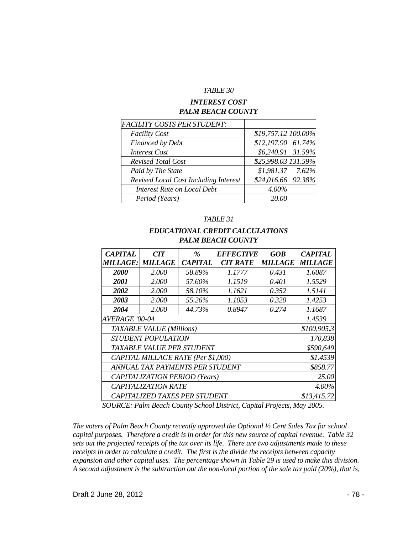#### *TABLE 30*

#### *INTEREST COST PALM BEACH COUNTY*

| <b>FACILITY COSTS PER STUDENT:</b>           |                     |  |
|----------------------------------------------|---------------------|--|
| <b>Facility Cost</b>                         | \$19,757.12 100.00% |  |
| Financed by Debt                             | $$12,197.90$ 61.74% |  |
| <b>Interest Cost</b>                         | $$6,240.91$ 31.59%  |  |
| <b>Revised Total Cost</b>                    | \$25,998.03 131.59% |  |
| Paid by The State                            | $$1,981.37$ 7.62%   |  |
| <b>Revised Local Cost Including Interest</b> | \$24,016.66 92.38%  |  |
| <b>Interest Rate on Local Debt</b>           | 4.00%               |  |
| Period (Years)                               | 20.00               |  |

#### *TABLE 31*

### *EDUCATIONAL CREDIT CALCULATIONS PALM BEACH COUNTY*

| <b>CAPITAL</b>                     | CIT            | $\%$           | <b>EFFECTIVE</b> | <b>GOB</b>     | <b>CAPITAL</b> |
|------------------------------------|----------------|----------------|------------------|----------------|----------------|
| MILLAGE:                           | <b>MILLAGE</b> | <b>CAPITAL</b> | <b>CIT RATE</b>  | <b>MILLAGE</b> | <b>MILLAGE</b> |
| <b>2000</b>                        | 2.000          | 58.89%         | 1.1777           | 0.431          | 1.6087         |
| <i>2001</i>                        | 2.000          | 57.60%         | 1.1519           | 0.401          | 1.5529         |
| 2002                               | 2.000          | 58.10%         | 1.1621           | 0.352          | 1.5141         |
| 2003                               | 2.000          | 55.26%         | 1.1053           | 0.320          | 1.4253         |
| 2004                               | 2.000          | 44.73%         | 0.8947           | 0.274          | 1.1687         |
| <b>AVERAGE '00-04</b>              | 1.4539         |                |                  |                |                |
| <b>TAXABLE VALUE (Millions)</b>    | \$100,905.3    |                |                  |                |                |
| <b>STUDENT POPULATION</b>          | 170,838        |                |                  |                |                |
| <i>TAXABLE VALUE PER STUDENT</i>   | \$590,649      |                |                  |                |                |
| CAPITAL MILLAGE RATE (Per \$1,000) | \$1.4539       |                |                  |                |                |
| ANNUAL TAX PAYMENTS PER STUDENT    | \$858.77       |                |                  |                |                |
| CAPITALIZATION PERIOD (Years)      | 25.00          |                |                  |                |                |
| <b>CAPITALIZATION RATE</b>         | $4.00\%$       |                |                  |                |                |
| CAPITALIZED TAXES PER STUDENT      | \$13,415.72    |                |                  |                |                |

*SOURCE: Palm Beach County School District, Capital Projects, May 2005.*

*The voters of Palm Beach County recently approved the Optional ½ Cent Sales Tax for school capital purposes. Therefore a credit is in order for this new source of capital revenue. Table 32 sets out the projected receipts of the tax over its life. There are two adjustments made to these receipts in order to calculate a credit. The first is the divide the receipts between capacity expansion and other capital uses. The percentage shown in Table 29 is used to make this division. A second adjustment is the subtraction out the non-local portion of the sale tax paid (20%), that is,*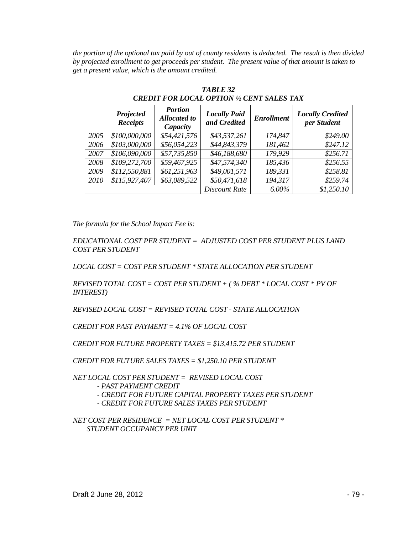*the portion of the optional tax paid by out of county residents is deducted. The result is then divided by projected enrollment to get proceeds per student. The present value of that amount is taken to get a present value, which is the amount credited.*

|      | Projected<br><b>Receipts</b> | <b>Portion</b><br><b>Allocated to</b><br>Capacity | <b>Locally Paid</b><br>and Credited | <b>Enrollment</b> | <b>Locally Credited</b><br>per Student |
|------|------------------------------|---------------------------------------------------|-------------------------------------|-------------------|----------------------------------------|
| 2005 | \$100,000,000                | \$54,421,576                                      | \$43,537,261                        | 174,847           | \$249.00                               |
| 2006 | \$103,000,000                | \$56,054,223                                      | \$44,843,379                        | 181,462           | \$247.12                               |
| 2007 | \$106,090,000                | \$57,735,850                                      | \$46,188,680                        | 179,929           | \$256.71                               |
| 2008 | \$109,272,700                | \$59,467,925                                      | \$47,574,340                        | 185,436           | \$256.55                               |
| 2009 | \$112,550,881                | \$61,251,963                                      | \$49,001,571                        | 189,331           | \$258.81                               |
| 2010 | \$115,927,407                | \$63,089,522                                      | \$50,471,618                        | 194,317           | \$259.74                               |
|      |                              |                                                   | <b>Discount Rate</b>                | 6.00%             | \$1,250.10                             |

*TABLE 32 CREDIT FOR LOCAL OPTION ½ CENT SALES TAX*

*The formula for the School Impact Fee is:*

*EDUCATIONAL COST PER STUDENT = ADJUSTED COST PER STUDENT PLUS LAND COST PER STUDENT*

*LOCAL COST = COST PER STUDENT \* STATE ALLOCATION PER STUDENT*

*REVISED TOTAL COST = COST PER STUDENT + ( % DEBT \* LOCAL COST \* PV OF INTEREST)*

*REVISED LOCAL COST = REVISED TOTAL COST - STATE ALLOCATION*

*CREDIT FOR PAST PAYMENT = 4.1% OF LOCAL COST*

*CREDIT FOR FUTURE PROPERTY TAXES = \$13,415.72 PER STUDENT*

*CREDIT FOR FUTURE SALES TAXES = \$1,250.10 PER STUDENT*

*NET LOCAL COST PER STUDENT = REVISED LOCAL COST* 

- *- PAST PAYMENT CREDIT*
- *- CREDIT FOR FUTURE CAPITAL PROPERTY TAXES PER STUDENT*
- *- CREDIT FOR FUTURE SALES TAXES PER STUDENT*

*NET COST PER RESIDENCE = NET LOCAL COST PER STUDENT \* STUDENT OCCUPANCY PER UNIT*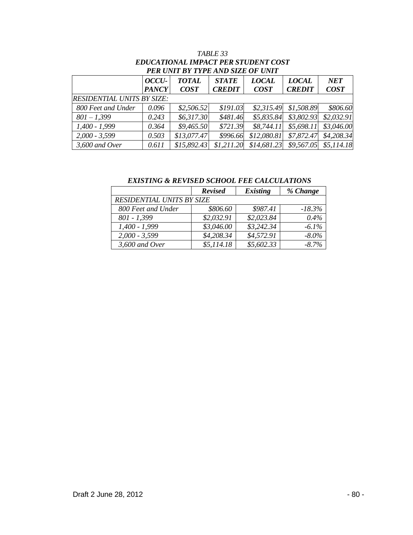| PER UNIT BY TYPE AND SIZE OF UNIT |              |              |               |              |               |             |
|-----------------------------------|--------------|--------------|---------------|--------------|---------------|-------------|
|                                   | OCCU-        | <b>TOTAL</b> | <b>STATE</b>  | <b>LOCAL</b> | <b>LOCAL</b>  | <b>NET</b>  |
|                                   | <b>PANCY</b> | <b>COST</b>  | <b>CREDIT</b> | <b>COST</b>  | <b>CREDIT</b> | <b>COST</b> |
| <b>RESIDENTIAL UNITS BY SIZE:</b> |              |              |               |              |               |             |
| 800 Feet and Under                | 0.096        | \$2,506.52   | \$191.03\$    | \$2,315.49   | \$1,508.89    | \$806.60    |
| $801 - 1,399$                     | 0.243        | \$6,317.30   | \$481.46      | \$5,835.84   | \$3,802.93    | \$2,032.91  |
| $1,400 - 1,999$                   | 0.364        | \$9,465.50   | \$721.39      | \$8,744.11   | \$5,698.11    | \$3,046.00  |
| $2,000 - 3,599$                   | 0.503        | \$13,077.47  | \$996.66      | \$12,080.81  | \$7,872.47    | \$4,208.34  |
| 3,600 and Over                    | 0.611        | \$15,892.43  | \$1,211.20    | \$14,681.23  | \$9,567.05    | \$5,114.18  |

# *TABLE 33 EDUCATIONAL IMPACT PER STUDENT COST*

*EXISTING & REVISED SCHOOL FEE CALCULATIONS*

|                           | <b>Revised</b> | <b>Existing</b> | % Change  |
|---------------------------|----------------|-----------------|-----------|
| RESIDENTIAL UNITS BY SIZE |                |                 |           |
| 800 Feet and Under        | \$806.60       | \$987.41        | $-18.3\%$ |
| $801 - 1,399$             | \$2,032.91     | \$2,023.84      | $0.4\%$   |
| $1,400 - 1,999$           | \$3,046.00     | \$3,242.34      | $-6.1\%$  |
| $2,000 - 3,599$           | \$4,208.34     | \$4,572.91      | $-8.0\%$  |
| $3,600$ and Over          | \$5,114.18     | \$5,602.33      | $-8.7\%$  |